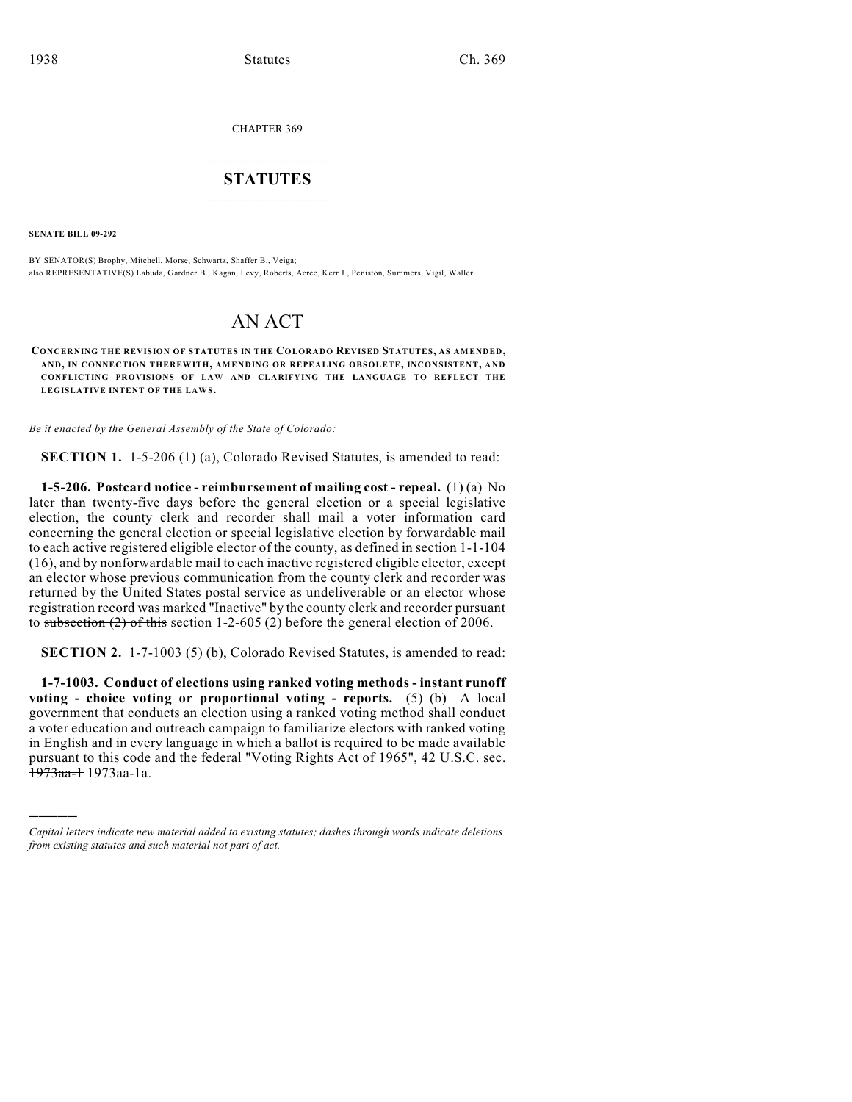CHAPTER 369

# $\overline{\phantom{a}}$  . The set of the set of the set of the set of the set of the set of the set of the set of the set of the set of the set of the set of the set of the set of the set of the set of the set of the set of the set o **STATUTES**  $\_$   $\_$

**SENATE BILL 09-292**

)))))

BY SENATOR(S) Brophy, Mitchell, Morse, Schwartz, Shaffer B., Veiga; also REPRESENTATIVE(S) Labuda, Gardner B., Kagan, Levy, Roberts, Acree, Kerr J., Peniston, Summers, Vigil, Waller.

# AN ACT

**CONCERNING THE REVISION OF STATUTES IN THE COLORADO REVISED STATUTES, AS AMENDED, AND, IN CONNECTION THEREWITH, AMENDING OR REPEALING OBSOLETE, INCONSISTENT, AND CONFLICTING PROVISIONS OF LAW AND CLARIFYING THE LANGUAGE TO REFLECT THE** LEGISLATIVE INTENT OF THE LAWS.

*Be it enacted by the General Assembly of the State of Colorado:*

**SECTION 1.** 1-5-206 (1) (a), Colorado Revised Statutes, is amended to read:

**1-5-206. Postcard notice - reimbursement of mailing cost - repeal.** (1) (a) No later than twenty-five days before the general election or a special legislative election, the county clerk and recorder shall mail a voter information card concerning the general election or special legislative election by forwardable mail to each active registered eligible elector of the county, as defined in section 1-1-104 (16), and by nonforwardable mail to each inactive registered eligible elector, except an elector whose previous communication from the county clerk and recorder was returned by the United States postal service as undeliverable or an elector whose registration record was marked "Inactive" by the county clerk and recorder pursuant to subsection  $(2)$  of this section 1-2-605 (2) before the general election of 2006.

**SECTION 2.** 1-7-1003 (5) (b), Colorado Revised Statutes, is amended to read:

**1-7-1003. Conduct of elections using ranked voting methods - instant runoff voting - choice voting or proportional voting - reports.** (5) (b) A local government that conducts an election using a ranked voting method shall conduct a voter education and outreach campaign to familiarize electors with ranked voting in English and in every language in which a ballot is required to be made available pursuant to this code and the federal "Voting Rights Act of 1965", 42 U.S.C. sec. 1973aa-1 1973aa-1a.

*Capital letters indicate new material added to existing statutes; dashes through words indicate deletions from existing statutes and such material not part of act.*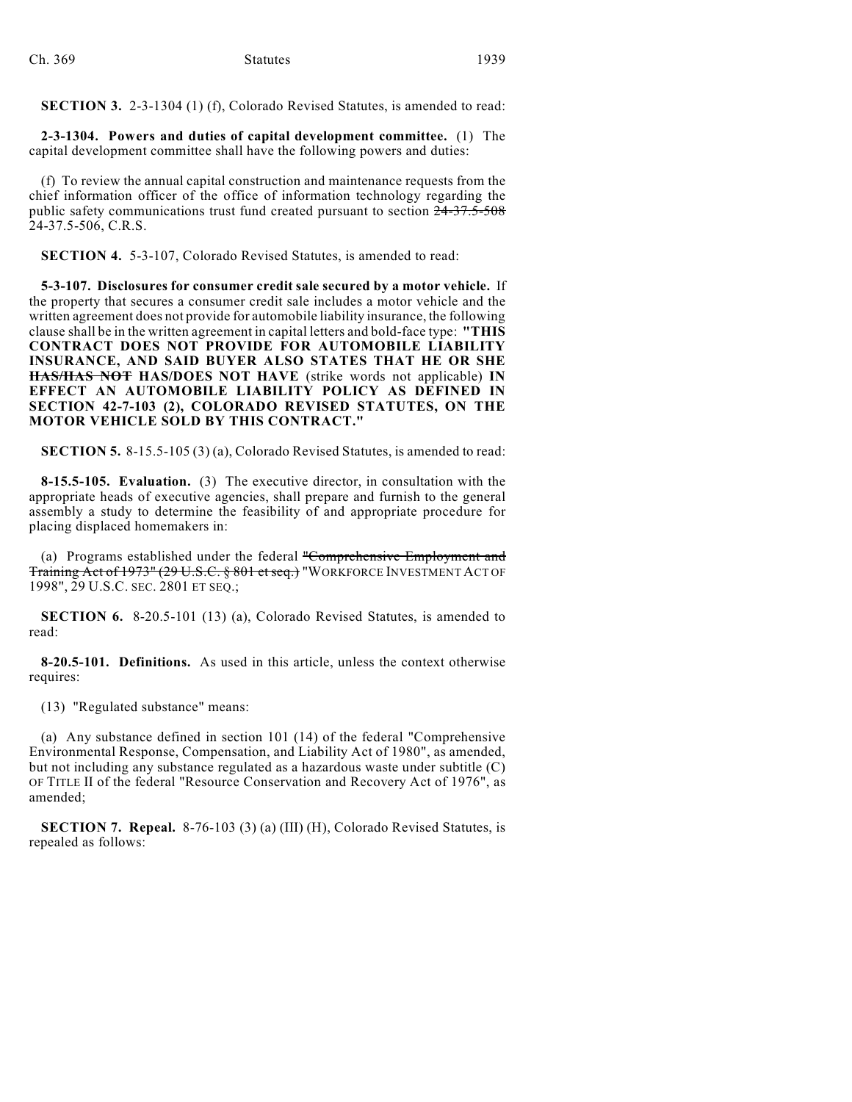**SECTION 3.** 2-3-1304 (1) (f), Colorado Revised Statutes, is amended to read:

**2-3-1304. Powers and duties of capital development committee.** (1) The capital development committee shall have the following powers and duties:

(f) To review the annual capital construction and maintenance requests from the chief information officer of the office of information technology regarding the public safety communications trust fund created pursuant to section 24-37.5-508 24-37.5-506, C.R.S.

**SECTION 4.** 5-3-107, Colorado Revised Statutes, is amended to read:

**5-3-107. Disclosures for consumer credit sale secured by a motor vehicle.** If the property that secures a consumer credit sale includes a motor vehicle and the written agreement does not provide for automobile liability insurance, the following clause shall be in the written agreement in capital letters and bold-face type: **"THIS CONTRACT DOES NOT PROVIDE FOR AUTOMOBILE LIABILITY INSURANCE, AND SAID BUYER ALSO STATES THAT HE OR SHE HAS/HAS NOT HAS/DOES NOT HAVE** (strike words not applicable) **IN EFFECT AN AUTOMOBILE LIABILITY POLICY AS DEFINED IN SECTION 42-7-103 (2), COLORADO REVISED STATUTES, ON THE MOTOR VEHICLE SOLD BY THIS CONTRACT."**

**SECTION 5.** 8-15.5-105 (3) (a), Colorado Revised Statutes, is amended to read:

**8-15.5-105. Evaluation.** (3) The executive director, in consultation with the appropriate heads of executive agencies, shall prepare and furnish to the general assembly a study to determine the feasibility of and appropriate procedure for placing displaced homemakers in:

(a) Programs established under the federal "Comprehensive Employment and Training Act of 1973" (29 U.S.C. § 801 et seq.) "WORKFORCE INVESTMENT ACT OF 1998", 29 U.S.C. SEC. 2801 ET SEQ.;

**SECTION 6.** 8-20.5-101 (13) (a), Colorado Revised Statutes, is amended to read:

**8-20.5-101. Definitions.** As used in this article, unless the context otherwise requires:

(13) "Regulated substance" means:

(a) Any substance defined in section 101 (14) of the federal "Comprehensive Environmental Response, Compensation, and Liability Act of 1980", as amended, but not including any substance regulated as a hazardous waste under subtitle (C) OF TITLE II of the federal "Resource Conservation and Recovery Act of 1976", as amended;

**SECTION 7. Repeal.** 8-76-103 (3) (a) (III) (H), Colorado Revised Statutes, is repealed as follows: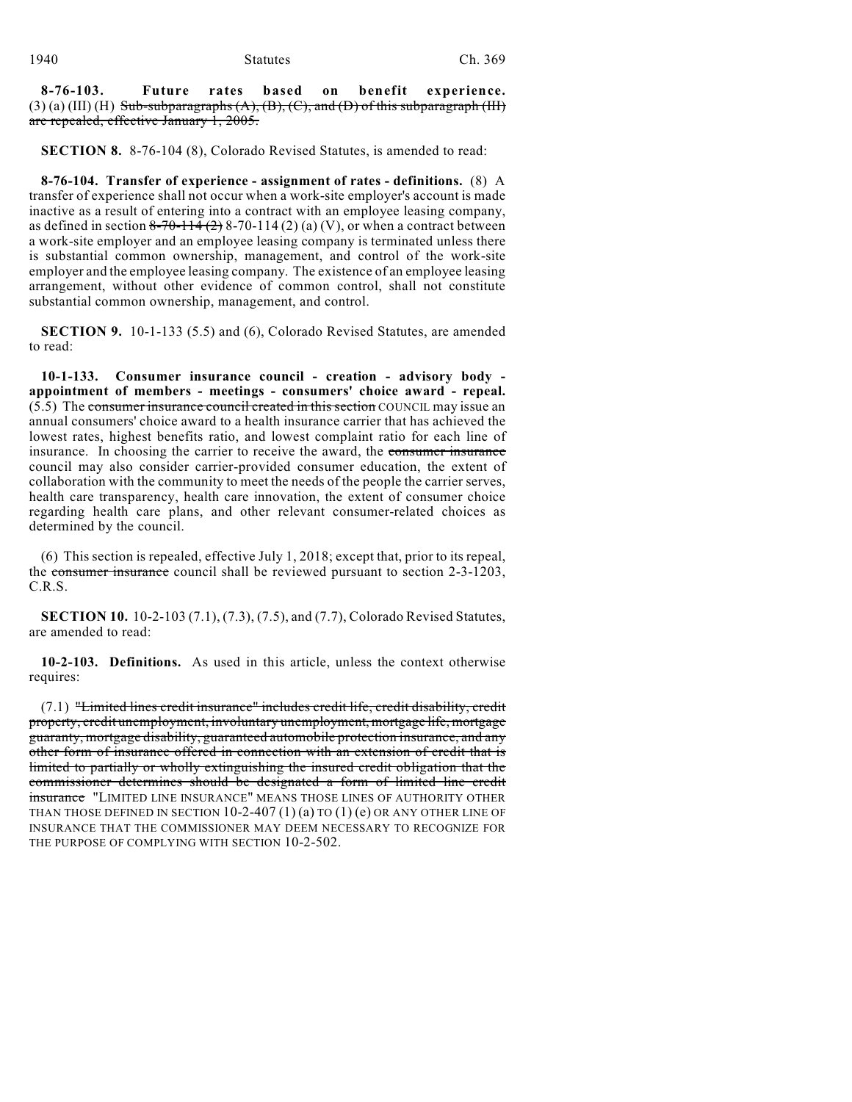**8-76-103. Future rates based on benefit experience.**  $(3)$  (a) (III) (H) Sub-subparagraphs  $(A)$ ,  $(B)$ ,  $(C)$ , and  $(D)$  of this subparagraph (III) are repealed, effective January 1, 2005.

**SECTION 8.** 8-76-104 (8), Colorado Revised Statutes, is amended to read:

**8-76-104. Transfer of experience - assignment of rates - definitions.** (8) A transfer of experience shall not occur when a work-site employer's account is made inactive as a result of entering into a contract with an employee leasing company, as defined in section  $8-70-114(2)$  8-70-114 (2) (a) (V), or when a contract between a work-site employer and an employee leasing company is terminated unless there is substantial common ownership, management, and control of the work-site employer and the employee leasing company. The existence of an employee leasing arrangement, without other evidence of common control, shall not constitute substantial common ownership, management, and control.

**SECTION 9.** 10-1-133 (5.5) and (6), Colorado Revised Statutes, are amended to read:

**10-1-133. Consumer insurance council - creation - advisory body appointment of members - meetings - consumers' choice award - repeal.** (5.5) The consumer insurance council created in this section COUNCIL may issue an annual consumers' choice award to a health insurance carrier that has achieved the lowest rates, highest benefits ratio, and lowest complaint ratio for each line of insurance. In choosing the carrier to receive the award, the consumer insurance council may also consider carrier-provided consumer education, the extent of collaboration with the community to meet the needs of the people the carrier serves, health care transparency, health care innovation, the extent of consumer choice regarding health care plans, and other relevant consumer-related choices as determined by the council.

(6) This section is repealed, effective July 1, 2018; except that, prior to its repeal, the consumer insurance council shall be reviewed pursuant to section 2-3-1203, C.R.S.

**SECTION 10.** 10-2-103 (7.1), (7.3), (7.5), and (7.7), Colorado Revised Statutes, are amended to read:

**10-2-103. Definitions.** As used in this article, unless the context otherwise requires:

(7.1) "Limited lines credit insurance" includes credit life, credit disability, credit property, credit unemployment, involuntary unemployment, mortgage life, mortgage guaranty, mortgage disability, guaranteed automobile protection insurance, and any other form of insurance offered in connection with an extension of credit that is limited to partially or wholly extinguishing the insured credit obligation that the commissioner determines should be designated a form of limited line credit insurance "LIMITED LINE INSURANCE" MEANS THOSE LINES OF AUTHORITY OTHER THAN THOSE DEFINED IN SECTION  $10-2-407(1)(a)$  to  $(1)(e)$  OR ANY OTHER LINE OF INSURANCE THAT THE COMMISSIONER MAY DEEM NECESSARY TO RECOGNIZE FOR THE PURPOSE OF COMPLYING WITH SECTION 10-2-502.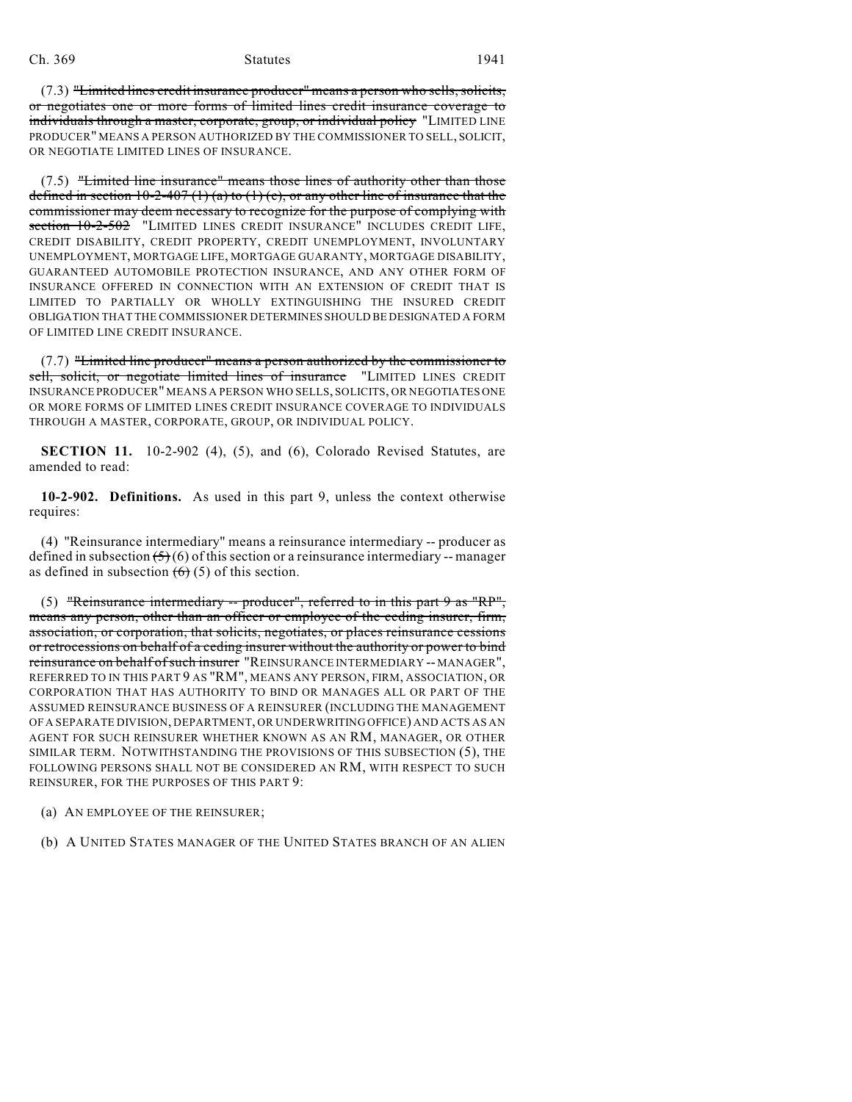(7.3) "Limited lines credit insurance producer" means a person who sells, solicits, or negotiates one or more forms of limited lines credit insurance coverage to individuals through a master, corporate, group, or individual policy "LIMITED LINE PRODUCER" MEANS A PERSON AUTHORIZED BY THE COMMISSIONER TO SELL, SOLICIT, OR NEGOTIATE LIMITED LINES OF INSURANCE.

(7.5) "Limited line insurance" means those lines of authority other than those defined in section 10-2-407 (1) (a) to (1) (e), or any other line of insurance that the commissioner may deem necessary to recognize for the purpose of complying with section 10-2-502 "LIMITED LINES CREDIT INSURANCE" INCLUDES CREDIT LIFE, CREDIT DISABILITY, CREDIT PROPERTY, CREDIT UNEMPLOYMENT, INVOLUNTARY UNEMPLOYMENT, MORTGAGE LIFE, MORTGAGE GUARANTY, MORTGAGE DISABILITY, GUARANTEED AUTOMOBILE PROTECTION INSURANCE, AND ANY OTHER FORM OF INSURANCE OFFERED IN CONNECTION WITH AN EXTENSION OF CREDIT THAT IS LIMITED TO PARTIALLY OR WHOLLY EXTINGUISHING THE INSURED CREDIT OBLIGATION THAT THE COMMISSIONER DETERMINES SHOULD BE DESIGNATED A FORM OF LIMITED LINE CREDIT INSURANCE.

(7.7) "Limited line producer" means a person authorized by the commissioner to sell, solicit, or negotiate limited lines of insurance "LIMITED LINES CREDIT INSURANCE PRODUCER" MEANS A PERSON WHO SELLS, SOLICITS, OR NEGOTIATES ONE OR MORE FORMS OF LIMITED LINES CREDIT INSURANCE COVERAGE TO INDIVIDUALS THROUGH A MASTER, CORPORATE, GROUP, OR INDIVIDUAL POLICY.

**SECTION 11.** 10-2-902 (4), (5), and (6), Colorado Revised Statutes, are amended to read:

**10-2-902. Definitions.** As used in this part 9, unless the context otherwise requires:

(4) "Reinsurance intermediary" means a reinsurance intermediary -- producer as defined in subsection  $(5)(6)$  of this section or a reinsurance intermediary -- manager as defined in subsection  $(6)$  (5) of this section.

(5) "Reinsurance intermediary  $-$  producer", referred to in this part  $9$  as "RP", means any person, other than an officer or employee of the ceding insurer, firm, association, or corporation, that solicits, negotiates, or places reinsurance cessions or retrocessions on behalf of a ceding insurer without the authority or power to bind reinsurance on behalf of such insurer "REINSURANCE INTERMEDIARY -- MANAGER", REFERRED TO IN THIS PART 9 AS "RM", MEANS ANY PERSON, FIRM, ASSOCIATION, OR CORPORATION THAT HAS AUTHORITY TO BIND OR MANAGES ALL OR PART OF THE ASSUMED REINSURANCE BUSINESS OF A REINSURER (INCLUDING THE MANAGEMENT OF A SEPARATE DIVISION, DEPARTMENT, OR UNDERWRITING OFFICE) AND ACTS AS AN AGENT FOR SUCH REINSURER WHETHER KNOWN AS AN RM, MANAGER, OR OTHER SIMILAR TERM. NOTWITHSTANDING THE PROVISIONS OF THIS SUBSECTION (5), THE FOLLOWING PERSONS SHALL NOT BE CONSIDERED AN RM, WITH RESPECT TO SUCH REINSURER, FOR THE PURPOSES OF THIS PART 9:

(a) AN EMPLOYEE OF THE REINSURER;

(b) A UNITED STATES MANAGER OF THE UNITED STATES BRANCH OF AN ALIEN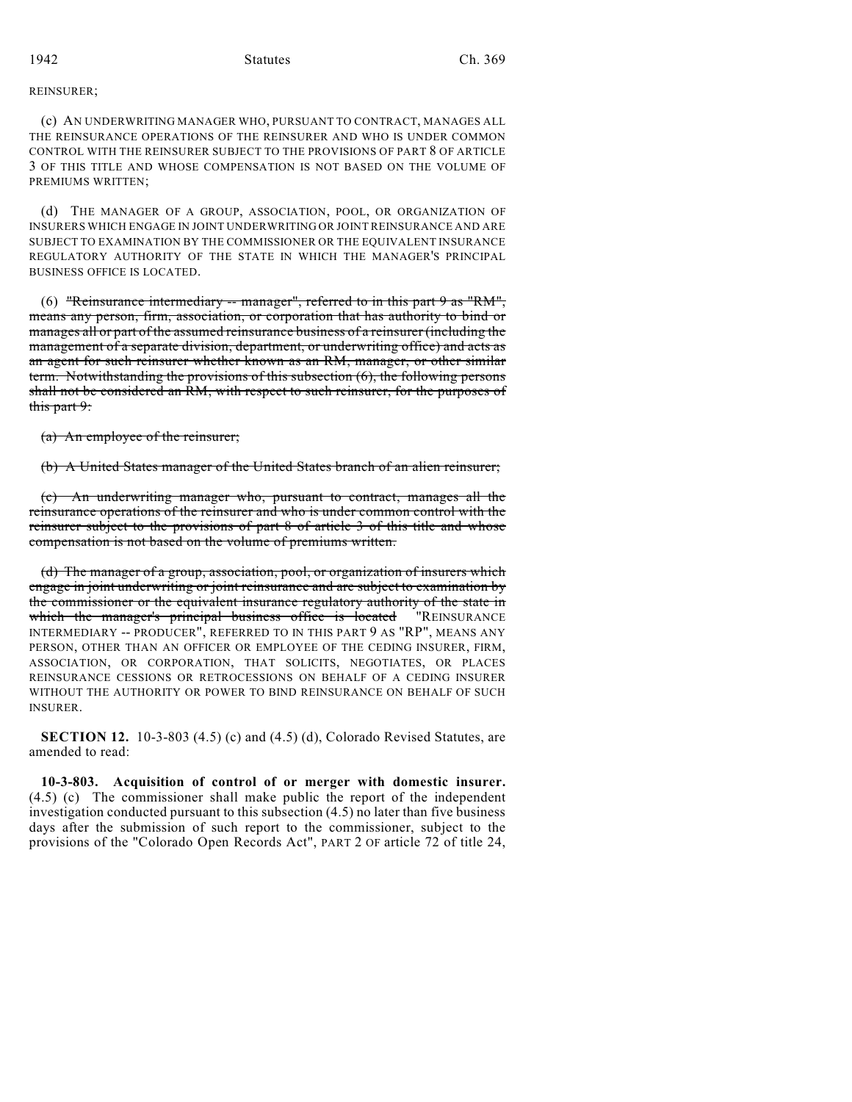#### REINSURER;

(c) AN UNDERWRITING MANAGER WHO, PURSUANT TO CONTRACT, MANAGES ALL THE REINSURANCE OPERATIONS OF THE REINSURER AND WHO IS UNDER COMMON CONTROL WITH THE REINSURER SUBJECT TO THE PROVISIONS OF PART 8 OF ARTICLE 3 OF THIS TITLE AND WHOSE COMPENSATION IS NOT BASED ON THE VOLUME OF PREMIUMS WRITTEN;

(d) THE MANAGER OF A GROUP, ASSOCIATION, POOL, OR ORGANIZATION OF INSURERS WHICH ENGAGE IN JOINT UNDERWRITING OR JOINT REINSURANCE AND ARE SUBJECT TO EXAMINATION BY THE COMMISSIONER OR THE EQUIVALENT INSURANCE REGULATORY AUTHORITY OF THE STATE IN WHICH THE MANAGER'S PRINCIPAL BUSINESS OFFICE IS LOCATED.

(6) "Reinsurance intermediary -- manager", referred to in this part 9 as "RM", means any person, firm, association, or corporation that has authority to bind or manages all or part of the assumed reinsurance business of a reinsurer (including the management of a separate division, department, or underwriting office) and acts as an agent for such reinsurer whether known as an RM, manager, or other similar term. Notwithstanding the provisions of this subsection (6), the following persons shall not be considered an RM, with respect to such reinsurer, for the purposes of this part 9:

(a) An employee of the reinsurer;

(b) A United States manager of the United States branch of an alien reinsurer;

(c) An underwriting manager who, pursuant to contract, manages all the reinsurance operations of the reinsurer and who is under common control with the reinsurer subject to the provisions of part 8 of article 3 of this title and whose compensation is not based on the volume of premiums written.

(d) The manager of a group, association, pool, or organization of insurers which engage in joint underwriting or joint reinsurance and are subject to examination by the commissioner or the equivalent insurance regulatory authority of the state in which the manager's principal business office is located "REINSURANCE INTERMEDIARY -- PRODUCER", REFERRED TO IN THIS PART 9 AS "RP", MEANS ANY PERSON, OTHER THAN AN OFFICER OR EMPLOYEE OF THE CEDING INSURER, FIRM, ASSOCIATION, OR CORPORATION, THAT SOLICITS, NEGOTIATES, OR PLACES REINSURANCE CESSIONS OR RETROCESSIONS ON BEHALF OF A CEDING INSURER WITHOUT THE AUTHORITY OR POWER TO BIND REINSURANCE ON BEHALF OF SUCH INSURER.

**SECTION 12.** 10-3-803 (4.5) (c) and (4.5) (d), Colorado Revised Statutes, are amended to read:

**10-3-803. Acquisition of control of or merger with domestic insurer.** (4.5) (c) The commissioner shall make public the report of the independent investigation conducted pursuant to this subsection (4.5) no later than five business days after the submission of such report to the commissioner, subject to the provisions of the "Colorado Open Records Act", PART 2 OF article 72 of title 24,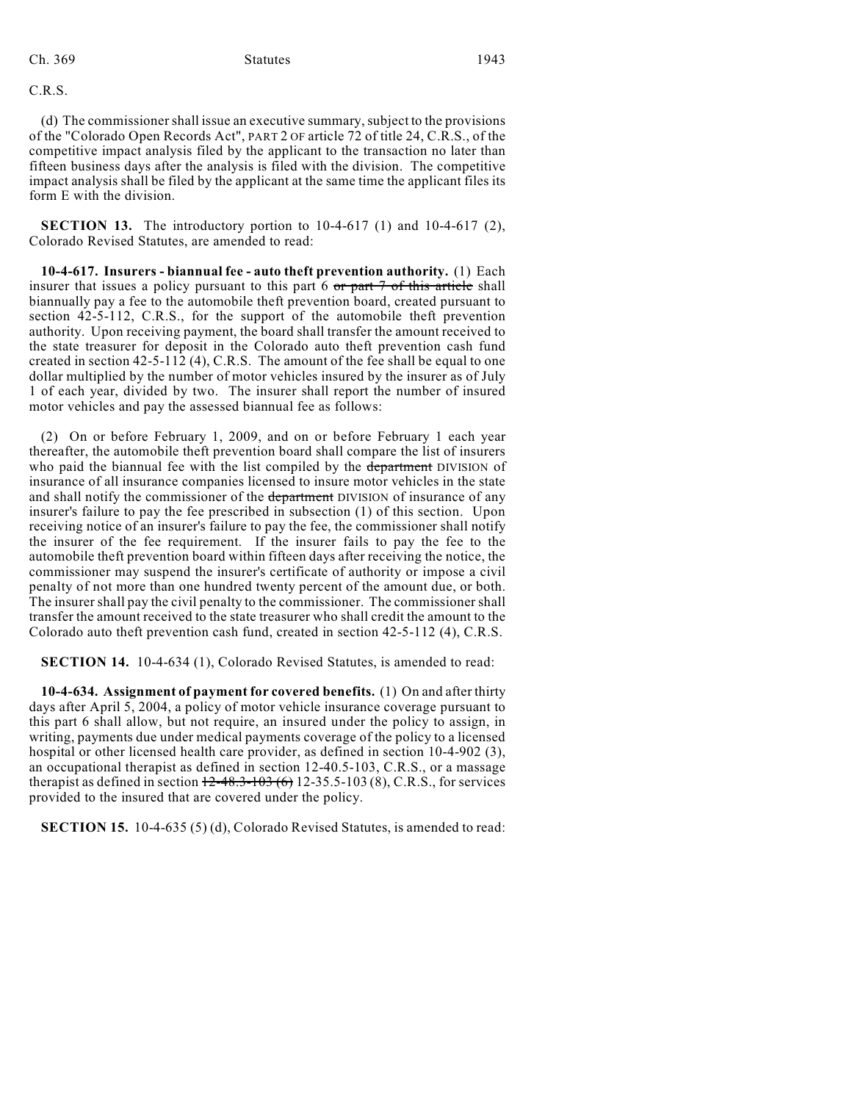C.R.S.

(d) The commissioner shall issue an executive summary, subject to the provisions of the "Colorado Open Records Act", PART 2 OF article 72 of title 24, C.R.S., of the competitive impact analysis filed by the applicant to the transaction no later than fifteen business days after the analysis is filed with the division. The competitive impact analysis shall be filed by the applicant at the same time the applicant files its form E with the division.

**SECTION 13.** The introductory portion to 10-4-617 (1) and 10-4-617 (2), Colorado Revised Statutes, are amended to read:

**10-4-617. Insurers - biannual fee - auto theft prevention authority.** (1) Each insurer that issues a policy pursuant to this part 6 or part  $\frac{7}{10}$  of this article shall biannually pay a fee to the automobile theft prevention board, created pursuant to section 42-5-112, C.R.S., for the support of the automobile theft prevention authority. Upon receiving payment, the board shall transfer the amount received to the state treasurer for deposit in the Colorado auto theft prevention cash fund created in section 42-5-112 (4), C.R.S. The amount of the fee shall be equal to one dollar multiplied by the number of motor vehicles insured by the insurer as of July 1 of each year, divided by two. The insurer shall report the number of insured motor vehicles and pay the assessed biannual fee as follows:

(2) On or before February 1, 2009, and on or before February 1 each year thereafter, the automobile theft prevention board shall compare the list of insurers who paid the biannual fee with the list compiled by the department DIVISION of insurance of all insurance companies licensed to insure motor vehicles in the state and shall notify the commissioner of the department DIVISION of insurance of any insurer's failure to pay the fee prescribed in subsection (1) of this section. Upon receiving notice of an insurer's failure to pay the fee, the commissioner shall notify the insurer of the fee requirement. If the insurer fails to pay the fee to the automobile theft prevention board within fifteen days after receiving the notice, the commissioner may suspend the insurer's certificate of authority or impose a civil penalty of not more than one hundred twenty percent of the amount due, or both. The insurer shall pay the civil penalty to the commissioner. The commissioner shall transfer the amount received to the state treasurer who shall credit the amount to the Colorado auto theft prevention cash fund, created in section 42-5-112 (4), C.R.S.

**SECTION 14.** 10-4-634 (1), Colorado Revised Statutes, is amended to read:

**10-4-634. Assignment of payment for covered benefits.** (1) On and after thirty days after April 5, 2004, a policy of motor vehicle insurance coverage pursuant to this part 6 shall allow, but not require, an insured under the policy to assign, in writing, payments due under medical payments coverage of the policy to a licensed hospital or other licensed health care provider, as defined in section 10-4-902 (3), an occupational therapist as defined in section 12-40.5-103, C.R.S., or a massage therapist as defined in section  $12-48.3-103(6)$  12-35.5-103(8), C.R.S., for services provided to the insured that are covered under the policy.

**SECTION 15.** 10-4-635 (5) (d), Colorado Revised Statutes, is amended to read: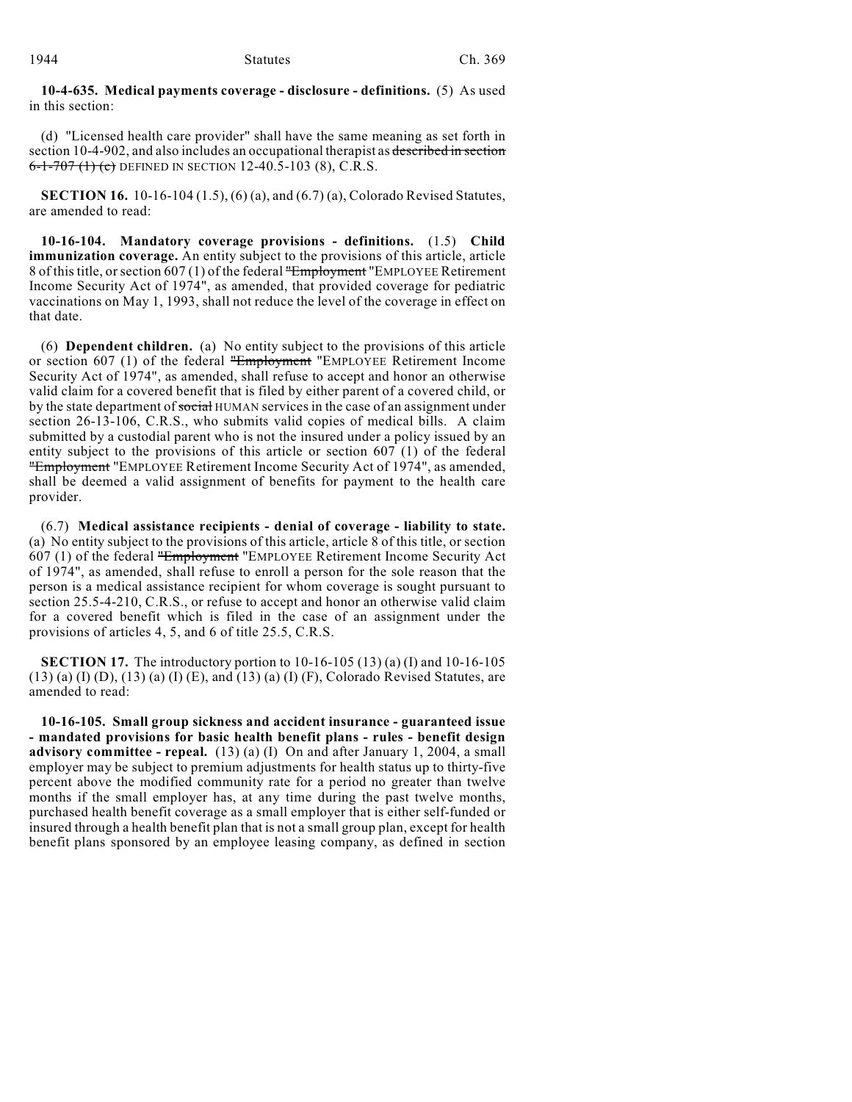**10-4-635. Medical payments coverage - disclosure - definitions.** (5) As used in this section:

(d) "Licensed health care provider" shall have the same meaning as set forth in section 10-4-902, and also includes an occupational therapist as described in section  $6-1-707$  (1) (c) DEFINED IN SECTION 12-40.5-103 (8), C.R.S.

**SECTION 16.** 10-16-104 (1.5), (6) (a), and (6.7) (a), Colorado Revised Statutes, are amended to read:

**10-16-104. Mandatory coverage provisions - definitions.** (1.5) **Child immunization coverage.** An entity subject to the provisions of this article, article 8 of this title, or section 607 (1) of the federal "Employment "EMPLOYEE Retirement Income Security Act of 1974", as amended, that provided coverage for pediatric vaccinations on May 1, 1993, shall not reduce the level of the coverage in effect on that date.

(6) **Dependent children.** (a) No entity subject to the provisions of this article or section 607 (1) of the federal "Employment "EMPLOYEE Retirement Income Security Act of 1974", as amended, shall refuse to accept and honor an otherwise valid claim for a covered benefit that is filed by either parent of a covered child, or by the state department of social HUMAN services in the case of an assignment under section 26-13-106, C.R.S., who submits valid copies of medical bills. A claim submitted by a custodial parent who is not the insured under a policy issued by an entity subject to the provisions of this article or section 607 (1) of the federal "Employment "EMPLOYEE Retirement Income Security Act of 1974", as amended, shall be deemed a valid assignment of benefits for payment to the health care provider.

(6.7) **Medical assistance recipients - denial of coverage - liability to state.** (a) No entity subject to the provisions of this article, article 8 of this title, or section 607 (1) of the federal "Employment "EMPLOYEE Retirement Income Security Act of 1974", as amended, shall refuse to enroll a person for the sole reason that the person is a medical assistance recipient for whom coverage is sought pursuant to section 25.5-4-210, C.R.S., or refuse to accept and honor an otherwise valid claim for a covered benefit which is filed in the case of an assignment under the provisions of articles 4, 5, and 6 of title 25.5, C.R.S.

**SECTION 17.** The introductory portion to 10-16-105 (13) (a) (I) and 10-16-105  $(13)$  (a) (I) (D), (13) (a) (I) (E), and (13) (a) (I) (F), Colorado Revised Statutes, are amended to read:

**10-16-105. Small group sickness and accident insurance - guaranteed issue - mandated provisions for basic health benefit plans - rules - benefit design advisory committee - repeal.** (13) (a) (I) On and after January 1, 2004, a small employer may be subject to premium adjustments for health status up to thirty-five percent above the modified community rate for a period no greater than twelve months if the small employer has, at any time during the past twelve months, purchased health benefit coverage as a small employer that is either self-funded or insured through a health benefit plan that is not a small group plan, except for health benefit plans sponsored by an employee leasing company, as defined in section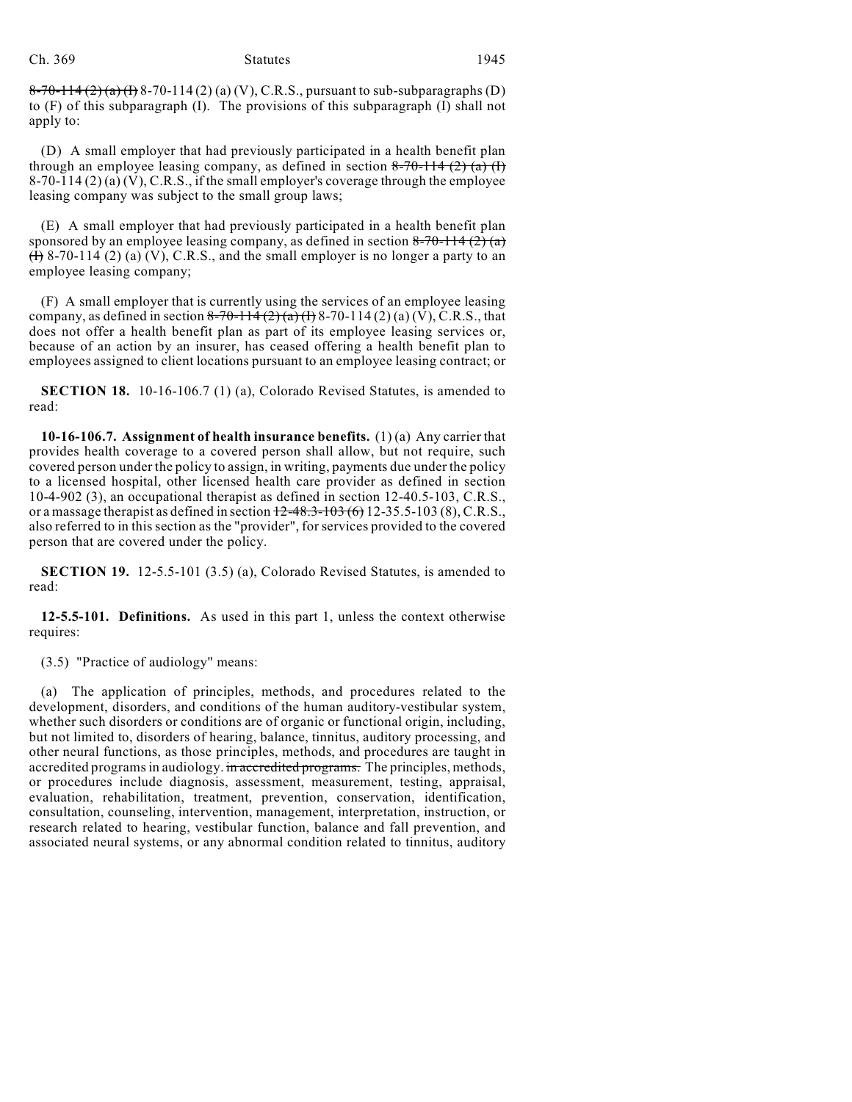$8-70-114(2)(a)(f) 8-70-114(2)(a)(V)$ , C.R.S., pursuant to sub-subparagraphs (D) to (F) of this subparagraph (I). The provisions of this subparagraph (I) shall not apply to:

(D) A small employer that had previously participated in a health benefit plan through an employee leasing company, as defined in section  $8-70-114$  (2) (a) (I)  $8-70-114(2)(a)(V)$ , C.R.S., if the small employer's coverage through the employee leasing company was subject to the small group laws;

(E) A small employer that had previously participated in a health benefit plan sponsored by an employee leasing company, as defined in section  $8-70-114$  (2) (a)  $(H)$  8-70-114 (2) (a) (V), C.R.S., and the small employer is no longer a party to an employee leasing company;

(F) A small employer that is currently using the services of an employee leasing company, as defined in section  $8-70-114(2)(a)(b)$  8-70-114(2)(a)(V), C.R.S., that does not offer a health benefit plan as part of its employee leasing services or, because of an action by an insurer, has ceased offering a health benefit plan to employees assigned to client locations pursuant to an employee leasing contract; or

**SECTION 18.** 10-16-106.7 (1) (a), Colorado Revised Statutes, is amended to read:

**10-16-106.7. Assignment of health insurance benefits.** (1) (a) Any carrier that provides health coverage to a covered person shall allow, but not require, such covered person under the policy to assign, in writing, payments due under the policy to a licensed hospital, other licensed health care provider as defined in section 10-4-902 (3), an occupational therapist as defined in section 12-40.5-103, C.R.S., or a massage therapist as defined in section  $12-48.3-103(6)$  12-35.5-103 (8), C.R.S., also referred to in this section as the "provider", for services provided to the covered person that are covered under the policy.

**SECTION 19.** 12-5.5-101 (3.5) (a), Colorado Revised Statutes, is amended to read:

**12-5.5-101. Definitions.** As used in this part 1, unless the context otherwise requires:

(3.5) "Practice of audiology" means:

(a) The application of principles, methods, and procedures related to the development, disorders, and conditions of the human auditory-vestibular system, whether such disorders or conditions are of organic or functional origin, including, but not limited to, disorders of hearing, balance, tinnitus, auditory processing, and other neural functions, as those principles, methods, and procedures are taught in accredited programs in audiology. in accredited programs. The principles, methods, or procedures include diagnosis, assessment, measurement, testing, appraisal, evaluation, rehabilitation, treatment, prevention, conservation, identification, consultation, counseling, intervention, management, interpretation, instruction, or research related to hearing, vestibular function, balance and fall prevention, and associated neural systems, or any abnormal condition related to tinnitus, auditory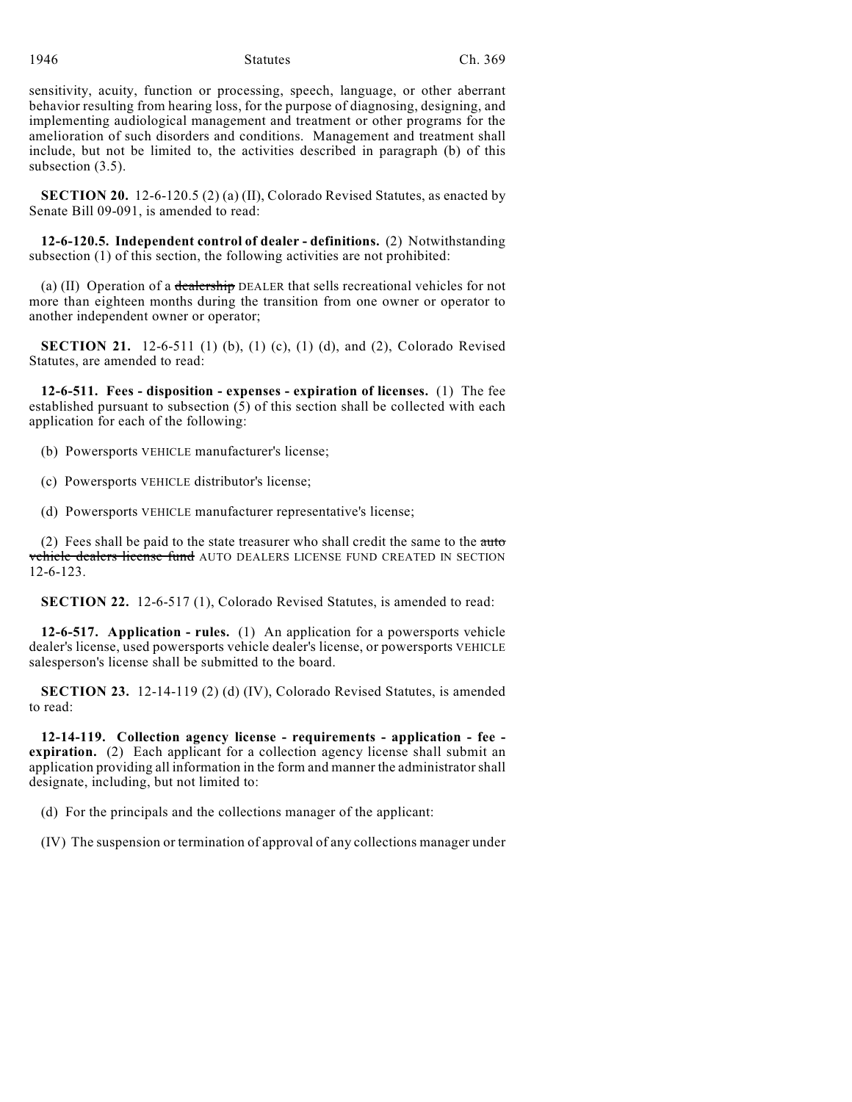1946 Statutes Ch. 369

sensitivity, acuity, function or processing, speech, language, or other aberrant behavior resulting from hearing loss, for the purpose of diagnosing, designing, and implementing audiological management and treatment or other programs for the amelioration of such disorders and conditions. Management and treatment shall include, but not be limited to, the activities described in paragraph (b) of this subsection  $(3.5)$ .

**SECTION 20.** 12-6-120.5 (2) (a) (II), Colorado Revised Statutes, as enacted by Senate Bill 09-091, is amended to read:

**12-6-120.5. Independent control of dealer - definitions.** (2) Notwithstanding subsection (1) of this section, the following activities are not prohibited:

(a) (II) Operation of a dealership DEALER that sells recreational vehicles for not more than eighteen months during the transition from one owner or operator to another independent owner or operator;

**SECTION 21.** 12-6-511 (1) (b), (1) (c), (1) (d), and (2), Colorado Revised Statutes, are amended to read:

**12-6-511. Fees - disposition - expenses - expiration of licenses.** (1) The fee established pursuant to subsection (5) of this section shall be collected with each application for each of the following:

(b) Powersports VEHICLE manufacturer's license;

(c) Powersports VEHICLE distributor's license;

(d) Powersports VEHICLE manufacturer representative's license;

(2) Fees shall be paid to the state treasurer who shall credit the same to the auto vehicle dealers license fund AUTO DEALERS LICENSE FUND CREATED IN SECTION 12-6-123.

**SECTION 22.** 12-6-517 (1), Colorado Revised Statutes, is amended to read:

**12-6-517. Application - rules.** (1) An application for a powersports vehicle dealer's license, used powersports vehicle dealer's license, or powersports VEHICLE salesperson's license shall be submitted to the board.

**SECTION 23.** 12-14-119 (2) (d) (IV), Colorado Revised Statutes, is amended to read:

**12-14-119. Collection agency license - requirements - application - fee expiration.** (2) Each applicant for a collection agency license shall submit an application providing all information in the form and manner the administrator shall designate, including, but not limited to:

(d) For the principals and the collections manager of the applicant:

(IV) The suspension or termination of approval of any collections manager under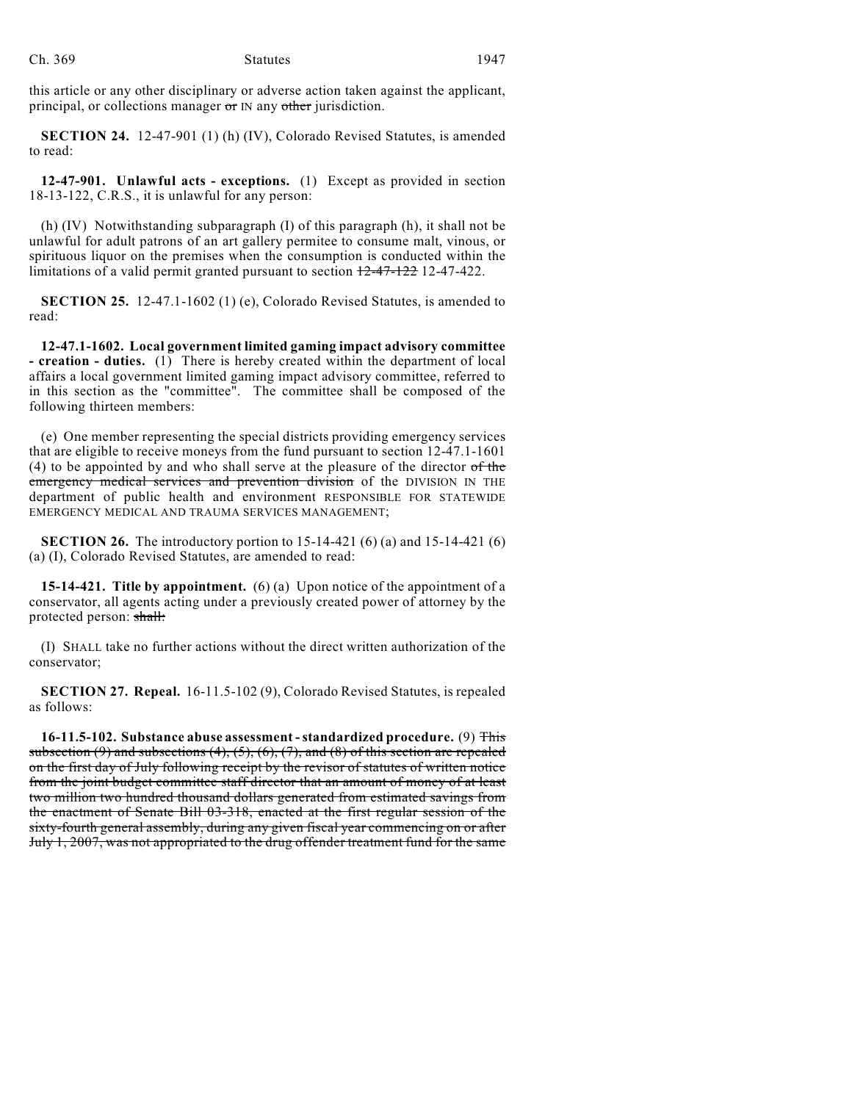this article or any other disciplinary or adverse action taken against the applicant, principal, or collections manager or IN any other jurisdiction.

**SECTION 24.** 12-47-901 (1) (h) (IV), Colorado Revised Statutes, is amended to read:

**12-47-901. Unlawful acts - exceptions.** (1) Except as provided in section 18-13-122, C.R.S., it is unlawful for any person:

(h) (IV) Notwithstanding subparagraph (I) of this paragraph (h), it shall not be unlawful for adult patrons of an art gallery permitee to consume malt, vinous, or spirituous liquor on the premises when the consumption is conducted within the limitations of a valid permit granted pursuant to section  $\frac{12-47-122}{2}$  12-47-422.

**SECTION 25.** 12-47.1-1602 (1) (e), Colorado Revised Statutes, is amended to read:

**12-47.1-1602. Local government limited gaming impact advisory committee - creation - duties.** (1) There is hereby created within the department of local affairs a local government limited gaming impact advisory committee, referred to in this section as the "committee". The committee shall be composed of the following thirteen members:

(e) One member representing the special districts providing emergency services that are eligible to receive moneys from the fund pursuant to section 12-47.1-1601 (4) to be appointed by and who shall serve at the pleasure of the director  $of$  the emergency medical services and prevention division of the DIVISION IN THE department of public health and environment RESPONSIBLE FOR STATEWIDE EMERGENCY MEDICAL AND TRAUMA SERVICES MANAGEMENT;

**SECTION 26.** The introductory portion to 15-14-421 (6) (a) and 15-14-421 (6) (a) (I), Colorado Revised Statutes, are amended to read:

**15-14-421. Title by appointment.** (6) (a) Upon notice of the appointment of a conservator, all agents acting under a previously created power of attorney by the protected person: shall:

(I) SHALL take no further actions without the direct written authorization of the conservator;

**SECTION 27. Repeal.** 16-11.5-102 (9), Colorado Revised Statutes, is repealed as follows:

**16-11.5-102. Substance abuse assessment - standardized procedure.** (9) This subsection  $(9)$  and subsections  $(4)$ ,  $(5)$ ,  $(6)$ ,  $(7)$ , and  $(8)$  of this section are repealed on the first day of July following receipt by the revisor of statutes of written notice from the joint budget committee staff director that an amount of money of at least two million two hundred thousand dollars generated from estimated savings from the enactment of Senate Bill 03-318, enacted at the first regular session of the sixty-fourth general assembly, during any given fiscal year commencing on or after July 1, 2007, was not appropriated to the drug offender treatment fund for the same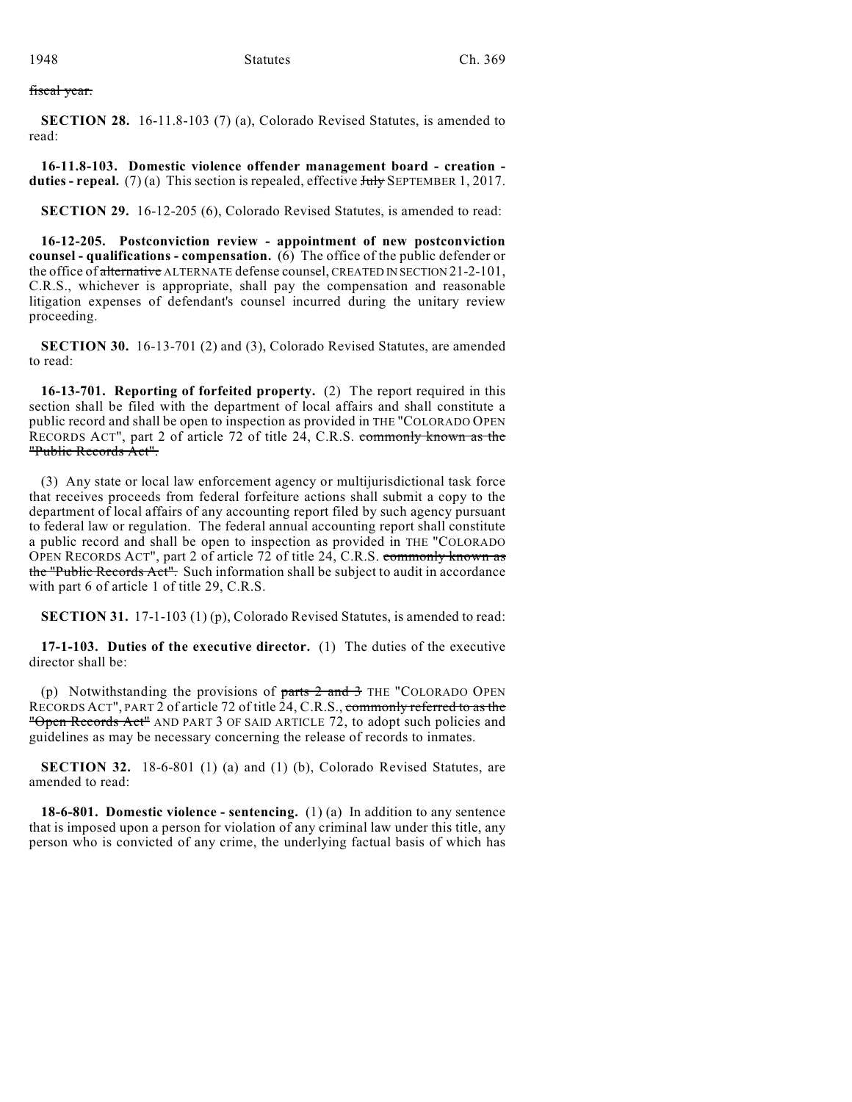fiscal year.

**SECTION 28.** 16-11.8-103 (7) (a), Colorado Revised Statutes, is amended to read:

**16-11.8-103. Domestic violence offender management board - creation duties - repeal.** (7) (a) This section is repealed, effective  $\frac{1}{2}$  SEPTEMBER 1, 2017.

**SECTION 29.** 16-12-205 (6), Colorado Revised Statutes, is amended to read:

**16-12-205. Postconviction review - appointment of new postconviction counsel - qualifications - compensation.** (6) The office of the public defender or the office of alternative ALTERNATE defense counsel, CREATED IN SECTION 21-2-101, C.R.S., whichever is appropriate, shall pay the compensation and reasonable litigation expenses of defendant's counsel incurred during the unitary review proceeding.

**SECTION 30.** 16-13-701 (2) and (3), Colorado Revised Statutes, are amended to read:

**16-13-701. Reporting of forfeited property.** (2) The report required in this section shall be filed with the department of local affairs and shall constitute a public record and shall be open to inspection as provided in THE "COLORADO OPEN RECORDS ACT", part 2 of article 72 of title 24, C.R.S. commonly known as the "Public Records Act".

(3) Any state or local law enforcement agency or multijurisdictional task force that receives proceeds from federal forfeiture actions shall submit a copy to the department of local affairs of any accounting report filed by such agency pursuant to federal law or regulation. The federal annual accounting report shall constitute a public record and shall be open to inspection as provided in THE "COLORADO OPEN RECORDS ACT", part 2 of article 72 of title 24, C.R.S. commonly known as the "Public Records Act". Such information shall be subject to audit in accordance with part 6 of article 1 of title 29, C.R.S.

**SECTION 31.** 17-1-103 (1) (p), Colorado Revised Statutes, is amended to read:

**17-1-103. Duties of the executive director.** (1) The duties of the executive director shall be:

(p) Notwithstanding the provisions of  $parts$  2 and 3 THE "COLORADO OPEN RECORDS ACT", PART 2 of article 72 of title 24, C.R.S., commonly referred to as the "Open Records Act" AND PART 3 OF SAID ARTICLE 72, to adopt such policies and guidelines as may be necessary concerning the release of records to inmates.

**SECTION 32.** 18-6-801 (1) (a) and (1) (b), Colorado Revised Statutes, are amended to read:

**18-6-801. Domestic violence - sentencing.** (1) (a) In addition to any sentence that is imposed upon a person for violation of any criminal law under this title, any person who is convicted of any crime, the underlying factual basis of which has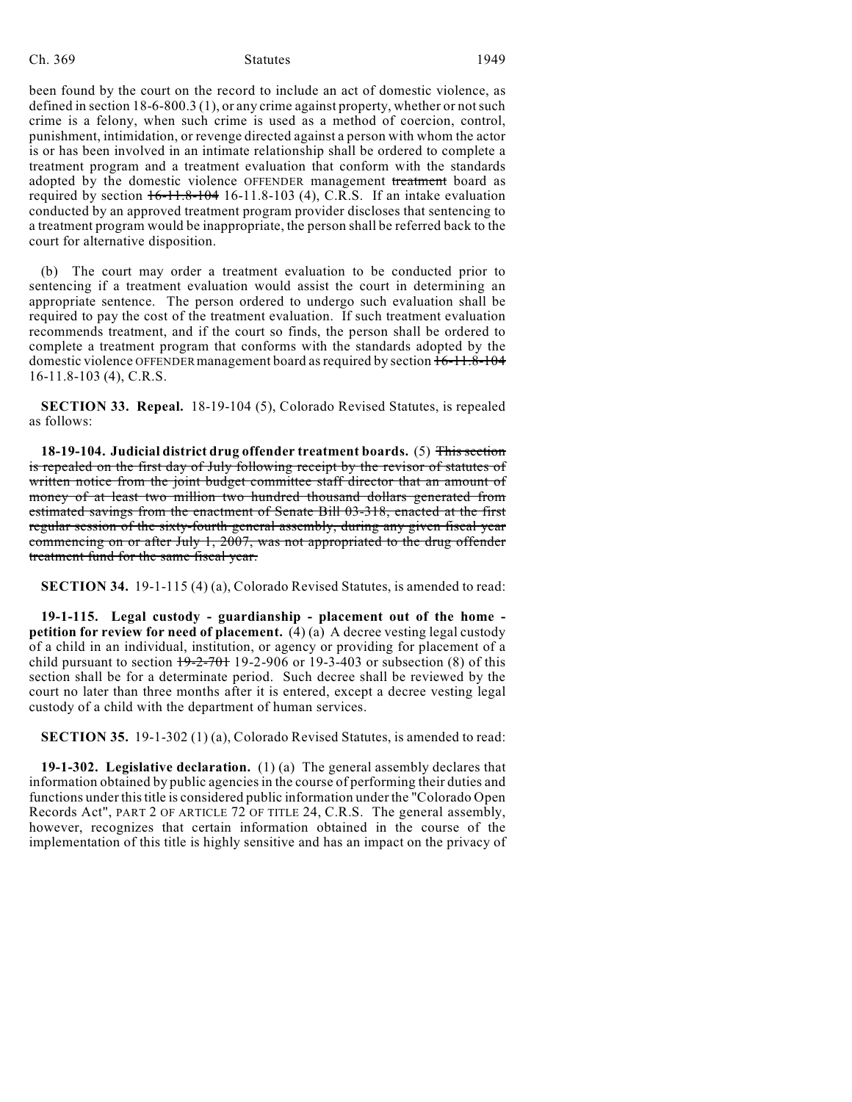been found by the court on the record to include an act of domestic violence, as defined in section 18-6-800.3 (1), or any crime against property, whether or not such crime is a felony, when such crime is used as a method of coercion, control, punishment, intimidation, or revenge directed against a person with whom the actor is or has been involved in an intimate relationship shall be ordered to complete a treatment program and a treatment evaluation that conform with the standards adopted by the domestic violence OFFENDER management treatment board as required by section  $16-11.8-104$  16-11.8-103 (4), C.R.S. If an intake evaluation conducted by an approved treatment program provider discloses that sentencing to a treatment program would be inappropriate, the person shall be referred back to the court for alternative disposition.

(b) The court may order a treatment evaluation to be conducted prior to sentencing if a treatment evaluation would assist the court in determining an appropriate sentence. The person ordered to undergo such evaluation shall be required to pay the cost of the treatment evaluation. If such treatment evaluation recommends treatment, and if the court so finds, the person shall be ordered to complete a treatment program that conforms with the standards adopted by the domestic violence OFFENDER management board as required by section  $16-11.8-104$ 16-11.8-103 (4), C.R.S.

**SECTION 33. Repeal.** 18-19-104 (5), Colorado Revised Statutes, is repealed as follows:

**18-19-104. Judicial district drug offender treatment boards.** (5) This section is repealed on the first day of July following receipt by the revisor of statutes of written notice from the joint budget committee staff director that an amount of money of at least two million two hundred thousand dollars generated from estimated savings from the enactment of Senate Bill 03-318, enacted at the first regular session of the sixty-fourth general assembly, during any given fiscal year commencing on or after July 1, 2007, was not appropriated to the drug offender treatment fund for the same fiscal year.

**SECTION 34.** 19-1-115 (4) (a), Colorado Revised Statutes, is amended to read:

**19-1-115. Legal custody - guardianship - placement out of the home petition for review for need of placement.** (4) (a) A decree vesting legal custody of a child in an individual, institution, or agency or providing for placement of a child pursuant to section  $19-2-701$  19-2-906 or 19-3-403 or subsection (8) of this section shall be for a determinate period. Such decree shall be reviewed by the court no later than three months after it is entered, except a decree vesting legal custody of a child with the department of human services.

**SECTION 35.** 19-1-302 (1) (a), Colorado Revised Statutes, is amended to read:

**19-1-302. Legislative declaration.** (1) (a) The general assembly declares that information obtained by public agencies in the course of performing their duties and functions under this title is considered public information under the "Colorado Open Records Act", PART 2 OF ARTICLE 72 OF TITLE 24, C.R.S. The general assembly, however, recognizes that certain information obtained in the course of the implementation of this title is highly sensitive and has an impact on the privacy of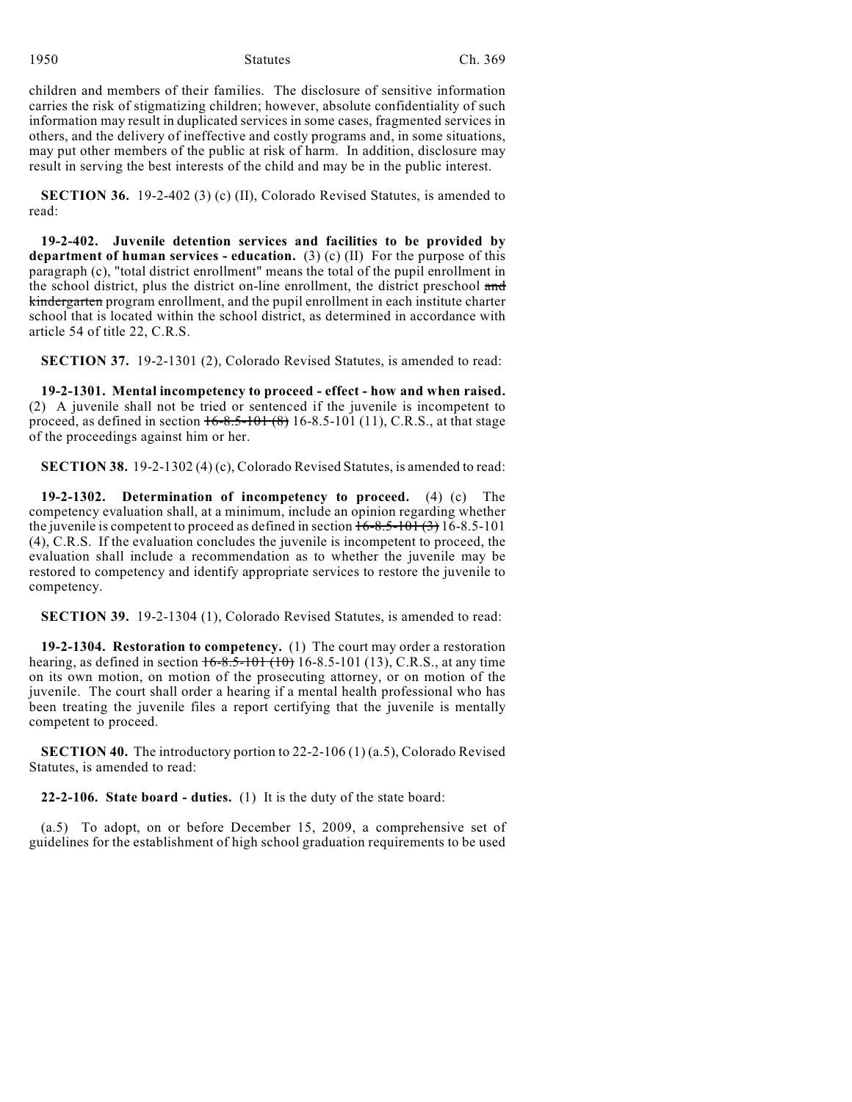1950 Statutes Ch. 369

children and members of their families. The disclosure of sensitive information carries the risk of stigmatizing children; however, absolute confidentiality of such information may result in duplicated services in some cases, fragmented services in others, and the delivery of ineffective and costly programs and, in some situations, may put other members of the public at risk of harm. In addition, disclosure may result in serving the best interests of the child and may be in the public interest.

**SECTION 36.** 19-2-402 (3) (c) (II), Colorado Revised Statutes, is amended to read:

**19-2-402. Juvenile detention services and facilities to be provided by department of human services - education.** (3) (c) (II) For the purpose of this paragraph (c), "total district enrollment" means the total of the pupil enrollment in the school district, plus the district on-line enrollment, the district preschool and kindergarten program enrollment, and the pupil enrollment in each institute charter school that is located within the school district, as determined in accordance with article 54 of title 22, C.R.S.

**SECTION 37.** 19-2-1301 (2), Colorado Revised Statutes, is amended to read:

**19-2-1301. Mental incompetency to proceed - effect - how and when raised.** (2) A juvenile shall not be tried or sentenced if the juvenile is incompetent to proceed, as defined in section  $16-8.5-101(8)$  16-8.5-101 (11), C.R.S., at that stage of the proceedings against him or her.

**SECTION 38.** 19-2-1302 (4) (c), Colorado Revised Statutes, is amended to read:

**19-2-1302. Determination of incompetency to proceed.** (4) (c) The competency evaluation shall, at a minimum, include an opinion regarding whether the juvenile is competent to proceed as defined in section  $16-8.5-101(3)$  16-8.5-101 (4), C.R.S. If the evaluation concludes the juvenile is incompetent to proceed, the evaluation shall include a recommendation as to whether the juvenile may be restored to competency and identify appropriate services to restore the juvenile to competency.

**SECTION 39.** 19-2-1304 (1), Colorado Revised Statutes, is amended to read:

**19-2-1304. Restoration to competency.** (1) The court may order a restoration hearing, as defined in section  $16-8.5-101(10)$  16-8.5-101 (13), C.R.S., at any time on its own motion, on motion of the prosecuting attorney, or on motion of the juvenile. The court shall order a hearing if a mental health professional who has been treating the juvenile files a report certifying that the juvenile is mentally competent to proceed.

**SECTION 40.** The introductory portion to 22-2-106 (1) (a.5), Colorado Revised Statutes, is amended to read:

**22-2-106. State board - duties.** (1) It is the duty of the state board:

(a.5) To adopt, on or before December 15, 2009, a comprehensive set of guidelines for the establishment of high school graduation requirements to be used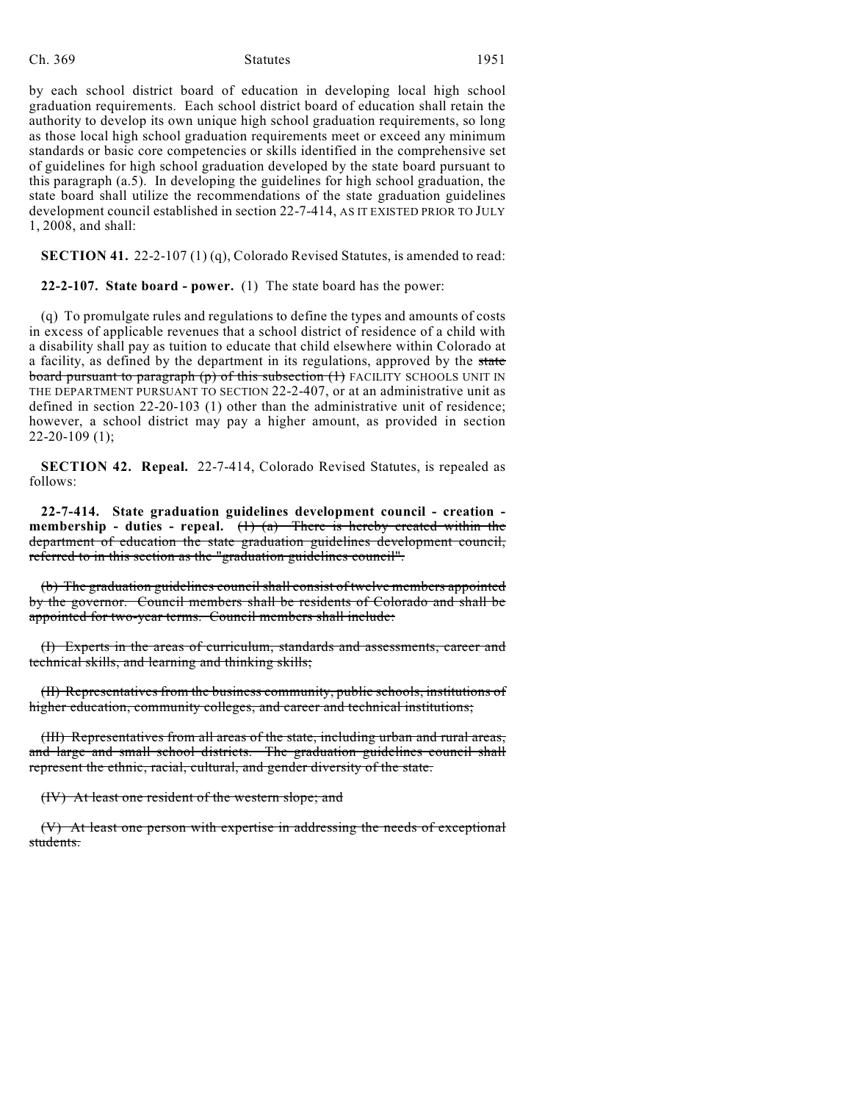by each school district board of education in developing local high school graduation requirements. Each school district board of education shall retain the authority to develop its own unique high school graduation requirements, so long as those local high school graduation requirements meet or exceed any minimum standards or basic core competencies or skills identified in the comprehensive set of guidelines for high school graduation developed by the state board pursuant to this paragraph (a.5). In developing the guidelines for high school graduation, the state board shall utilize the recommendations of the state graduation guidelines development council established in section 22-7-414, AS IT EXISTED PRIOR TO JULY 1, 2008, and shall:

**SECTION 41.** 22-2-107 (1) (q), Colorado Revised Statutes, is amended to read:

**22-2-107. State board - power.** (1) The state board has the power:

(q) To promulgate rules and regulations to define the types and amounts of costs in excess of applicable revenues that a school district of residence of a child with a disability shall pay as tuition to educate that child elsewhere within Colorado at a facility, as defined by the department in its regulations, approved by the state board pursuant to paragraph  $(p)$  of this subsection  $(1)$  FACILITY SCHOOLS UNIT IN THE DEPARTMENT PURSUANT TO SECTION 22-2-407, or at an administrative unit as defined in section 22-20-103 (1) other than the administrative unit of residence; however, a school district may pay a higher amount, as provided in section 22-20-109 (1);

**SECTION 42. Repeal.** 22-7-414, Colorado Revised Statutes, is repealed as follows:

**22-7-414. State graduation guidelines development council - creation**  membership - duties - repeal. (1) (a) There is hereby created within the department of education the state graduation guidelines development council, referred to in this section as the "graduation guidelines council".

(b) The graduation guidelines council shall consist of twelve members appointed by the governor. Council members shall be residents of Colorado and shall be appointed for two-year terms. Council members shall include:

(I) Experts in the areas of curriculum, standards and assessments, career and technical skills, and learning and thinking skills;

(II) Representatives from the business community, public schools, institutions of higher education, community colleges, and career and technical institutions;

(III) Representatives from all areas of the state, including urban and rural areas, and large and small school districts. The graduation guidelines council shall represent the ethnic, racial, cultural, and gender diversity of the state.

(IV) At least one resident of the western slope; and

(V) At least one person with expertise in addressing the needs of exceptional students.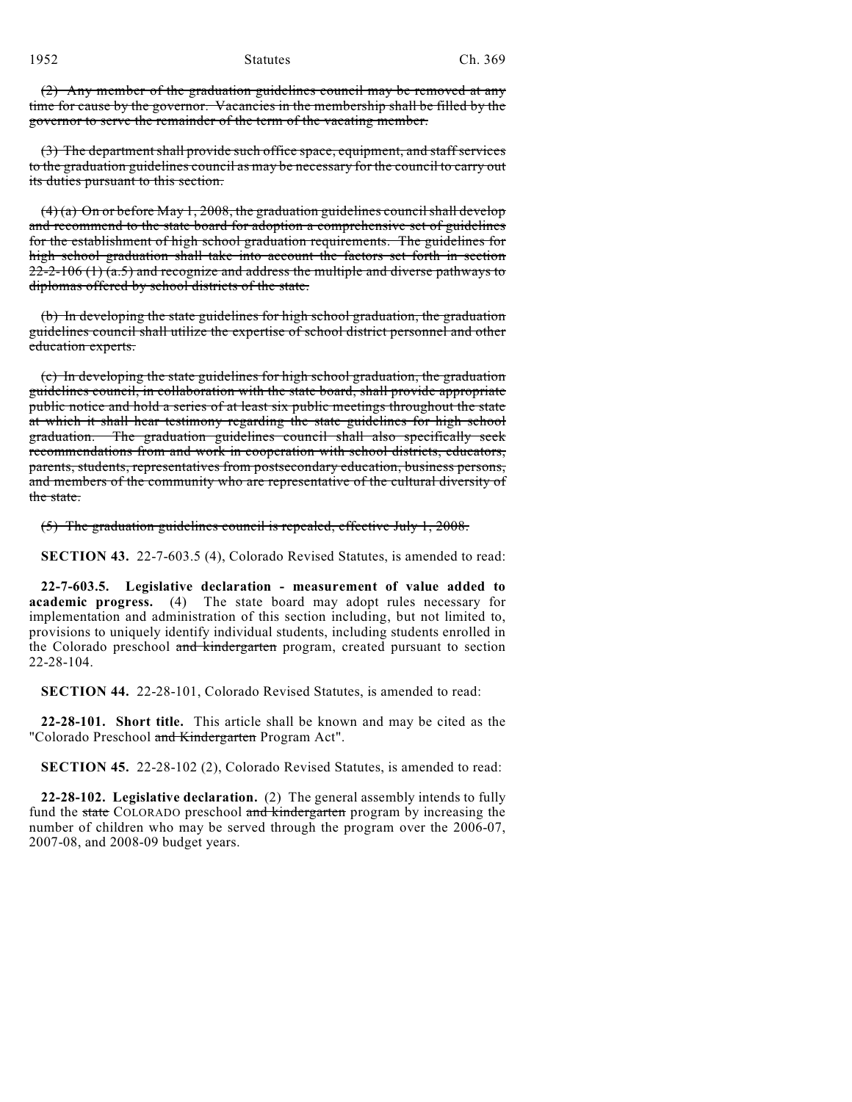1952 Statutes Ch. 369

(2) Any member of the graduation guidelines council may be removed at any time for cause by the governor. Vacancies in the membership shall be filled by the governor to serve the remainder of the term of the vacating member.

(3) The department shall provide such office space, equipment, and staff services to the graduation guidelines council as may be necessary for the council to carry out its duties pursuant to this section.

 $(4)$  (a) On or before May 1, 2008, the graduation guidelines council shall develop and recommend to the state board for adoption a comprehensive set of guidelines for the establishment of high school graduation requirements. The guidelines for high school graduation shall take into account the factors set forth in section  $22$ -2-106 (1) (a.5) and recognize and address the multiple and diverse pathways to diplomas offered by school districts of the state.

(b) In developing the state guidelines for high school graduation, the graduation guidelines council shall utilize the expertise of school district personnel and other education experts.

(c) In developing the state guidelines for high school graduation, the graduation guidelines council, in collaboration with the state board, shall provide appropriate public notice and hold a series of at least six public meetings throughout the state at which it shall hear testimony regarding the state guidelines for high school graduation. The graduation guidelines council shall also specifically seek recommendations from and work in cooperation with school districts, educators, parents, students, representatives from postsecondary education, business persons, and members of the community who are representative of the cultural diversity of the state.

(5) The graduation guidelines council is repealed, effective July 1, 2008.

**SECTION 43.** 22-7-603.5 (4), Colorado Revised Statutes, is amended to read:

**22-7-603.5. Legislative declaration - measurement of value added to academic progress.** (4) The state board may adopt rules necessary for implementation and administration of this section including, but not limited to, provisions to uniquely identify individual students, including students enrolled in the Colorado preschool and kindergarten program, created pursuant to section 22-28-104.

**SECTION 44.** 22-28-101, Colorado Revised Statutes, is amended to read:

**22-28-101. Short title.** This article shall be known and may be cited as the "Colorado Preschool and Kindergarten Program Act".

**SECTION 45.** 22-28-102 (2), Colorado Revised Statutes, is amended to read:

**22-28-102. Legislative declaration.** (2) The general assembly intends to fully fund the state COLORADO preschool and kindergarten program by increasing the number of children who may be served through the program over the 2006-07, 2007-08, and 2008-09 budget years.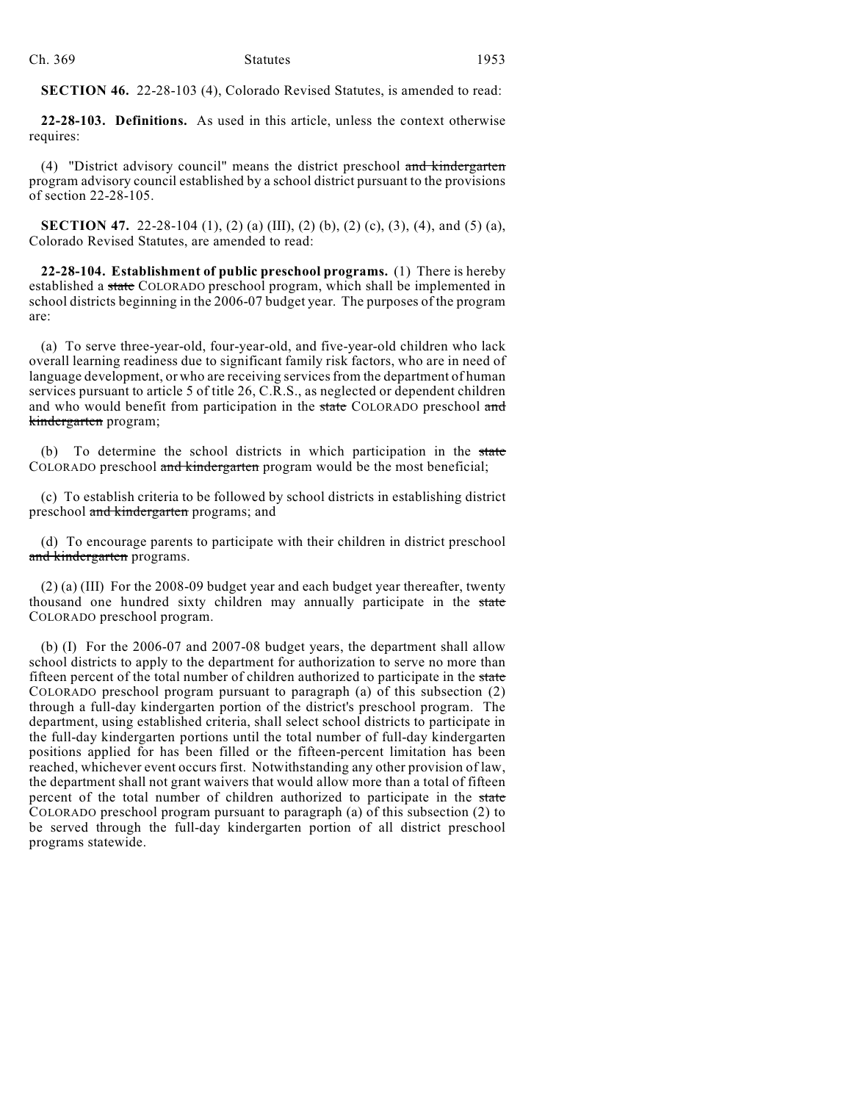**SECTION 46.** 22-28-103 (4), Colorado Revised Statutes, is amended to read:

**22-28-103. Definitions.** As used in this article, unless the context otherwise requires:

(4) "District advisory council" means the district preschool and kindergarten program advisory council established by a school district pursuant to the provisions of section 22-28-105.

**SECTION 47.** 22-28-104 (1), (2) (a) (III), (2) (b), (2) (c), (3), (4), and (5) (a), Colorado Revised Statutes, are amended to read:

**22-28-104. Establishment of public preschool programs.** (1) There is hereby established a state COLORADO preschool program, which shall be implemented in school districts beginning in the 2006-07 budget year. The purposes of the program are:

(a) To serve three-year-old, four-year-old, and five-year-old children who lack overall learning readiness due to significant family risk factors, who are in need of language development, or who are receiving services from the department of human services pursuant to article 5 of title 26, C.R.S., as neglected or dependent children and who would benefit from participation in the state COLORADO preschool and kindergarten program;

(b) To determine the school districts in which participation in the state COLORADO preschool and kindergarten program would be the most beneficial;

(c) To establish criteria to be followed by school districts in establishing district preschool and kindergarten programs; and

(d) To encourage parents to participate with their children in district preschool and kindergarten programs.

(2) (a) (III) For the 2008-09 budget year and each budget year thereafter, twenty thousand one hundred sixty children may annually participate in the state COLORADO preschool program.

(b) (I) For the 2006-07 and 2007-08 budget years, the department shall allow school districts to apply to the department for authorization to serve no more than fifteen percent of the total number of children authorized to participate in the state COLORADO preschool program pursuant to paragraph (a) of this subsection (2) through a full-day kindergarten portion of the district's preschool program. The department, using established criteria, shall select school districts to participate in the full-day kindergarten portions until the total number of full-day kindergarten positions applied for has been filled or the fifteen-percent limitation has been reached, whichever event occurs first. Notwithstanding any other provision of law, the department shall not grant waivers that would allow more than a total of fifteen percent of the total number of children authorized to participate in the state COLORADO preschool program pursuant to paragraph (a) of this subsection (2) to be served through the full-day kindergarten portion of all district preschool programs statewide.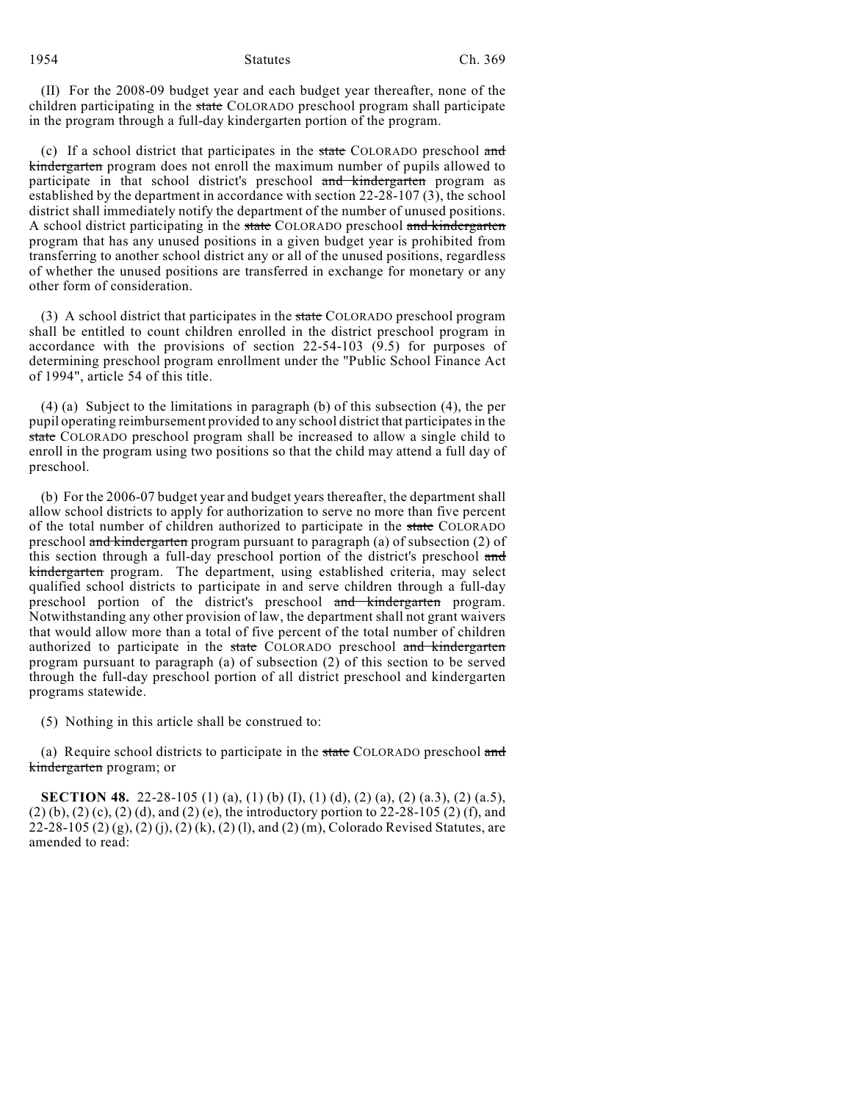(II) For the 2008-09 budget year and each budget year thereafter, none of the children participating in the state COLORADO preschool program shall participate in the program through a full-day kindergarten portion of the program.

(c) If a school district that participates in the state COLORADO preschool and kindergarten program does not enroll the maximum number of pupils allowed to participate in that school district's preschool and kindergarten program as established by the department in accordance with section 22-28-107 (3), the school district shall immediately notify the department of the number of unused positions. A school district participating in the state COLORADO preschool and kindergarten program that has any unused positions in a given budget year is prohibited from transferring to another school district any or all of the unused positions, regardless of whether the unused positions are transferred in exchange for monetary or any other form of consideration.

(3) A school district that participates in the state COLORADO preschool program shall be entitled to count children enrolled in the district preschool program in accordance with the provisions of section 22-54-103 (9.5) for purposes of determining preschool program enrollment under the "Public School Finance Act of 1994", article 54 of this title.

(4) (a) Subject to the limitations in paragraph (b) of this subsection (4), the per pupil operating reimbursement provided to any school district that participates in the state COLORADO preschool program shall be increased to allow a single child to enroll in the program using two positions so that the child may attend a full day of preschool.

(b) For the 2006-07 budget year and budget years thereafter, the department shall allow school districts to apply for authorization to serve no more than five percent of the total number of children authorized to participate in the state COLORADO preschool and kindergarten program pursuant to paragraph (a) of subsection (2) of this section through a full-day preschool portion of the district's preschool and kindergarten program. The department, using established criteria, may select qualified school districts to participate in and serve children through a full-day preschool portion of the district's preschool and kindergarten program. Notwithstanding any other provision of law, the department shall not grant waivers that would allow more than a total of five percent of the total number of children authorized to participate in the state COLORADO preschool and kindergarten program pursuant to paragraph (a) of subsection (2) of this section to be served through the full-day preschool portion of all district preschool and kindergarten programs statewide.

(5) Nothing in this article shall be construed to:

(a) Require school districts to participate in the state COLORADO preschool and kindergarten program; or

**SECTION 48.** 22-28-105 (1) (a), (1) (b) (I), (1) (d), (2) (a), (2) (a.3), (2) (a.5),  $(2)$  (b),  $(2)$  (c),  $(2)$  (d), and  $(2)$  (e), the introductory portion to 22-28-105 (2) (f), and 22-28-105 (2) (g), (2) (j), (2) (k), (2) (l), and (2) (m), Colorado Revised Statutes, are amended to read: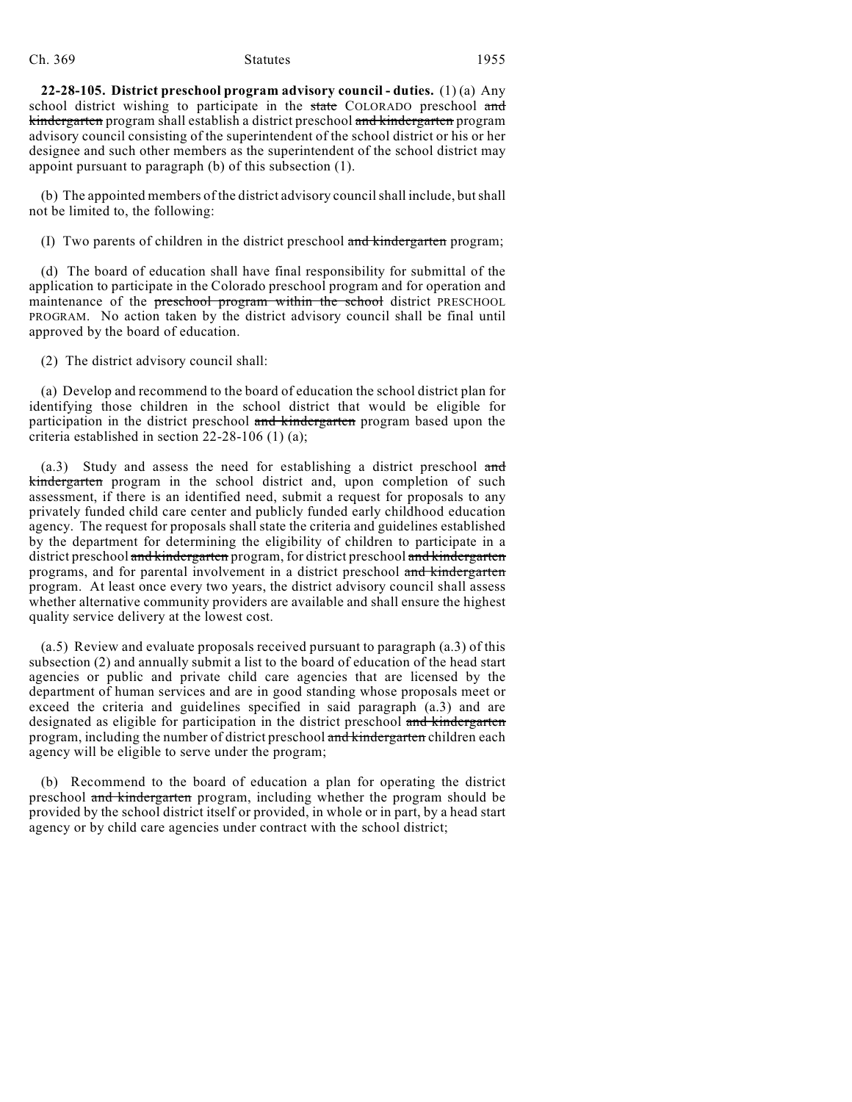**22-28-105. District preschool program advisory council - duties.** (1) (a) Any school district wishing to participate in the state COLORADO preschool and kindergarten program shall establish a district preschool and kindergarten program advisory council consisting of the superintendent of the school district or his or her designee and such other members as the superintendent of the school district may appoint pursuant to paragraph (b) of this subsection (1).

(b) The appointed members of the district advisory council shall include, but shall not be limited to, the following:

(I) Two parents of children in the district preschool and kindergarten program;

(d) The board of education shall have final responsibility for submittal of the application to participate in the Colorado preschool program and for operation and maintenance of the preschool program within the school district PRESCHOOL PROGRAM. No action taken by the district advisory council shall be final until approved by the board of education.

(2) The district advisory council shall:

(a) Develop and recommend to the board of education the school district plan for identifying those children in the school district that would be eligible for participation in the district preschool and kindergarten program based upon the criteria established in section 22-28-106 (1) (a);

(a.3) Study and assess the need for establishing a district preschool and kindergarten program in the school district and, upon completion of such assessment, if there is an identified need, submit a request for proposals to any privately funded child care center and publicly funded early childhood education agency. The request for proposals shall state the criteria and guidelines established by the department for determining the eligibility of children to participate in a district preschool and kindergarten program, for district preschool and kindergarten programs, and for parental involvement in a district preschool and kindergarten program. At least once every two years, the district advisory council shall assess whether alternative community providers are available and shall ensure the highest quality service delivery at the lowest cost.

(a.5) Review and evaluate proposals received pursuant to paragraph (a.3) of this subsection (2) and annually submit a list to the board of education of the head start agencies or public and private child care agencies that are licensed by the department of human services and are in good standing whose proposals meet or exceed the criteria and guidelines specified in said paragraph (a.3) and are designated as eligible for participation in the district preschool and kindergarten program, including the number of district preschool and kindergarten children each agency will be eligible to serve under the program;

(b) Recommend to the board of education a plan for operating the district preschool and kindergarten program, including whether the program should be provided by the school district itself or provided, in whole or in part, by a head start agency or by child care agencies under contract with the school district;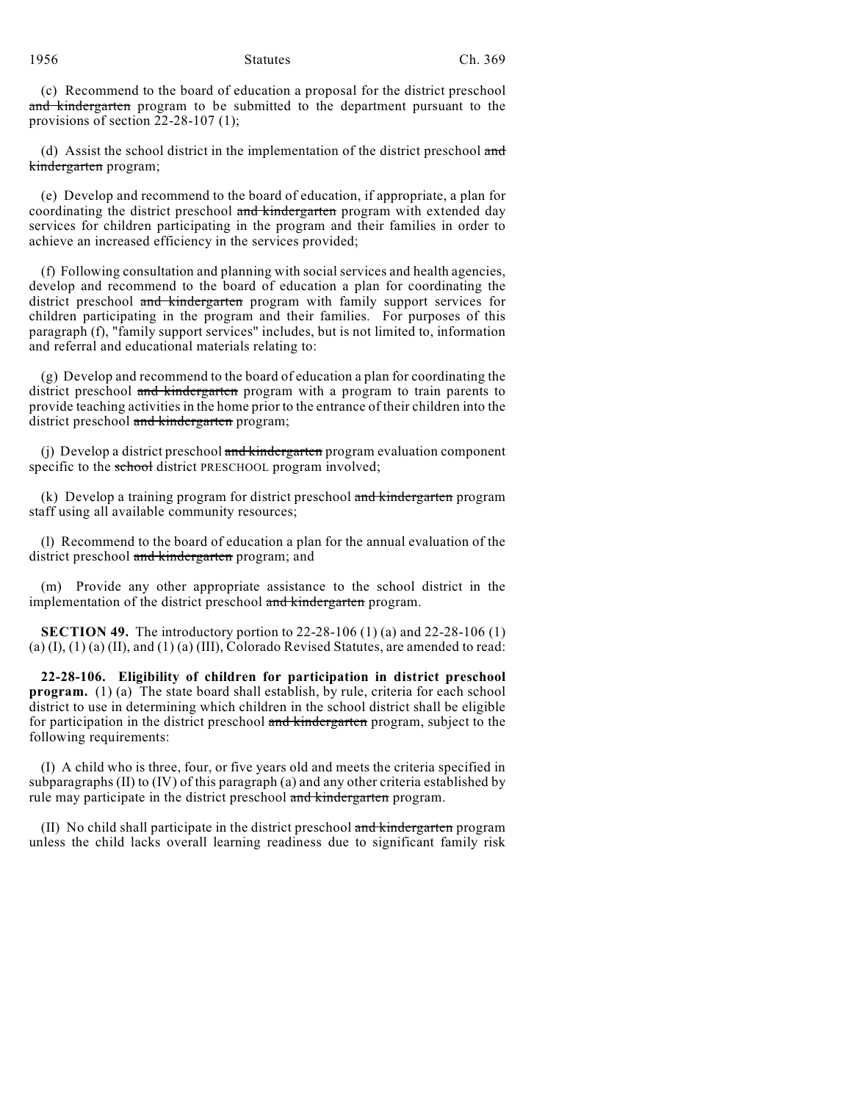(c) Recommend to the board of education a proposal for the district preschool and kindergarten program to be submitted to the department pursuant to the provisions of section 22-28-107 (1);

(d) Assist the school district in the implementation of the district preschool and kindergarten program;

(e) Develop and recommend to the board of education, if appropriate, a plan for coordinating the district preschool and kindergarten program with extended day services for children participating in the program and their families in order to achieve an increased efficiency in the services provided;

(f) Following consultation and planning with social services and health agencies, develop and recommend to the board of education a plan for coordinating the district preschool and kindergarten program with family support services for children participating in the program and their families. For purposes of this paragraph (f), "family support services" includes, but is not limited to, information and referral and educational materials relating to:

(g) Develop and recommend to the board of education a plan for coordinating the district preschool and kindergarten program with a program to train parents to provide teaching activities in the home prior to the entrance of their children into the district preschool and kindergarten program;

(j) Develop a district preschool and kindergarten program evaluation component specific to the school district PRESCHOOL program involved;

(k) Develop a training program for district preschool and kindergarten program staff using all available community resources;

(l) Recommend to the board of education a plan for the annual evaluation of the district preschool and kindergarten program; and

(m) Provide any other appropriate assistance to the school district in the implementation of the district preschool and kindergarten program.

**SECTION 49.** The introductory portion to 22-28-106 (1) (a) and 22-28-106 (1) (a)  $(I)$ ,  $(I)$   $(a)$   $(II)$ , and  $(1)$   $(a)$   $(III)$ , Colorado Revised Statutes, are amended to read:

**22-28-106. Eligibility of children for participation in district preschool program.** (1) (a) The state board shall establish, by rule, criteria for each school district to use in determining which children in the school district shall be eligible for participation in the district preschool and kindergarten program, subject to the following requirements:

(I) A child who is three, four, or five years old and meets the criteria specified in subparagraphs (II) to (IV) of this paragraph (a) and any other criteria established by rule may participate in the district preschool and kindergarten program.

(II) No child shall participate in the district preschool and kindergarten program unless the child lacks overall learning readiness due to significant family risk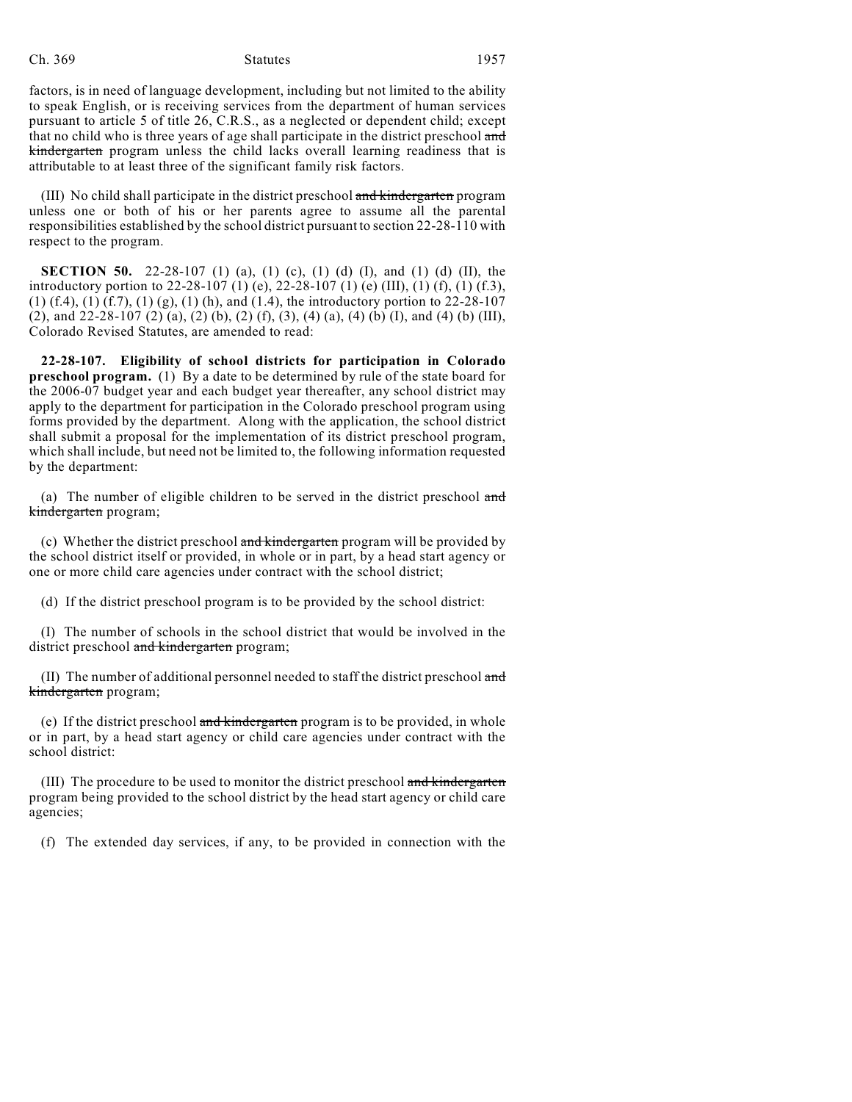factors, is in need of language development, including but not limited to the ability to speak English, or is receiving services from the department of human services pursuant to article 5 of title 26, C.R.S., as a neglected or dependent child; except that no child who is three years of age shall participate in the district preschool and kindergarten program unless the child lacks overall learning readiness that is attributable to at least three of the significant family risk factors.

(III) No child shall participate in the district preschool and kindergarten program unless one or both of his or her parents agree to assume all the parental responsibilities established by the school district pursuant to section 22-28-110 with respect to the program.

**SECTION 50.** 22-28-107 (1) (a), (1) (c), (1) (d) (I), and (1) (d) (II), the introductory portion to 22-28-107 (1) (e), 22-28-107 (1) (e) (III), (1) (f), (1) (f.3),  $(1)$  (f.4),  $(1)$  (f.7),  $(1)$  (g),  $(1)$  (h), and  $(1.4)$ , the introductory portion to 22-28-107 (2), and  $22-28-107$  (2) (a), (2) (b), (2) (f), (3), (4) (a), (4) (b) (I), and (4) (b) (III), Colorado Revised Statutes, are amended to read:

**22-28-107. Eligibility of school districts for participation in Colorado preschool program.** (1) By a date to be determined by rule of the state board for the 2006-07 budget year and each budget year thereafter, any school district may apply to the department for participation in the Colorado preschool program using forms provided by the department. Along with the application, the school district shall submit a proposal for the implementation of its district preschool program, which shall include, but need not be limited to, the following information requested by the department:

(a) The number of eligible children to be served in the district preschool and kindergarten program;

(c) Whether the district preschool and kindergarten program will be provided by the school district itself or provided, in whole or in part, by a head start agency or one or more child care agencies under contract with the school district;

(d) If the district preschool program is to be provided by the school district:

(I) The number of schools in the school district that would be involved in the district preschool and kindergarten program;

(II) The number of additional personnel needed to staff the district preschool and kindergarten program;

(e) If the district preschool and kindergarten program is to be provided, in whole or in part, by a head start agency or child care agencies under contract with the school district:

(III) The procedure to be used to monitor the district preschool and kindergarten program being provided to the school district by the head start agency or child care agencies;

(f) The extended day services, if any, to be provided in connection with the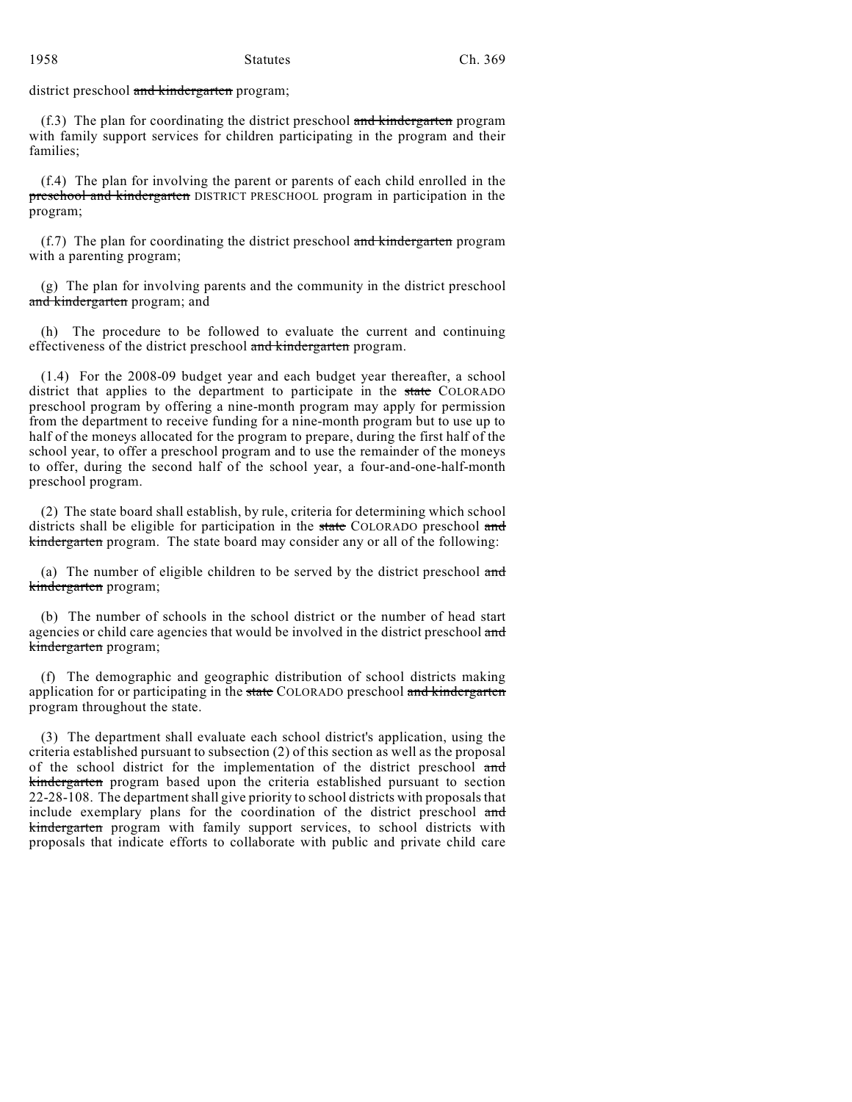district preschool and kindergarten program;

(f.3) The plan for coordinating the district preschool and kindergarten program with family support services for children participating in the program and their families;

(f.4) The plan for involving the parent or parents of each child enrolled in the preschool and kindergarten DISTRICT PRESCHOOL program in participation in the program;

(f.7) The plan for coordinating the district preschool and kindergarten program with a parenting program;

(g) The plan for involving parents and the community in the district preschool and kindergarten program; and

(h) The procedure to be followed to evaluate the current and continuing effectiveness of the district preschool and kindergarten program.

(1.4) For the 2008-09 budget year and each budget year thereafter, a school district that applies to the department to participate in the state COLORADO preschool program by offering a nine-month program may apply for permission from the department to receive funding for a nine-month program but to use up to half of the moneys allocated for the program to prepare, during the first half of the school year, to offer a preschool program and to use the remainder of the moneys to offer, during the second half of the school year, a four-and-one-half-month preschool program.

(2) The state board shall establish, by rule, criteria for determining which school districts shall be eligible for participation in the state COLORADO preschool and kindergarten program. The state board may consider any or all of the following:

(a) The number of eligible children to be served by the district preschool and kindergarten program;

(b) The number of schools in the school district or the number of head start agencies or child care agencies that would be involved in the district preschool and kindergarten program;

(f) The demographic and geographic distribution of school districts making application for or participating in the state COLORADO preschool and kindergarten program throughout the state.

(3) The department shall evaluate each school district's application, using the criteria established pursuant to subsection (2) of this section as well as the proposal of the school district for the implementation of the district preschool and kindergarten program based upon the criteria established pursuant to section 22-28-108. The department shall give priority to school districts with proposals that include exemplary plans for the coordination of the district preschool and kindergarten program with family support services, to school districts with proposals that indicate efforts to collaborate with public and private child care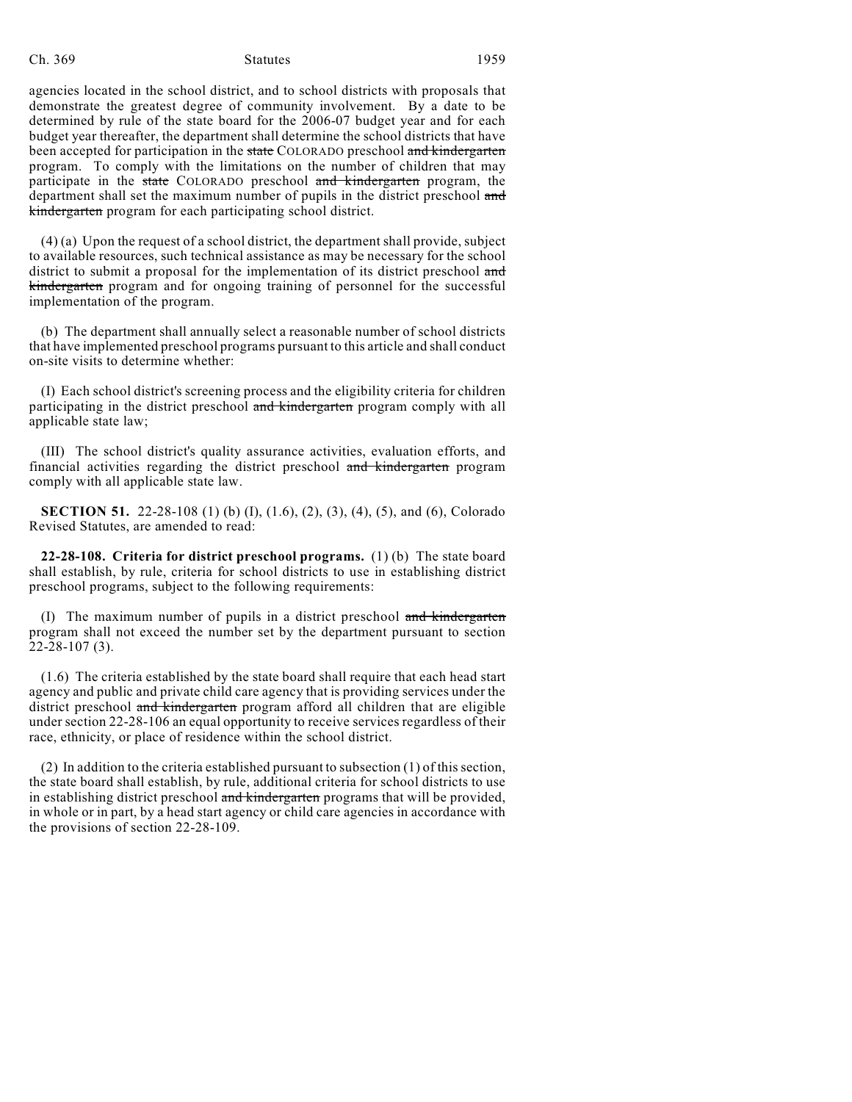agencies located in the school district, and to school districts with proposals that demonstrate the greatest degree of community involvement. By a date to be determined by rule of the state board for the 2006-07 budget year and for each budget year thereafter, the department shall determine the school districts that have been accepted for participation in the state COLORADO preschool and kindergarten program. To comply with the limitations on the number of children that may participate in the state COLORADO preschool and kindergarten program, the department shall set the maximum number of pupils in the district preschool and kindergarten program for each participating school district.

(4) (a) Upon the request of a school district, the department shall provide, subject to available resources, such technical assistance as may be necessary for the school district to submit a proposal for the implementation of its district preschool and kindergarten program and for ongoing training of personnel for the successful implementation of the program.

(b) The department shall annually select a reasonable number of school districts that have implemented preschool programs pursuant to this article and shall conduct on-site visits to determine whether:

(I) Each school district's screening process and the eligibility criteria for children participating in the district preschool and kindergarten program comply with all applicable state law;

(III) The school district's quality assurance activities, evaluation efforts, and financial activities regarding the district preschool and kindergarten program comply with all applicable state law.

**SECTION 51.** 22-28-108 (1) (b) (I), (1.6), (2), (3), (4), (5), and (6), Colorado Revised Statutes, are amended to read:

**22-28-108. Criteria for district preschool programs.** (1) (b) The state board shall establish, by rule, criteria for school districts to use in establishing district preschool programs, subject to the following requirements:

(I) The maximum number of pupils in a district preschool and kindergarten program shall not exceed the number set by the department pursuant to section 22-28-107 (3).

(1.6) The criteria established by the state board shall require that each head start agency and public and private child care agency that is providing services under the district preschool and kindergarten program afford all children that are eligible under section 22-28-106 an equal opportunity to receive services regardless of their race, ethnicity, or place of residence within the school district.

(2) In addition to the criteria established pursuant to subsection (1) of this section, the state board shall establish, by rule, additional criteria for school districts to use in establishing district preschool and kindergarten programs that will be provided, in whole or in part, by a head start agency or child care agencies in accordance with the provisions of section 22-28-109.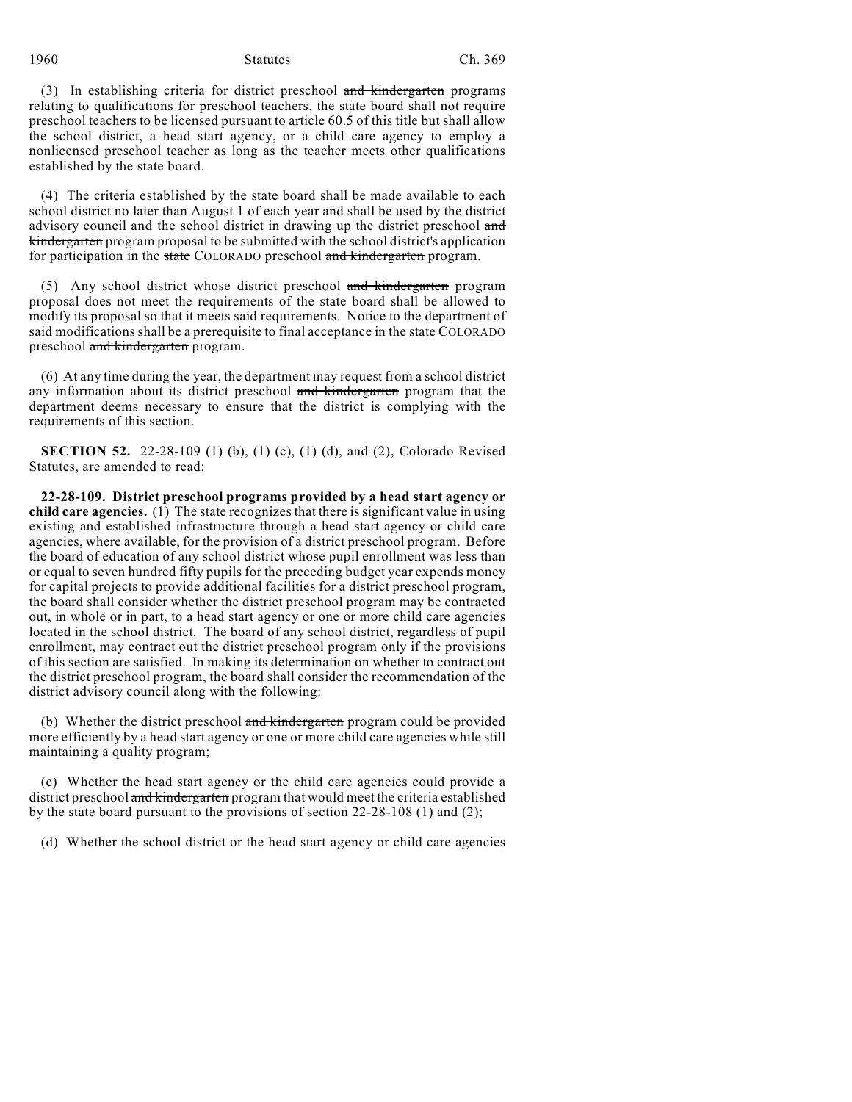(3) In establishing criteria for district preschool and kindergarten programs relating to qualifications for preschool teachers, the state board shall not require preschool teachers to be licensed pursuant to article 60.5 of this title but shall allow the school district, a head start agency, or a child care agency to employ a nonlicensed preschool teacher as long as the teacher meets other qualifications established by the state board.

(4) The criteria established by the state board shall be made available to each school district no later than August 1 of each year and shall be used by the district advisory council and the school district in drawing up the district preschool and kindergarten program proposal to be submitted with the school district's application for participation in the state COLORADO preschool and kindergarten program.

(5) Any school district whose district preschool and kindergarten program proposal does not meet the requirements of the state board shall be allowed to modify its proposal so that it meets said requirements. Notice to the department of said modifications shall be a prerequisite to final acceptance in the state COLORADO preschool and kindergarten program.

(6) At any time during the year, the department may request from a school district any information about its district preschool and kindergarten program that the department deems necessary to ensure that the district is complying with the requirements of this section.

**SECTION 52.** 22-28-109 (1) (b), (1) (c), (1) (d), and (2), Colorado Revised Statutes, are amended to read:

**22-28-109. District preschool programs provided by a head start agency or child care agencies.** (1) The state recognizes that there is significant value in using existing and established infrastructure through a head start agency or child care agencies, where available, for the provision of a district preschool program. Before the board of education of any school district whose pupil enrollment was less than or equal to seven hundred fifty pupils for the preceding budget year expends money for capital projects to provide additional facilities for a district preschool program, the board shall consider whether the district preschool program may be contracted out, in whole or in part, to a head start agency or one or more child care agencies located in the school district. The board of any school district, regardless of pupil enrollment, may contract out the district preschool program only if the provisions of this section are satisfied. In making its determination on whether to contract out the district preschool program, the board shall consider the recommendation of the district advisory council along with the following:

(b) Whether the district preschool and kindergarten program could be provided more efficiently by a head start agency or one or more child care agencies while still maintaining a quality program;

(c) Whether the head start agency or the child care agencies could provide a district preschool and kindergarten program that would meet the criteria established by the state board pursuant to the provisions of section 22-28-108 (1) and (2);

(d) Whether the school district or the head start agency or child care agencies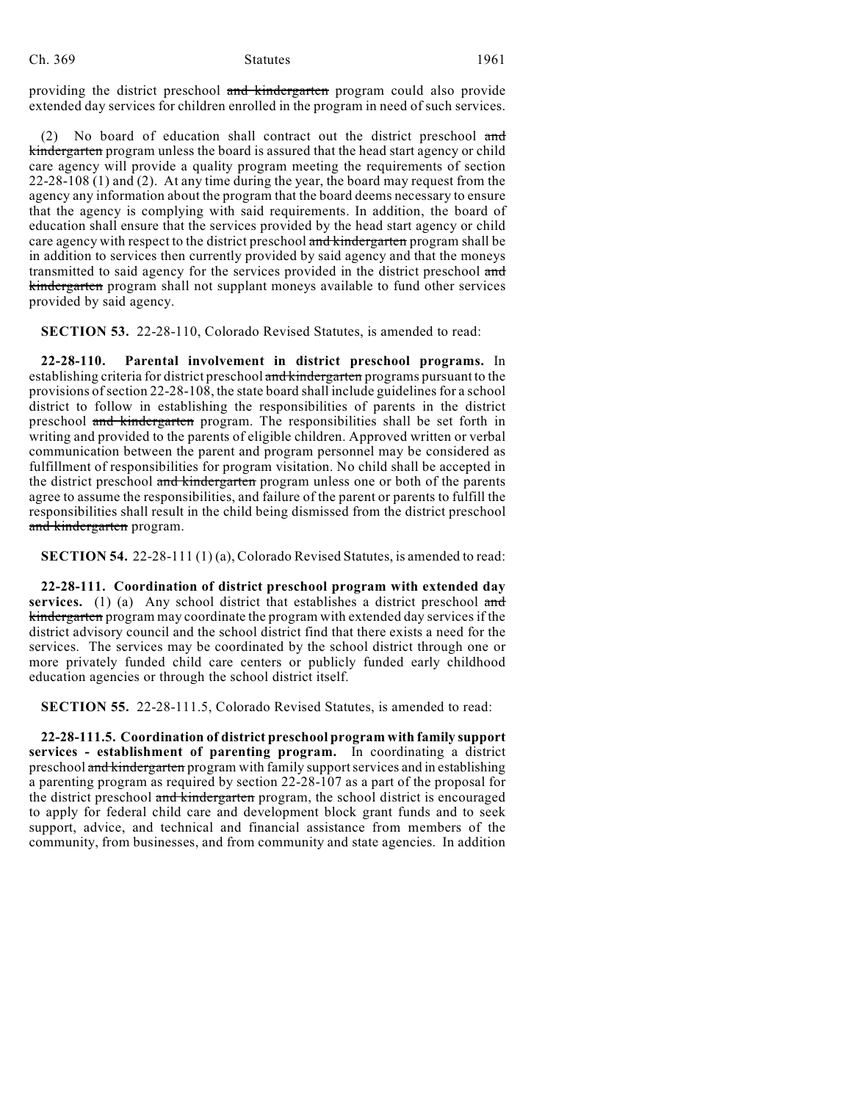providing the district preschool and kindergarten program could also provide extended day services for children enrolled in the program in need of such services.

(2) No board of education shall contract out the district preschool and kindergarten program unless the board is assured that the head start agency or child care agency will provide a quality program meeting the requirements of section 22-28-108 (1) and (2). At any time during the year, the board may request from the agency any information about the program that the board deems necessary to ensure that the agency is complying with said requirements. In addition, the board of education shall ensure that the services provided by the head start agency or child care agency with respect to the district preschool and kindergarten program shall be in addition to services then currently provided by said agency and that the moneys transmitted to said agency for the services provided in the district preschool and kindergarten program shall not supplant moneys available to fund other services provided by said agency.

**SECTION 53.** 22-28-110, Colorado Revised Statutes, is amended to read:

**22-28-110. Parental involvement in district preschool programs.** In establishing criteria for district preschool and kindergarten programs pursuant to the provisions ofsection 22-28-108, the state board shall include guidelines for a school district to follow in establishing the responsibilities of parents in the district preschool and kindergarten program. The responsibilities shall be set forth in writing and provided to the parents of eligible children. Approved written or verbal communication between the parent and program personnel may be considered as fulfillment of responsibilities for program visitation. No child shall be accepted in the district preschool and kindergarten program unless one or both of the parents agree to assume the responsibilities, and failure of the parent or parents to fulfill the responsibilities shall result in the child being dismissed from the district preschool and kindergarten program.

**SECTION 54.** 22-28-111 (1) (a), Colorado Revised Statutes, is amended to read:

**22-28-111. Coordination of district preschool program with extended day services.** (1) (a) Any school district that establishes a district preschool and kindergarten program may coordinate the program with extended day services if the district advisory council and the school district find that there exists a need for the services. The services may be coordinated by the school district through one or more privately funded child care centers or publicly funded early childhood education agencies or through the school district itself.

**SECTION 55.** 22-28-111.5, Colorado Revised Statutes, is amended to read:

**22-28-111.5. Coordination of district preschool program with family support services - establishment of parenting program.** In coordinating a district preschool and kindergarten program with family support services and in establishing a parenting program as required by section 22-28-107 as a part of the proposal for the district preschool and kindergarten program, the school district is encouraged to apply for federal child care and development block grant funds and to seek support, advice, and technical and financial assistance from members of the community, from businesses, and from community and state agencies. In addition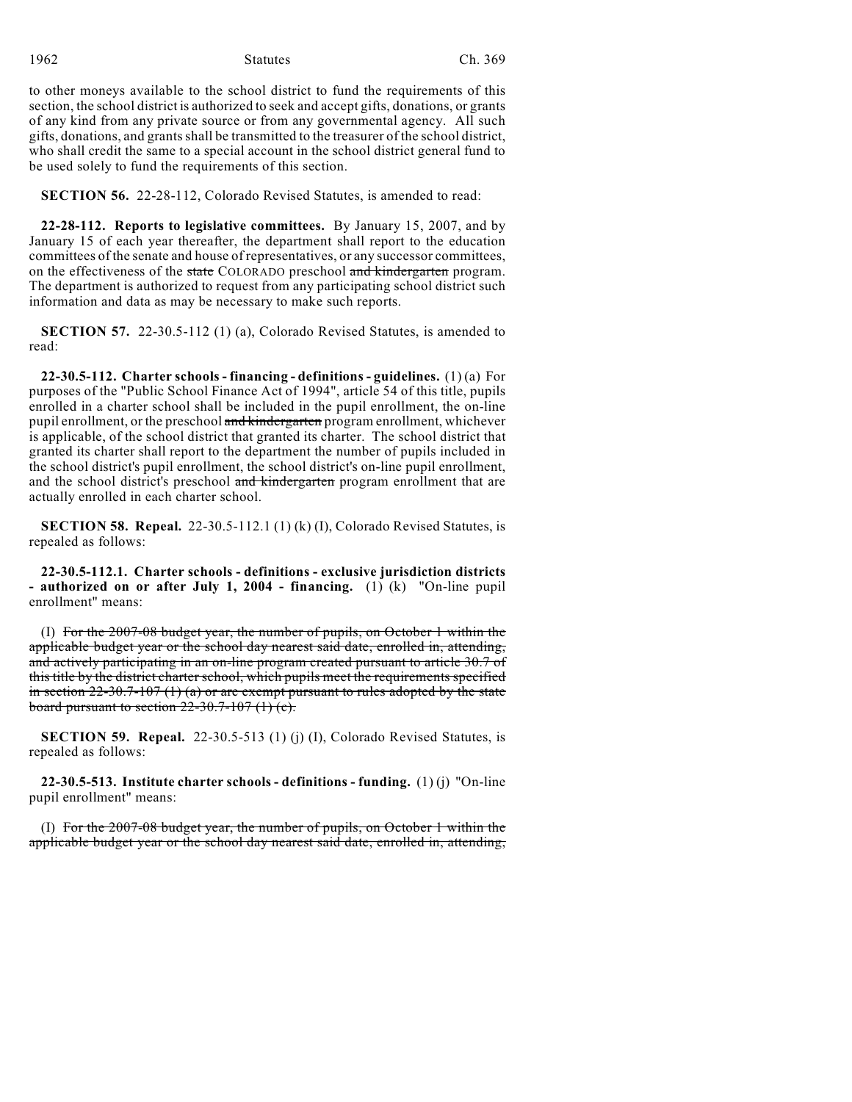1962 Statutes Ch. 369

to other moneys available to the school district to fund the requirements of this section, the school district is authorized to seek and accept gifts, donations, or grants of any kind from any private source or from any governmental agency. All such gifts, donations, and grants shall be transmitted to the treasurer of the school district, who shall credit the same to a special account in the school district general fund to be used solely to fund the requirements of this section.

**SECTION 56.** 22-28-112, Colorado Revised Statutes, is amended to read:

**22-28-112. Reports to legislative committees.** By January 15, 2007, and by January 15 of each year thereafter, the department shall report to the education committees of the senate and house of representatives, or any successor committees, on the effectiveness of the state COLORADO preschool and kindergarten program. The department is authorized to request from any participating school district such information and data as may be necessary to make such reports.

**SECTION 57.** 22-30.5-112 (1) (a), Colorado Revised Statutes, is amended to read:

**22-30.5-112. Charter schools - financing - definitions - guidelines.** (1) (a) For purposes of the "Public School Finance Act of 1994", article 54 of this title, pupils enrolled in a charter school shall be included in the pupil enrollment, the on-line pupil enrollment, or the preschool and kindergarten program enrollment, whichever is applicable, of the school district that granted its charter. The school district that granted its charter shall report to the department the number of pupils included in the school district's pupil enrollment, the school district's on-line pupil enrollment, and the school district's preschool and kindergarten program enrollment that are actually enrolled in each charter school.

**SECTION 58. Repeal.** 22-30.5-112.1 (1) (k) (I), Colorado Revised Statutes, is repealed as follows:

**22-30.5-112.1. Charter schools - definitions - exclusive jurisdiction districts - authorized on or after July 1, 2004 - financing.** (1) (k) "On-line pupil enrollment" means:

(I) For the 2007-08 budget year, the number of pupils, on October 1 within the applicable budget year or the school day nearest said date, enrolled in, attending, and actively participating in an on-line program created pursuant to article 30.7 of this title by the district charter school, which pupils meet the requirements specified in section  $22-30.7-107$  (1) (a) or are exempt pursuant to rules adopted by the state board pursuant to section  $22-30.7-107$  (1) (c).

**SECTION 59. Repeal.** 22-30.5-513 (1) (j) (I), Colorado Revised Statutes, is repealed as follows:

**22-30.5-513. Institute charter schools - definitions - funding.** (1) (j) "On-line pupil enrollment" means:

(I) For the 2007-08 budget year, the number of pupils, on October 1 within the applicable budget year or the school day nearest said date, enrolled in, attending,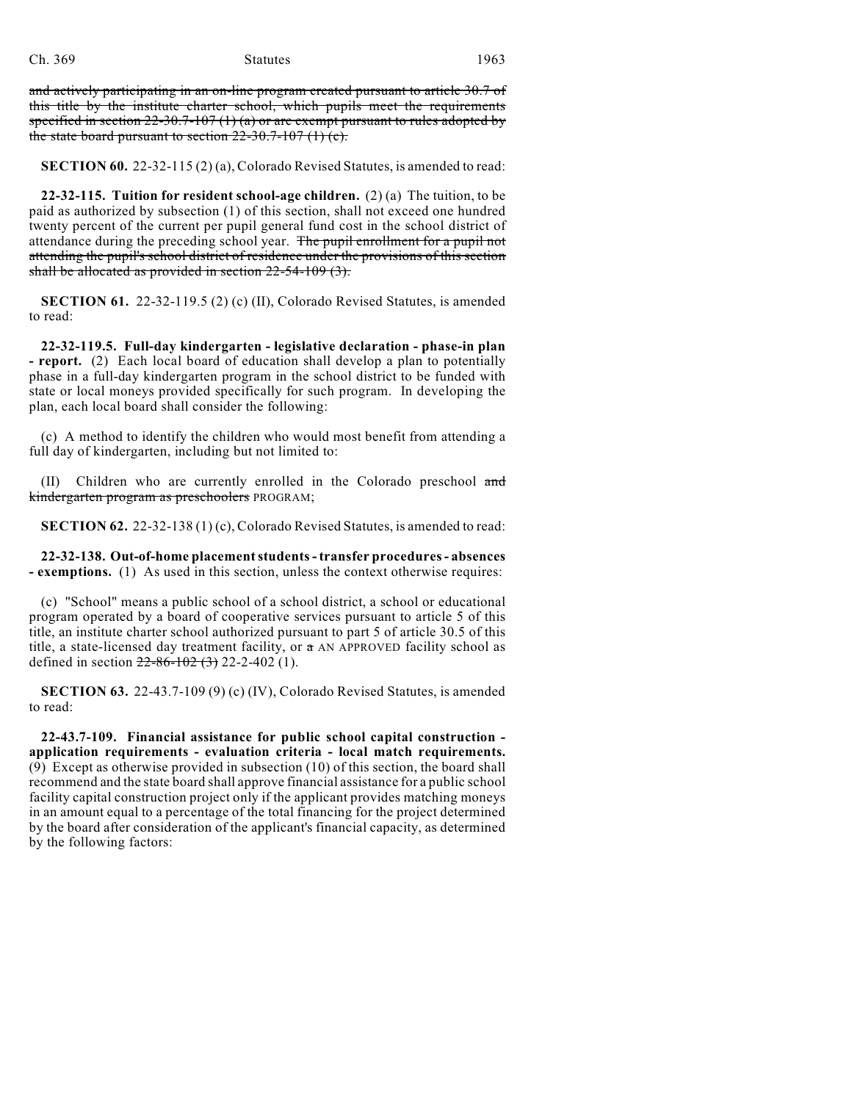and actively participating in an on-line program created pursuant to article 30.7 of this title by the institute charter school, which pupils meet the requirements specified in section  $22-30.7-107(1)(a)$  or are exempt pursuant to rules adopted by the state board pursuant to section  $22-30.7-107$  (1) (c).

**SECTION 60.** 22-32-115 (2) (a), Colorado Revised Statutes, is amended to read:

**22-32-115. Tuition for resident school-age children.** (2) (a) The tuition, to be paid as authorized by subsection (1) of this section, shall not exceed one hundred twenty percent of the current per pupil general fund cost in the school district of attendance during the preceding school year. The pupil enrollment for a pupil not attending the pupil's school district of residence under the provisions of this section shall be allocated as provided in section 22-54-109 (3).

**SECTION 61.** 22-32-119.5 (2) (c) (II), Colorado Revised Statutes, is amended to read:

**22-32-119.5. Full-day kindergarten - legislative declaration - phase-in plan - report.** (2) Each local board of education shall develop a plan to potentially phase in a full-day kindergarten program in the school district to be funded with state or local moneys provided specifically for such program. In developing the plan, each local board shall consider the following:

(c) A method to identify the children who would most benefit from attending a full day of kindergarten, including but not limited to:

(II) Children who are currently enrolled in the Colorado preschool and kindergarten program as preschoolers PROGRAM;

**SECTION 62.** 22-32-138 (1) (c), Colorado Revised Statutes, is amended to read:

**22-32-138. Out-of-home placement students - transfer procedures - absences - exemptions.** (1) As used in this section, unless the context otherwise requires:

(c) "School" means a public school of a school district, a school or educational program operated by a board of cooperative services pursuant to article 5 of this title, an institute charter school authorized pursuant to part 5 of article 30.5 of this title, a state-licensed day treatment facility, or  $\alpha$  AN APPROVED facility school as defined in section  $22-86-102$  (3) 22-2-402 (1).

**SECTION 63.** 22-43.7-109 (9) (c) (IV), Colorado Revised Statutes, is amended to read:

**22-43.7-109. Financial assistance for public school capital construction application requirements - evaluation criteria - local match requirements.** (9) Except as otherwise provided in subsection (10) of this section, the board shall recommend and the state board shall approve financial assistance for a public school facility capital construction project only if the applicant provides matching moneys in an amount equal to a percentage of the total financing for the project determined by the board after consideration of the applicant's financial capacity, as determined by the following factors: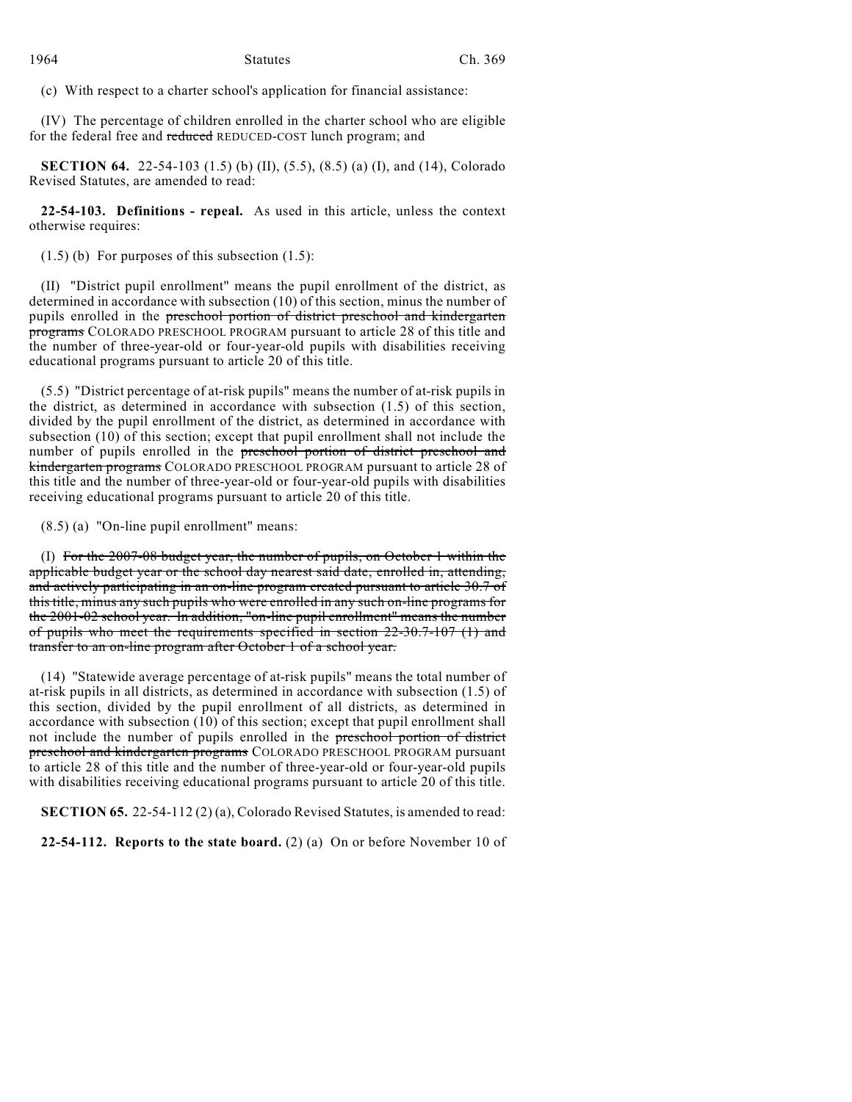(c) With respect to a charter school's application for financial assistance:

(IV) The percentage of children enrolled in the charter school who are eligible for the federal free and reduced REDUCED-COST lunch program; and

**SECTION 64.** 22-54-103 (1.5) (b) (II), (5.5), (8.5) (a) (I), and (14), Colorado Revised Statutes, are amended to read:

**22-54-103. Definitions - repeal.** As used in this article, unless the context otherwise requires:

 $(1.5)$  (b) For purposes of this subsection  $(1.5)$ :

(II) "District pupil enrollment" means the pupil enrollment of the district, as determined in accordance with subsection (10) of this section, minus the number of pupils enrolled in the preschool portion of district preschool and kindergarten programs COLORADO PRESCHOOL PROGRAM pursuant to article 28 of this title and the number of three-year-old or four-year-old pupils with disabilities receiving educational programs pursuant to article 20 of this title.

(5.5) "District percentage of at-risk pupils" means the number of at-risk pupils in the district, as determined in accordance with subsection (1.5) of this section, divided by the pupil enrollment of the district, as determined in accordance with subsection (10) of this section; except that pupil enrollment shall not include the number of pupils enrolled in the preschool portion of district preschool and kindergarten programs COLORADO PRESCHOOL PROGRAM pursuant to article 28 of this title and the number of three-year-old or four-year-old pupils with disabilities receiving educational programs pursuant to article 20 of this title.

(8.5) (a) "On-line pupil enrollment" means:

(I) For the 2007-08 budget year, the number of pupils, on October 1 within the applicable budget year or the school day nearest said date, enrolled in, attending, and actively participating in an on-line program created pursuant to article 30.7 of this title, minus any such pupils who were enrolled in any such on-line programs for the 2001-02 school year. In addition, "on-line pupil enrollment" means the number of pupils who meet the requirements specified in section 22-30.7-107 (1) and transfer to an on-line program after October 1 of a school year.

(14) "Statewide average percentage of at-risk pupils" means the total number of at-risk pupils in all districts, as determined in accordance with subsection (1.5) of this section, divided by the pupil enrollment of all districts, as determined in accordance with subsection (10) of this section; except that pupil enrollment shall not include the number of pupils enrolled in the preschool portion of district preschool and kindergarten programs COLORADO PRESCHOOL PROGRAM pursuant to article 28 of this title and the number of three-year-old or four-year-old pupils with disabilities receiving educational programs pursuant to article 20 of this title.

**SECTION 65.** 22-54-112 (2) (a), Colorado Revised Statutes, is amended to read:

**22-54-112. Reports to the state board.** (2) (a) On or before November 10 of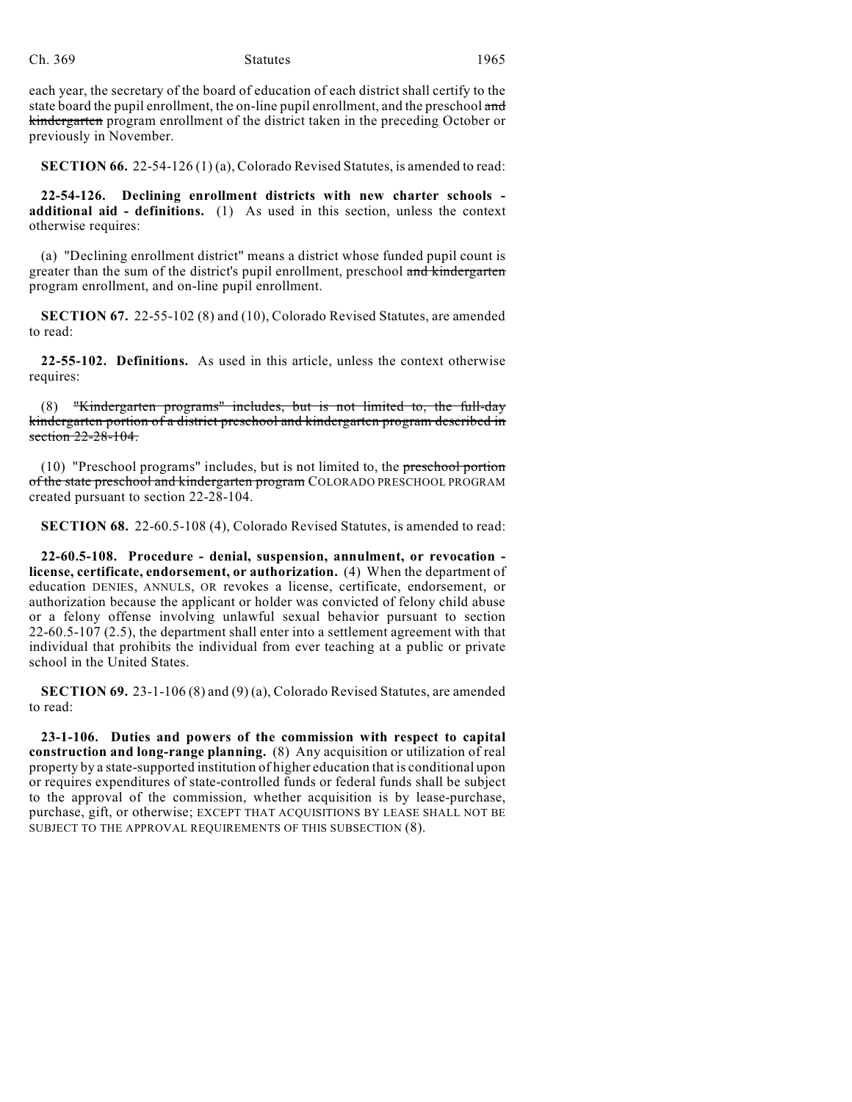each year, the secretary of the board of education of each district shall certify to the state board the pupil enrollment, the on-line pupil enrollment, and the preschool and kindergarten program enrollment of the district taken in the preceding October or previously in November.

**SECTION 66.** 22-54-126 (1) (a), Colorado Revised Statutes, is amended to read:

**22-54-126. Declining enrollment districts with new charter schools additional aid - definitions.** (1) As used in this section, unless the context otherwise requires:

(a) "Declining enrollment district" means a district whose funded pupil count is greater than the sum of the district's pupil enrollment, preschool and kindergarten program enrollment, and on-line pupil enrollment.

**SECTION 67.** 22-55-102 (8) and (10), Colorado Revised Statutes, are amended to read:

**22-55-102. Definitions.** As used in this article, unless the context otherwise requires:

(8) "Kindergarten programs" includes, but is not limited to, the full-day kindergarten portion of a district preschool and kindergarten program described in section 22-28-104.

(10) "Preschool programs" includes, but is not limited to, the preschool portion of the state preschool and kindergarten program COLORADO PRESCHOOL PROGRAM created pursuant to section 22-28-104.

**SECTION 68.** 22-60.5-108 (4), Colorado Revised Statutes, is amended to read:

**22-60.5-108. Procedure - denial, suspension, annulment, or revocation license, certificate, endorsement, or authorization.** (4) When the department of education DENIES, ANNULS, OR revokes a license, certificate, endorsement, or authorization because the applicant or holder was convicted of felony child abuse or a felony offense involving unlawful sexual behavior pursuant to section 22-60.5-107 (2.5), the department shall enter into a settlement agreement with that individual that prohibits the individual from ever teaching at a public or private school in the United States.

**SECTION 69.** 23-1-106 (8) and (9) (a), Colorado Revised Statutes, are amended to read:

**23-1-106. Duties and powers of the commission with respect to capital construction and long-range planning.** (8) Any acquisition or utilization of real property by a state-supported institution of higher education that is conditional upon or requires expenditures of state-controlled funds or federal funds shall be subject to the approval of the commission, whether acquisition is by lease-purchase, purchase, gift, or otherwise; EXCEPT THAT ACQUISITIONS BY LEASE SHALL NOT BE SUBJECT TO THE APPROVAL REQUIREMENTS OF THIS SUBSECTION (8).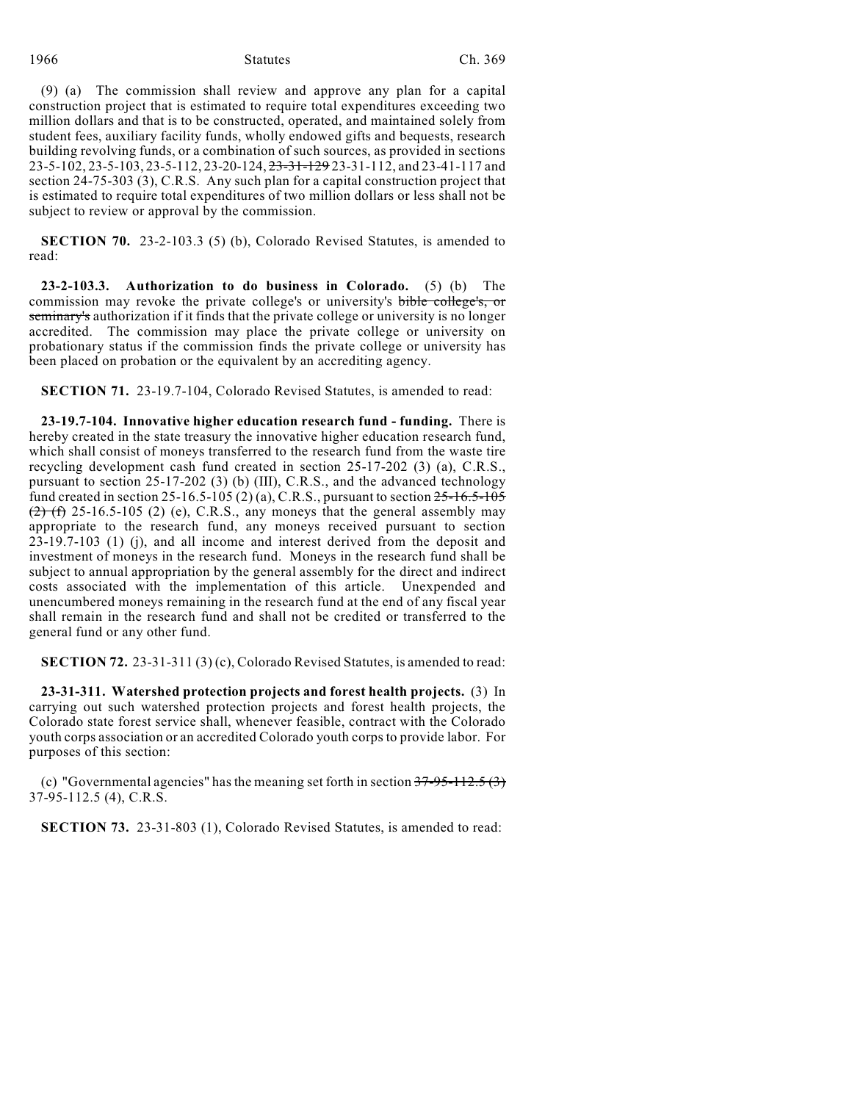1966 Statutes Ch. 369

(9) (a) The commission shall review and approve any plan for a capital construction project that is estimated to require total expenditures exceeding two million dollars and that is to be constructed, operated, and maintained solely from student fees, auxiliary facility funds, wholly endowed gifts and bequests, research building revolving funds, or a combination of such sources, as provided in sections 23-5-102, 23-5-103, 23-5-112, 23-20-124, 23-31-129 23-31-112, and 23-41-117 and section 24-75-303 (3), C.R.S. Any such plan for a capital construction project that is estimated to require total expenditures of two million dollars or less shall not be subject to review or approval by the commission.

**SECTION 70.** 23-2-103.3 (5) (b), Colorado Revised Statutes, is amended to read:

**23-2-103.3. Authorization to do business in Colorado.** (5) (b) The commission may revoke the private college's or university's bible college's, or seminary's authorization if it finds that the private college or university is no longer accredited. The commission may place the private college or university on probationary status if the commission finds the private college or university has been placed on probation or the equivalent by an accrediting agency.

**SECTION 71.** 23-19.7-104, Colorado Revised Statutes, is amended to read:

**23-19.7-104. Innovative higher education research fund - funding.** There is hereby created in the state treasury the innovative higher education research fund, which shall consist of moneys transferred to the research fund from the waste tire recycling development cash fund created in section 25-17-202 (3) (a), C.R.S., pursuant to section 25-17-202 (3) (b) (III), C.R.S., and the advanced technology fund created in section 25-16.5-105 (2) (a), C.R.S., pursuant to section  $25$ -16.5-105  $(2)$  (f) 25-16.5-105 (2) (e), C.R.S., any moneys that the general assembly may appropriate to the research fund, any moneys received pursuant to section 23-19.7-103 (1) (j), and all income and interest derived from the deposit and investment of moneys in the research fund. Moneys in the research fund shall be subject to annual appropriation by the general assembly for the direct and indirect costs associated with the implementation of this article. Unexpended and unencumbered moneys remaining in the research fund at the end of any fiscal year shall remain in the research fund and shall not be credited or transferred to the general fund or any other fund.

**SECTION 72.** 23-31-311 (3) (c), Colorado Revised Statutes, is amended to read:

**23-31-311. Watershed protection projects and forest health projects.** (3) In carrying out such watershed protection projects and forest health projects, the Colorado state forest service shall, whenever feasible, contract with the Colorado youth corps association or an accredited Colorado youth corps to provide labor. For purposes of this section:

(c) "Governmental agencies" has the meaning set forth in section  $37-95-112.5(3)$ 37-95-112.5 (4), C.R.S.

**SECTION 73.** 23-31-803 (1), Colorado Revised Statutes, is amended to read: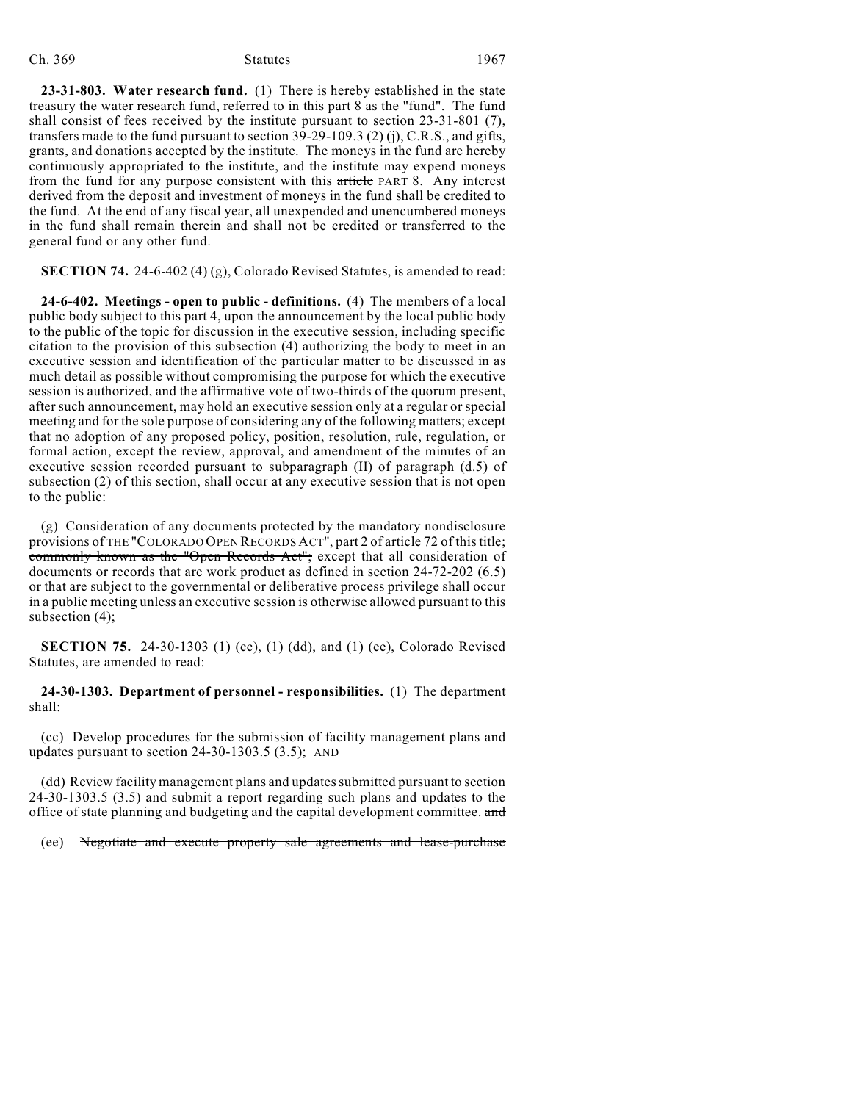**23-31-803. Water research fund.** (1) There is hereby established in the state treasury the water research fund, referred to in this part 8 as the "fund". The fund shall consist of fees received by the institute pursuant to section 23-31-801 (7), transfers made to the fund pursuant to section 39-29-109.3 (2) (j), C.R.S., and gifts, grants, and donations accepted by the institute. The moneys in the fund are hereby continuously appropriated to the institute, and the institute may expend moneys from the fund for any purpose consistent with this article PART 8. Any interest derived from the deposit and investment of moneys in the fund shall be credited to the fund. At the end of any fiscal year, all unexpended and unencumbered moneys in the fund shall remain therein and shall not be credited or transferred to the general fund or any other fund.

**SECTION 74.** 24-6-402 (4) (g), Colorado Revised Statutes, is amended to read:

**24-6-402. Meetings - open to public - definitions.** (4) The members of a local public body subject to this part 4, upon the announcement by the local public body to the public of the topic for discussion in the executive session, including specific citation to the provision of this subsection (4) authorizing the body to meet in an executive session and identification of the particular matter to be discussed in as much detail as possible without compromising the purpose for which the executive session is authorized, and the affirmative vote of two-thirds of the quorum present, after such announcement, may hold an executive session only at a regular or special meeting and for the sole purpose of considering any of the following matters; except that no adoption of any proposed policy, position, resolution, rule, regulation, or formal action, except the review, approval, and amendment of the minutes of an executive session recorded pursuant to subparagraph (II) of paragraph (d.5) of subsection (2) of this section, shall occur at any executive session that is not open to the public:

(g) Consideration of any documents protected by the mandatory nondisclosure provisions of THE "COLORADO OPEN RECORDS ACT", part 2 of article 72 of this title; commonly known as the "Open Records Act"; except that all consideration of documents or records that are work product as defined in section 24-72-202 (6.5) or that are subject to the governmental or deliberative process privilege shall occur in a public meeting unless an executive session is otherwise allowed pursuant to this subsection (4);

**SECTION 75.** 24-30-1303 (1) (cc), (1) (dd), and (1) (ee), Colorado Revised Statutes, are amended to read:

**24-30-1303. Department of personnel - responsibilities.** (1) The department shall:

(cc) Develop procedures for the submission of facility management plans and updates pursuant to section 24-30-1303.5 (3.5); AND

(dd) Review facility management plans and updates submitted pursuant to section 24-30-1303.5 (3.5) and submit a report regarding such plans and updates to the office of state planning and budgeting and the capital development committee. and

(ee) Negotiate and execute property sale agreements and lease-purchase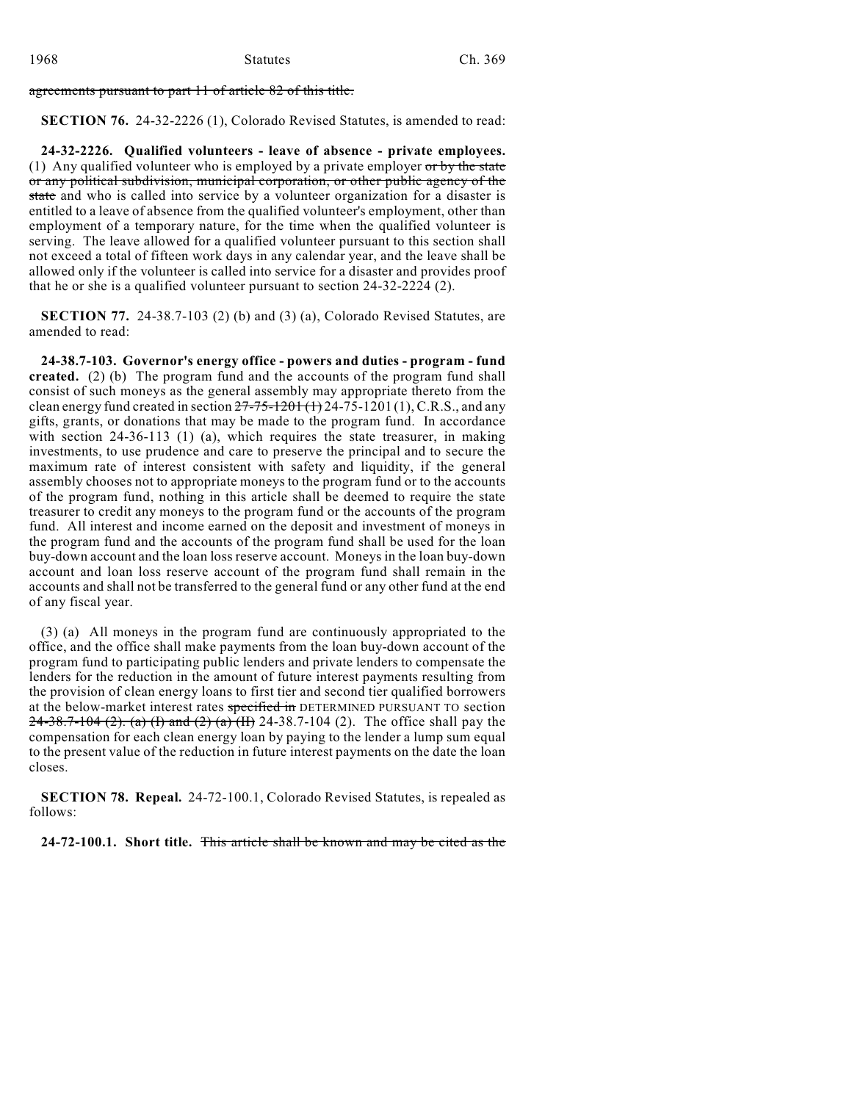agreements pursuant to part 11 of article 82 of this title.

**SECTION 76.** 24-32-2226 (1), Colorado Revised Statutes, is amended to read:

**24-32-2226. Qualified volunteers - leave of absence - private employees.** (1) Any qualified volunteer who is employed by a private employer  $\sigma r$  by the state or any political subdivision, municipal corporation, or other public agency of the state and who is called into service by a volunteer organization for a disaster is entitled to a leave of absence from the qualified volunteer's employment, other than employment of a temporary nature, for the time when the qualified volunteer is serving. The leave allowed for a qualified volunteer pursuant to this section shall not exceed a total of fifteen work days in any calendar year, and the leave shall be allowed only if the volunteer is called into service for a disaster and provides proof that he or she is a qualified volunteer pursuant to section 24-32-2224 (2).

**SECTION 77.** 24-38.7-103 (2) (b) and (3) (a), Colorado Revised Statutes, are amended to read:

**24-38.7-103. Governor's energy office - powers and duties - program - fund created.** (2) (b) The program fund and the accounts of the program fund shall consist of such moneys as the general assembly may appropriate thereto from the clean energy fund created in section  $27-75-1201$  (1)  $24-75-1201$  (1), C.R.S., and any gifts, grants, or donations that may be made to the program fund. In accordance with section 24-36-113 (1) (a), which requires the state treasurer, in making investments, to use prudence and care to preserve the principal and to secure the maximum rate of interest consistent with safety and liquidity, if the general assembly chooses not to appropriate moneys to the program fund or to the accounts of the program fund, nothing in this article shall be deemed to require the state treasurer to credit any moneys to the program fund or the accounts of the program fund. All interest and income earned on the deposit and investment of moneys in the program fund and the accounts of the program fund shall be used for the loan buy-down account and the loan loss reserve account. Moneys in the loan buy-down account and loan loss reserve account of the program fund shall remain in the accounts and shall not be transferred to the general fund or any other fund at the end of any fiscal year.

(3) (a) All moneys in the program fund are continuously appropriated to the office, and the office shall make payments from the loan buy-down account of the program fund to participating public lenders and private lenders to compensate the lenders for the reduction in the amount of future interest payments resulting from the provision of clean energy loans to first tier and second tier qualified borrowers at the below-market interest rates specified in DETERMINED PURSUANT TO section  $24-38.7-104$  (2). (a) (I) and (2) (a) (II) 24-38.7-104 (2). The office shall pay the compensation for each clean energy loan by paying to the lender a lump sum equal to the present value of the reduction in future interest payments on the date the loan closes.

**SECTION 78. Repeal.** 24-72-100.1, Colorado Revised Statutes, is repealed as follows:

**24-72-100.1. Short title.** This article shall be known and may be cited as the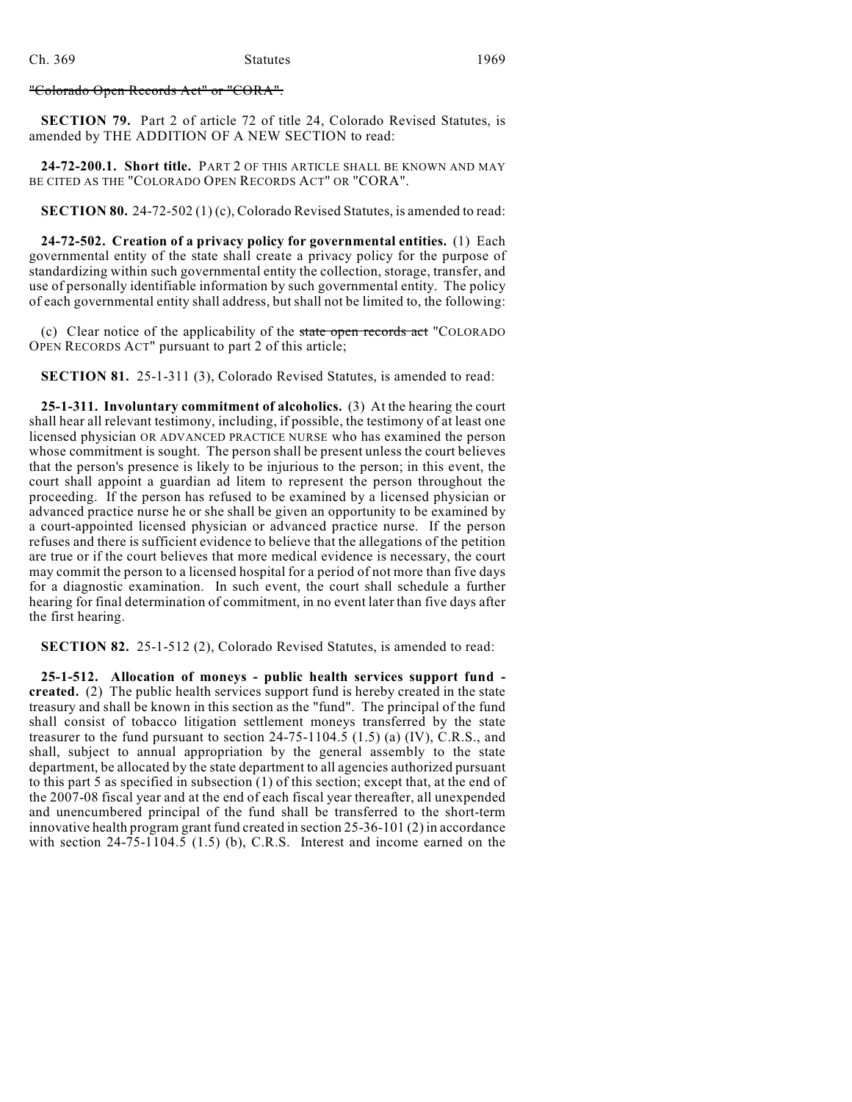"Colorado Open Records Act" or "CORA".

**SECTION 79.** Part 2 of article 72 of title 24, Colorado Revised Statutes, is amended by THE ADDITION OF A NEW SECTION to read:

**24-72-200.1. Short title.** PART 2 OF THIS ARTICLE SHALL BE KNOWN AND MAY BE CITED AS THE "COLORADO OPEN RECORDS ACT" OR "CORA".

**SECTION 80.** 24-72-502 (1) (c), Colorado Revised Statutes, is amended to read:

**24-72-502. Creation of a privacy policy for governmental entities.** (1) Each governmental entity of the state shall create a privacy policy for the purpose of standardizing within such governmental entity the collection, storage, transfer, and use of personally identifiable information by such governmental entity. The policy of each governmental entity shall address, but shall not be limited to, the following:

(c) Clear notice of the applicability of the state open records act "COLORADO OPEN RECORDS ACT" pursuant to part 2 of this article;

**SECTION 81.** 25-1-311 (3), Colorado Revised Statutes, is amended to read:

**25-1-311. Involuntary commitment of alcoholics.** (3) At the hearing the court shall hear all relevant testimony, including, if possible, the testimony of at least one licensed physician OR ADVANCED PRACTICE NURSE who has examined the person whose commitment is sought. The person shall be present unless the court believes that the person's presence is likely to be injurious to the person; in this event, the court shall appoint a guardian ad litem to represent the person throughout the proceeding. If the person has refused to be examined by a licensed physician or advanced practice nurse he or she shall be given an opportunity to be examined by a court-appointed licensed physician or advanced practice nurse. If the person refuses and there is sufficient evidence to believe that the allegations of the petition are true or if the court believes that more medical evidence is necessary, the court may commit the person to a licensed hospital for a period of not more than five days for a diagnostic examination. In such event, the court shall schedule a further hearing for final determination of commitment, in no event later than five days after the first hearing.

**SECTION 82.** 25-1-512 (2), Colorado Revised Statutes, is amended to read:

**25-1-512. Allocation of moneys - public health services support fund created.** (2) The public health services support fund is hereby created in the state treasury and shall be known in this section as the "fund". The principal of the fund shall consist of tobacco litigation settlement moneys transferred by the state treasurer to the fund pursuant to section  $24-75-1104.5$  (1.5) (a) (IV), C.R.S., and shall, subject to annual appropriation by the general assembly to the state department, be allocated by the state department to all agencies authorized pursuant to this part 5 as specified in subsection (1) of this section; except that, at the end of the 2007-08 fiscal year and at the end of each fiscal year thereafter, all unexpended and unencumbered principal of the fund shall be transferred to the short-term innovative health program grant fund created in section 25-36-101 (2) in accordance with section 24-75-1104.5 (1.5) (b), C.R.S. Interest and income earned on the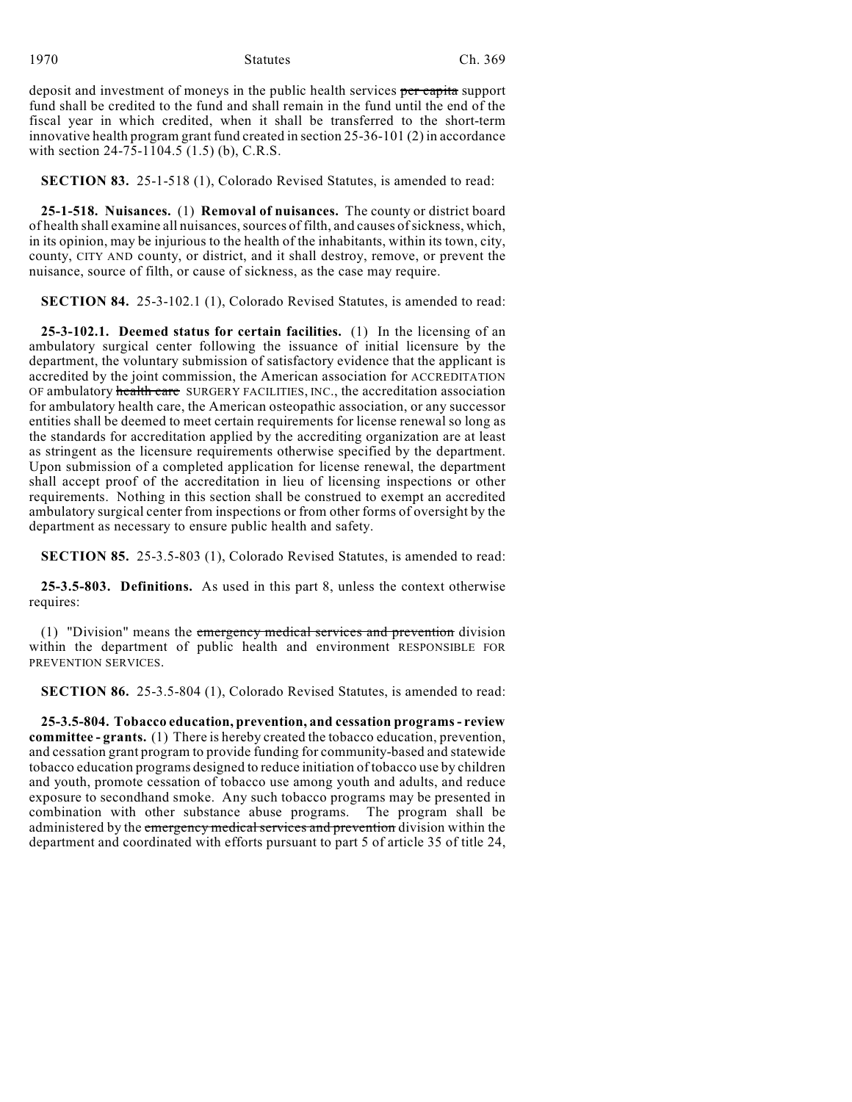deposit and investment of moneys in the public health services per capita support fund shall be credited to the fund and shall remain in the fund until the end of the fiscal year in which credited, when it shall be transferred to the short-term innovative health program grant fund created in section 25-36-101 (2) in accordance with section 24-75-1104.5 (1.5) (b), C.R.S.

**SECTION 83.** 25-1-518 (1), Colorado Revised Statutes, is amended to read:

**25-1-518. Nuisances.** (1) **Removal of nuisances.** The county or district board of health shall examine all nuisances, sources of filth, and causes of sickness, which, in its opinion, may be injurious to the health of the inhabitants, within its town, city, county, CITY AND county, or district, and it shall destroy, remove, or prevent the nuisance, source of filth, or cause of sickness, as the case may require.

**SECTION 84.** 25-3-102.1 (1), Colorado Revised Statutes, is amended to read:

**25-3-102.1. Deemed status for certain facilities.** (1) In the licensing of an ambulatory surgical center following the issuance of initial licensure by the department, the voluntary submission of satisfactory evidence that the applicant is accredited by the joint commission, the American association for ACCREDITATION OF ambulatory health care SURGERY FACILITIES, INC., the accreditation association for ambulatory health care, the American osteopathic association, or any successor entities shall be deemed to meet certain requirements for license renewal so long as the standards for accreditation applied by the accrediting organization are at least as stringent as the licensure requirements otherwise specified by the department. Upon submission of a completed application for license renewal, the department shall accept proof of the accreditation in lieu of licensing inspections or other requirements. Nothing in this section shall be construed to exempt an accredited ambulatory surgical center from inspections or from other forms of oversight by the department as necessary to ensure public health and safety.

**SECTION 85.** 25-3.5-803 (1), Colorado Revised Statutes, is amended to read:

**25-3.5-803. Definitions.** As used in this part 8, unless the context otherwise requires:

(1) "Division" means the emergency medical services and prevention division within the department of public health and environment RESPONSIBLE FOR PREVENTION SERVICES.

**SECTION 86.** 25-3.5-804 (1), Colorado Revised Statutes, is amended to read:

**25-3.5-804. Tobacco education, prevention, and cessation programs - review committee - grants.** (1) There is hereby created the tobacco education, prevention, and cessation grant program to provide funding for community-based and statewide tobacco education programs designed to reduce initiation of tobacco use by children and youth, promote cessation of tobacco use among youth and adults, and reduce exposure to secondhand smoke. Any such tobacco programs may be presented in combination with other substance abuse programs. The program shall be administered by the emergency medical services and prevention division within the department and coordinated with efforts pursuant to part 5 of article 35 of title 24,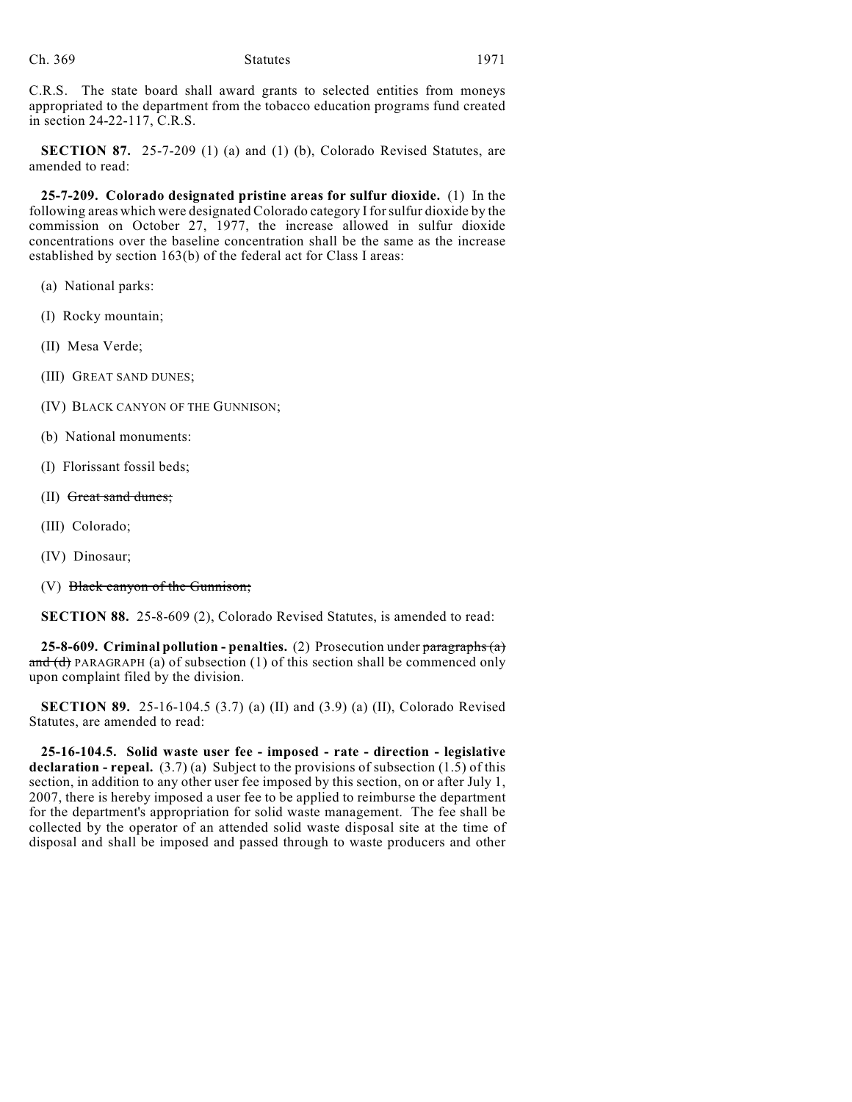C.R.S. The state board shall award grants to selected entities from moneys appropriated to the department from the tobacco education programs fund created in section 24-22-117, C.R.S.

**SECTION 87.** 25-7-209 (1) (a) and (1) (b), Colorado Revised Statutes, are amended to read:

**25-7-209. Colorado designated pristine areas for sulfur dioxide.** (1) In the following areas which were designated Colorado category Iforsulfur dioxide by the commission on October 27, 1977, the increase allowed in sulfur dioxide concentrations over the baseline concentration shall be the same as the increase established by section 163(b) of the federal act for Class I areas:

- (a) National parks:
- (I) Rocky mountain;
- (II) Mesa Verde;
- (III) GREAT SAND DUNES;
- (IV) BLACK CANYON OF THE GUNNISON;
- (b) National monuments:
- (I) Florissant fossil beds;
- (II) Great sand dunes;
- (III) Colorado;
- (IV) Dinosaur;
- (V) Black canyon of the Gunnison;

**SECTION 88.** 25-8-609 (2), Colorado Revised Statutes, is amended to read:

**25-8-609. Criminal pollution - penalties.** (2) Prosecution under paragraphs (a) and  $(d)$  PARAGRAPH (a) of subsection (1) of this section shall be commenced only upon complaint filed by the division.

**SECTION 89.** 25-16-104.5 (3.7) (a) (II) and (3.9) (a) (II), Colorado Revised Statutes, are amended to read:

**25-16-104.5. Solid waste user fee - imposed - rate - direction - legislative declaration - repeal.** (3.7) (a) Subject to the provisions of subsection (1.5) of this section, in addition to any other user fee imposed by this section, on or after July 1, 2007, there is hereby imposed a user fee to be applied to reimburse the department for the department's appropriation for solid waste management. The fee shall be collected by the operator of an attended solid waste disposal site at the time of disposal and shall be imposed and passed through to waste producers and other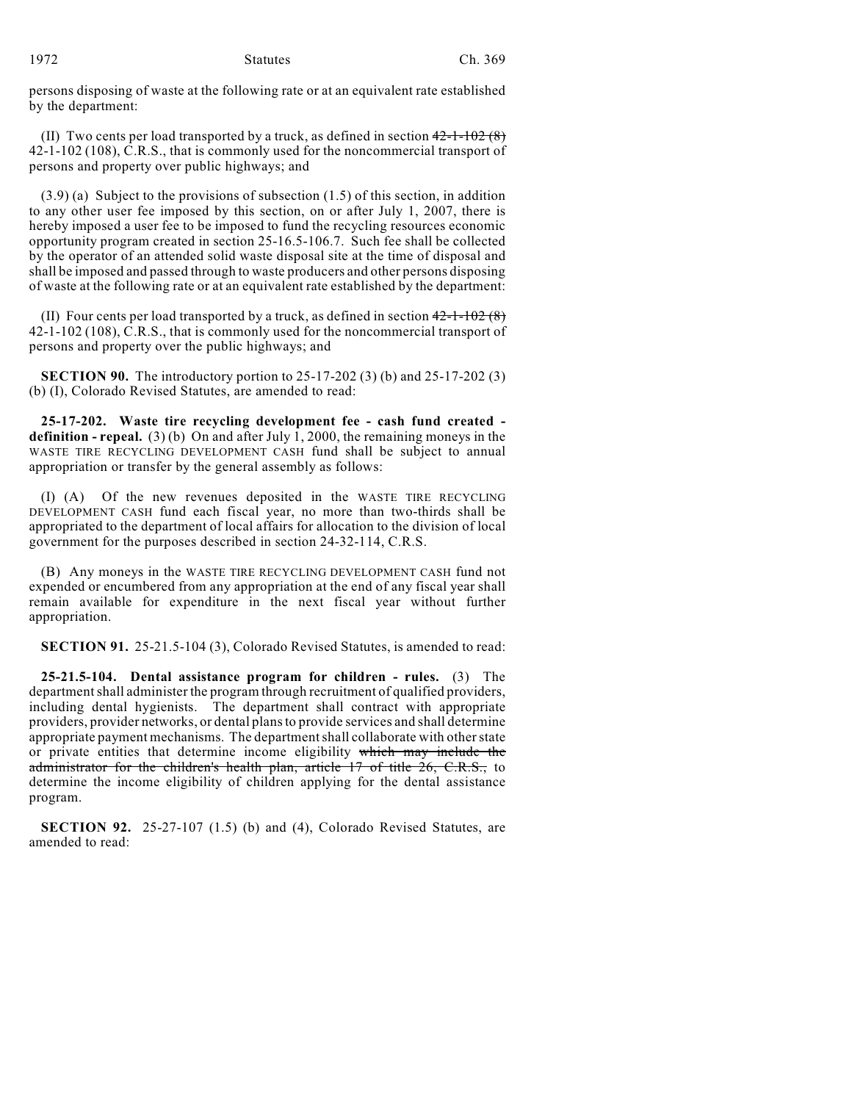persons disposing of waste at the following rate or at an equivalent rate established by the department:

(II) Two cents per load transported by a truck, as defined in section  $42-1-102(8)$ 42-1-102 (108), C.R.S., that is commonly used for the noncommercial transport of persons and property over public highways; and

(3.9) (a) Subject to the provisions of subsection (1.5) of this section, in addition to any other user fee imposed by this section, on or after July 1, 2007, there is hereby imposed a user fee to be imposed to fund the recycling resources economic opportunity program created in section 25-16.5-106.7. Such fee shall be collected by the operator of an attended solid waste disposal site at the time of disposal and shall be imposed and passed through to waste producers and other persons disposing of waste at the following rate or at an equivalent rate established by the department:

(II) Four cents per load transported by a truck, as defined in section  $42-1-102(8)$ 42-1-102 (108), C.R.S., that is commonly used for the noncommercial transport of persons and property over the public highways; and

**SECTION 90.** The introductory portion to 25-17-202 (3) (b) and 25-17-202 (3) (b) (I), Colorado Revised Statutes, are amended to read:

**25-17-202. Waste tire recycling development fee - cash fund created definition - repeal.** (3) (b) On and after July 1, 2000, the remaining moneys in the WASTE TIRE RECYCLING DEVELOPMENT CASH fund shall be subject to annual appropriation or transfer by the general assembly as follows:

(I) (A) Of the new revenues deposited in the WASTE TIRE RECYCLING DEVELOPMENT CASH fund each fiscal year, no more than two-thirds shall be appropriated to the department of local affairs for allocation to the division of local government for the purposes described in section 24-32-114, C.R.S.

(B) Any moneys in the WASTE TIRE RECYCLING DEVELOPMENT CASH fund not expended or encumbered from any appropriation at the end of any fiscal year shall remain available for expenditure in the next fiscal year without further appropriation.

**SECTION 91.** 25-21.5-104 (3), Colorado Revised Statutes, is amended to read:

**25-21.5-104. Dental assistance program for children - rules.** (3) The department shall administer the program through recruitment of qualified providers, including dental hygienists. The department shall contract with appropriate providers, provider networks, or dental plans to provide services and shall determine appropriate payment mechanisms. The department shall collaborate with other state or private entities that determine income eligibility which may include the administrator for the children's health plan, article  $17$  of title  $26$ , C.R.S., to determine the income eligibility of children applying for the dental assistance program.

**SECTION 92.** 25-27-107 (1.5) (b) and (4), Colorado Revised Statutes, are amended to read: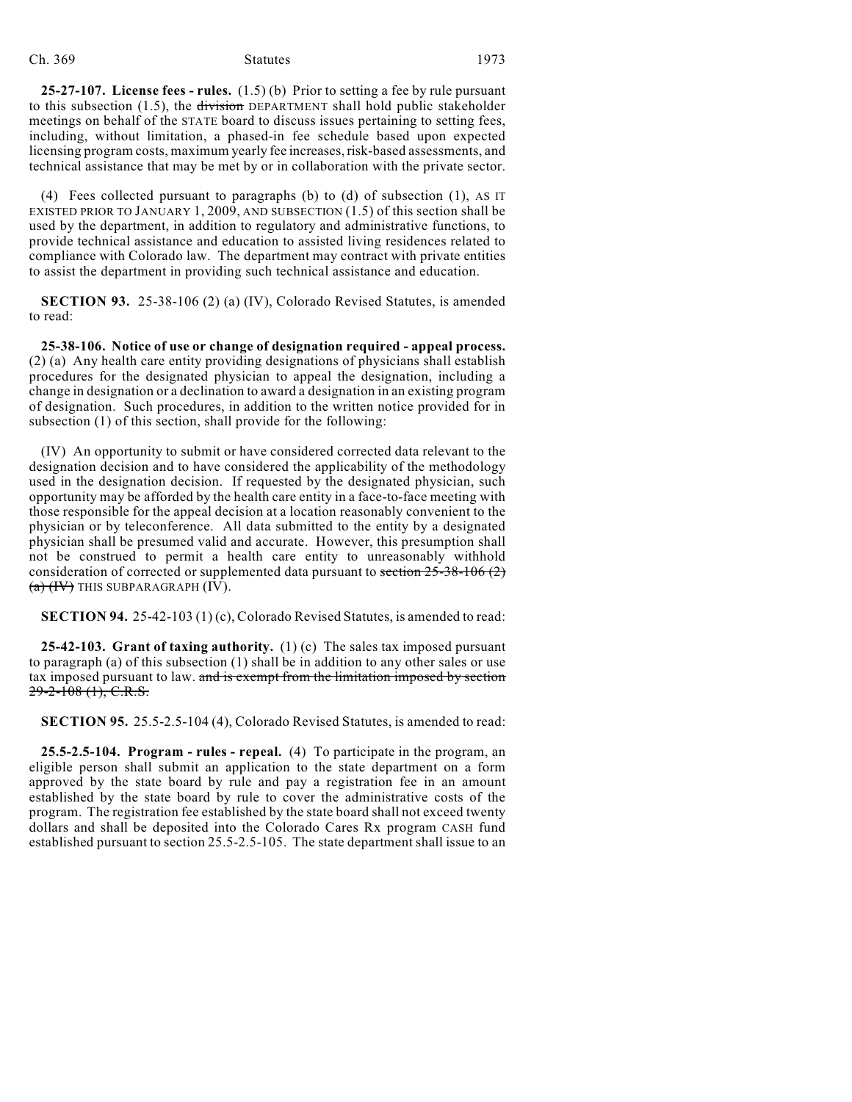**25-27-107. License fees - rules.** (1.5) (b) Prior to setting a fee by rule pursuant to this subsection  $(1.5)$ , the division DEPARTMENT shall hold public stakeholder meetings on behalf of the STATE board to discuss issues pertaining to setting fees, including, without limitation, a phased-in fee schedule based upon expected licensing program costs, maximum yearly fee increases, risk-based assessments, and technical assistance that may be met by or in collaboration with the private sector.

(4) Fees collected pursuant to paragraphs (b) to (d) of subsection (1), AS IT EXISTED PRIOR TO JANUARY 1, 2009, AND SUBSECTION (1.5) of this section shall be used by the department, in addition to regulatory and administrative functions, to provide technical assistance and education to assisted living residences related to compliance with Colorado law. The department may contract with private entities to assist the department in providing such technical assistance and education.

**SECTION 93.** 25-38-106 (2) (a) (IV), Colorado Revised Statutes, is amended to read:

**25-38-106. Notice of use or change of designation required - appeal process.** (2) (a) Any health care entity providing designations of physicians shall establish procedures for the designated physician to appeal the designation, including a change in designation or a declination to award a designation in an existing program of designation. Such procedures, in addition to the written notice provided for in subsection (1) of this section, shall provide for the following:

(IV) An opportunity to submit or have considered corrected data relevant to the designation decision and to have considered the applicability of the methodology used in the designation decision. If requested by the designated physician, such opportunity may be afforded by the health care entity in a face-to-face meeting with those responsible for the appeal decision at a location reasonably convenient to the physician or by teleconference. All data submitted to the entity by a designated physician shall be presumed valid and accurate. However, this presumption shall not be construed to permit a health care entity to unreasonably withhold consideration of corrected or supplemented data pursuant to section  $25-38-106$  (2)  $(a)$  (IV) THIS SUBPARAGRAPH (IV).

**SECTION 94.** 25-42-103 (1) (c), Colorado Revised Statutes, is amended to read:

**25-42-103. Grant of taxing authority.** (1) (c) The sales tax imposed pursuant to paragraph (a) of this subsection (1) shall be in addition to any other sales or use tax imposed pursuant to law. and is exempt from the limitation imposed by section  $29 - 2 - 108$  (1), C.R.S.

**SECTION 95.** 25.5-2.5-104 (4), Colorado Revised Statutes, is amended to read:

**25.5-2.5-104. Program - rules - repeal.** (4) To participate in the program, an eligible person shall submit an application to the state department on a form approved by the state board by rule and pay a registration fee in an amount established by the state board by rule to cover the administrative costs of the program. The registration fee established by the state board shall not exceed twenty dollars and shall be deposited into the Colorado Cares Rx program CASH fund established pursuant to section 25.5-2.5-105. The state department shall issue to an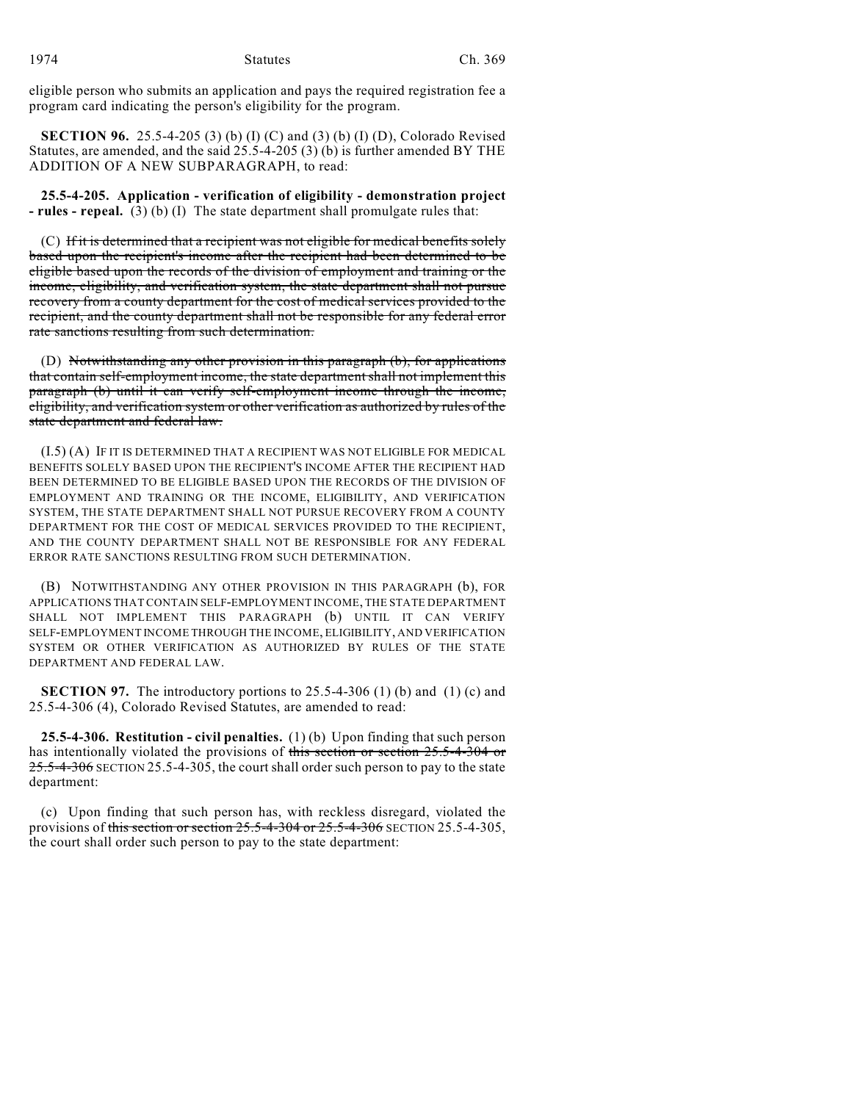eligible person who submits an application and pays the required registration fee a program card indicating the person's eligibility for the program.

**SECTION 96.** 25.5-4-205 (3) (b) (I) (C) and (3) (b) (I) (D), Colorado Revised Statutes, are amended, and the said 25.5-4-205 (3) (b) is further amended BY THE ADDITION OF A NEW SUBPARAGRAPH, to read:

**25.5-4-205. Application - verification of eligibility - demonstration project - rules - repeal.** (3) (b) (I) The state department shall promulgate rules that:

(C) If it is determined that a recipient was not eligible for medical benefits solely based upon the recipient's income after the recipient had been determined to be eligible based upon the records of the division of employment and training or the income, eligibility, and verification system, the state department shall not pursue recovery from a county department for the cost of medical services provided to the recipient, and the county department shall not be responsible for any federal error rate sanctions resulting from such determination.

(D) Notwithstanding any other provision in this paragraph (b), for applications that contain self-employment income, the state department shall not implement this paragraph (b) until it can verify self-employment income through the income, eligibility, and verification system or other verification as authorized by rules of the state department and federal law.

(I.5) (A) IF IT IS DETERMINED THAT A RECIPIENT WAS NOT ELIGIBLE FOR MEDICAL BENEFITS SOLELY BASED UPON THE RECIPIENT'S INCOME AFTER THE RECIPIENT HAD BEEN DETERMINED TO BE ELIGIBLE BASED UPON THE RECORDS OF THE DIVISION OF EMPLOYMENT AND TRAINING OR THE INCOME, ELIGIBILITY, AND VERIFICATION SYSTEM, THE STATE DEPARTMENT SHALL NOT PURSUE RECOVERY FROM A COUNTY DEPARTMENT FOR THE COST OF MEDICAL SERVICES PROVIDED TO THE RECIPIENT, AND THE COUNTY DEPARTMENT SHALL NOT BE RESPONSIBLE FOR ANY FEDERAL ERROR RATE SANCTIONS RESULTING FROM SUCH DETERMINATION.

(B) NOTWITHSTANDING ANY OTHER PROVISION IN THIS PARAGRAPH (b), FOR APPLICATIONS THAT CONTAIN SELF-EMPLOYMENT INCOME, THE STATE DEPARTMENT SHALL NOT IMPLEMENT THIS PARAGRAPH (b) UNTIL IT CAN VERIFY SELF-EMPLOYMENT INCOME THROUGH THE INCOME, ELIGIBILITY, AND VERIFICATION SYSTEM OR OTHER VERIFICATION AS AUTHORIZED BY RULES OF THE STATE DEPARTMENT AND FEDERAL LAW.

**SECTION 97.** The introductory portions to  $25.5\n-4\n-306(1)$  (b) and (1) (c) and 25.5-4-306 (4), Colorado Revised Statutes, are amended to read:

**25.5-4-306. Restitution - civil penalties.** (1) (b) Upon finding that such person has intentionally violated the provisions of this section or section 25.5-4-304 or  $25.5-4-306$  SECTION 25.5-4-305, the court shall order such person to pay to the state department:

(c) Upon finding that such person has, with reckless disregard, violated the provisions of this section or section  $25.5$ -4-304 or  $25.5$ -4-306 SECTION 25.5-4-305, the court shall order such person to pay to the state department: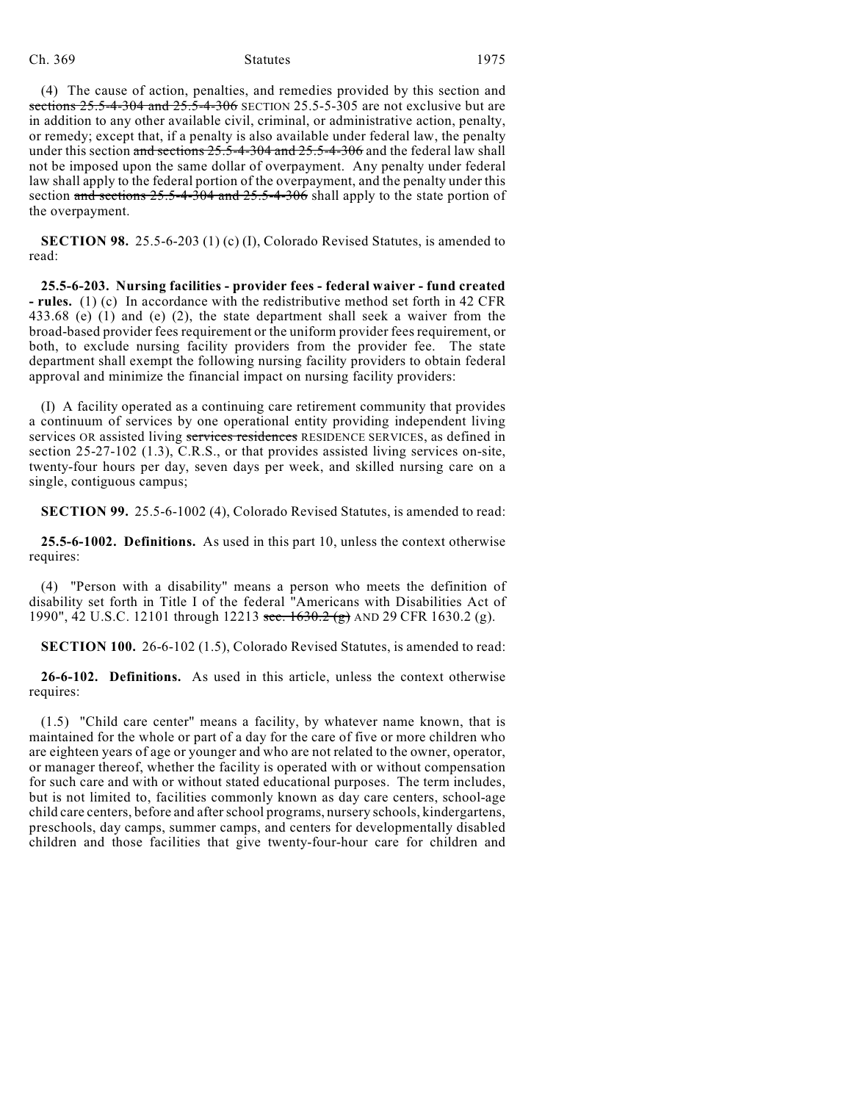(4) The cause of action, penalties, and remedies provided by this section and sections 25.5-4-304 and 25.5-4-306 SECTION 25.5-5-305 are not exclusive but are in addition to any other available civil, criminal, or administrative action, penalty, or remedy; except that, if a penalty is also available under federal law, the penalty under this section and sections 25.5-4-304 and 25.5-4-306 and the federal law shall not be imposed upon the same dollar of overpayment. Any penalty under federal law shall apply to the federal portion of the overpayment, and the penalty under this section and sections 25.5-4-304 and 25.5-4-306 shall apply to the state portion of the overpayment.

**SECTION 98.** 25.5-6-203 (1) (c) (I), Colorado Revised Statutes, is amended to read:

**25.5-6-203. Nursing facilities - provider fees - federal waiver - fund created - rules.** (1) (c) In accordance with the redistributive method set forth in 42 CFR 433.68 (e) (1) and (e) (2), the state department shall seek a waiver from the broad-based provider fees requirement or the uniform provider fees requirement, or both, to exclude nursing facility providers from the provider fee. The state department shall exempt the following nursing facility providers to obtain federal approval and minimize the financial impact on nursing facility providers:

(I) A facility operated as a continuing care retirement community that provides a continuum of services by one operational entity providing independent living services OR assisted living services residences RESIDENCE SERVICES, as defined in section 25-27-102 (1.3), C.R.S., or that provides assisted living services on-site, twenty-four hours per day, seven days per week, and skilled nursing care on a single, contiguous campus;

**SECTION 99.** 25.5-6-1002 (4), Colorado Revised Statutes, is amended to read:

**25.5-6-1002. Definitions.** As used in this part 10, unless the context otherwise requires:

(4) "Person with a disability" means a person who meets the definition of disability set forth in Title I of the federal "Americans with Disabilities Act of 1990", 42 U.S.C. 12101 through 12213 sec.  $1630.2$  (g) AND 29 CFR 1630.2 (g).

**SECTION 100.** 26-6-102 (1.5), Colorado Revised Statutes, is amended to read:

**26-6-102. Definitions.** As used in this article, unless the context otherwise requires:

(1.5) "Child care center" means a facility, by whatever name known, that is maintained for the whole or part of a day for the care of five or more children who are eighteen years of age or younger and who are not related to the owner, operator, or manager thereof, whether the facility is operated with or without compensation for such care and with or without stated educational purposes. The term includes, but is not limited to, facilities commonly known as day care centers, school-age child care centers, before and after school programs, nursery schools, kindergartens, preschools, day camps, summer camps, and centers for developmentally disabled children and those facilities that give twenty-four-hour care for children and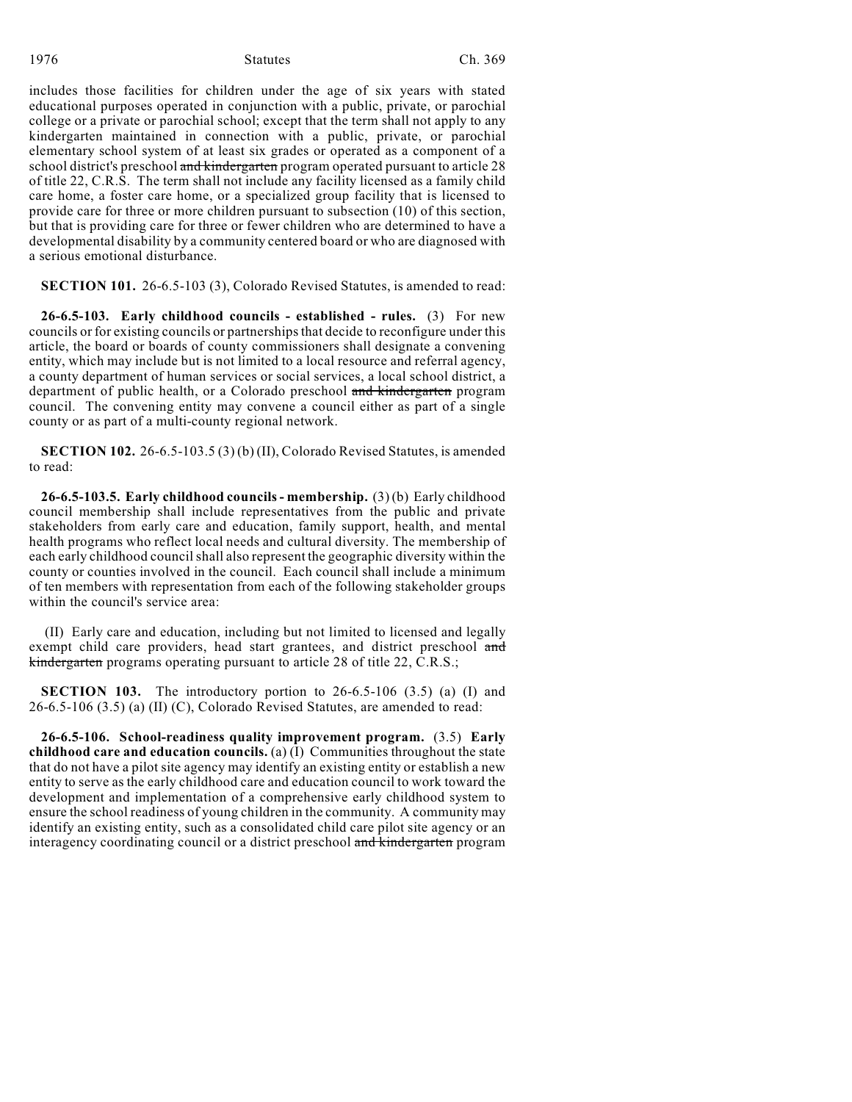1976 Statutes Ch. 369

includes those facilities for children under the age of six years with stated educational purposes operated in conjunction with a public, private, or parochial college or a private or parochial school; except that the term shall not apply to any kindergarten maintained in connection with a public, private, or parochial elementary school system of at least six grades or operated as a component of a school district's preschool and kindergarten program operated pursuant to article 28 of title 22, C.R.S. The term shall not include any facility licensed as a family child care home, a foster care home, or a specialized group facility that is licensed to provide care for three or more children pursuant to subsection (10) of this section, but that is providing care for three or fewer children who are determined to have a developmental disability by a community centered board or who are diagnosed with a serious emotional disturbance.

**SECTION 101.** 26-6.5-103 (3), Colorado Revised Statutes, is amended to read:

**26-6.5-103. Early childhood councils - established - rules.** (3) For new councils or for existing councils or partnerships that decide to reconfigure under this article, the board or boards of county commissioners shall designate a convening entity, which may include but is not limited to a local resource and referral agency, a county department of human services or social services, a local school district, a department of public health, or a Colorado preschool and kindergarten program council. The convening entity may convene a council either as part of a single county or as part of a multi-county regional network.

**SECTION 102.** 26-6.5-103.5 (3) (b) (II), Colorado Revised Statutes, is amended to read:

**26-6.5-103.5. Early childhood councils - membership.** (3) (b) Early childhood council membership shall include representatives from the public and private stakeholders from early care and education, family support, health, and mental health programs who reflect local needs and cultural diversity. The membership of each early childhood council shall also represent the geographic diversity within the county or counties involved in the council. Each council shall include a minimum of ten members with representation from each of the following stakeholder groups within the council's service area:

 (II) Early care and education, including but not limited to licensed and legally exempt child care providers, head start grantees, and district preschool and kindergarten programs operating pursuant to article 28 of title 22, C.R.S.;

**SECTION 103.** The introductory portion to 26-6.5-106 (3.5) (a) (I) and 26-6.5-106 (3.5) (a) (II) (C), Colorado Revised Statutes, are amended to read:

**26-6.5-106. School-readiness quality improvement program.** (3.5) **Early childhood care and education councils.** (a) (I) Communities throughout the state that do not have a pilot site agency may identify an existing entity or establish a new entity to serve as the early childhood care and education council to work toward the development and implementation of a comprehensive early childhood system to ensure the school readiness of young children in the community. A community may identify an existing entity, such as a consolidated child care pilot site agency or an interagency coordinating council or a district preschool and kindergarten program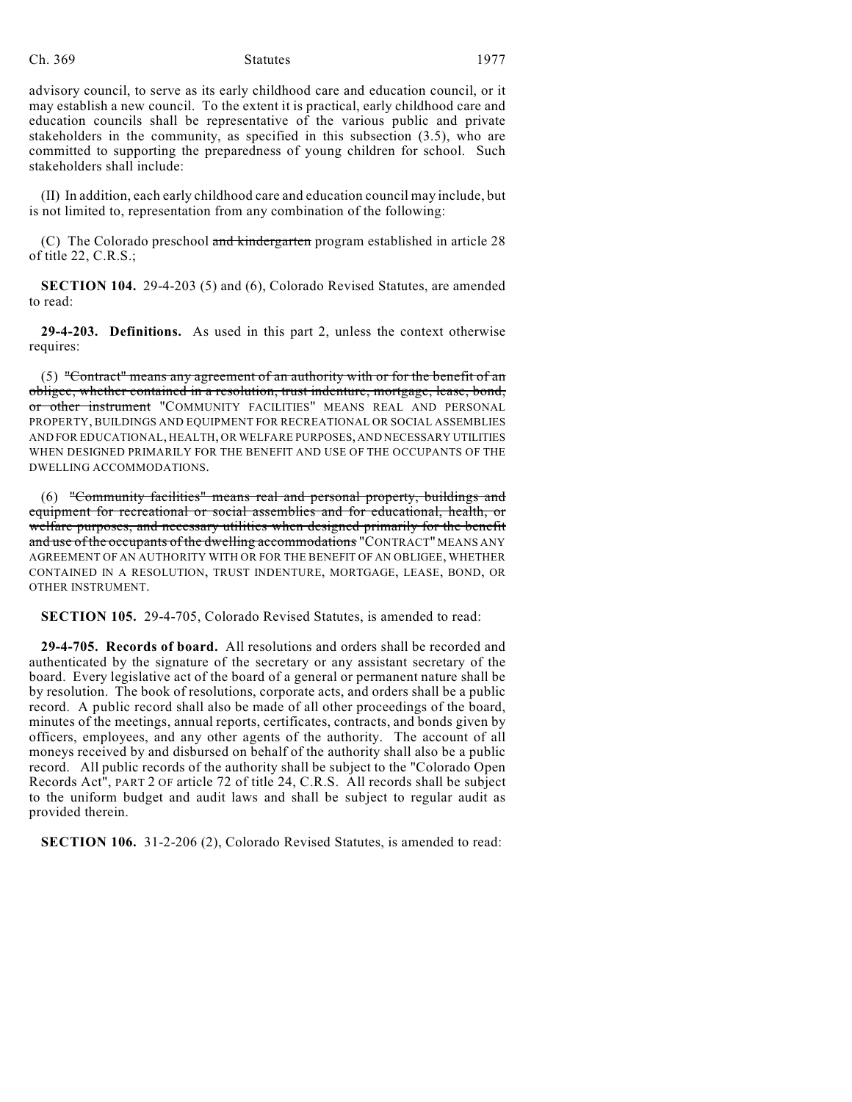advisory council, to serve as its early childhood care and education council, or it may establish a new council. To the extent it is practical, early childhood care and education councils shall be representative of the various public and private stakeholders in the community, as specified in this subsection (3.5), who are committed to supporting the preparedness of young children for school. Such stakeholders shall include:

(II) In addition, each early childhood care and education council may include, but is not limited to, representation from any combination of the following:

(C) The Colorado preschool and kindergarten program established in article 28 of title 22, C.R.S.;

**SECTION 104.** 29-4-203 (5) and (6), Colorado Revised Statutes, are amended to read:

**29-4-203. Definitions.** As used in this part 2, unless the context otherwise requires:

(5) "Contract" means any agreement of an authority with or for the benefit of an obligee, whether contained in a resolution, trust indenture, mortgage, lease, bond, or other instrument "COMMUNITY FACILITIES" MEANS REAL AND PERSONAL PROPERTY, BUILDINGS AND EQUIPMENT FOR RECREATIONAL OR SOCIAL ASSEMBLIES AND FOR EDUCATIONAL, HEALTH, OR WELFARE PURPOSES, AND NECESSARY UTILITIES WHEN DESIGNED PRIMARILY FOR THE BENEFIT AND USE OF THE OCCUPANTS OF THE DWELLING ACCOMMODATIONS.

(6) "Community facilities" means real and personal property, buildings and equipment for recreational or social assemblies and for educational, health, or welfare purposes, and necessary utilities when designed primarily for the benefit and use of the occupants of the dwelling accommodations "CONTRACT" MEANS ANY AGREEMENT OF AN AUTHORITY WITH OR FOR THE BENEFIT OF AN OBLIGEE, WHETHER CONTAINED IN A RESOLUTION, TRUST INDENTURE, MORTGAGE, LEASE, BOND, OR OTHER INSTRUMENT.

**SECTION 105.** 29-4-705, Colorado Revised Statutes, is amended to read:

**29-4-705. Records of board.** All resolutions and orders shall be recorded and authenticated by the signature of the secretary or any assistant secretary of the board. Every legislative act of the board of a general or permanent nature shall be by resolution. The book of resolutions, corporate acts, and orders shall be a public record. A public record shall also be made of all other proceedings of the board, minutes of the meetings, annual reports, certificates, contracts, and bonds given by officers, employees, and any other agents of the authority. The account of all moneys received by and disbursed on behalf of the authority shall also be a public record. All public records of the authority shall be subject to the "Colorado Open Records Act", PART 2 OF article 72 of title 24, C.R.S. All records shall be subject to the uniform budget and audit laws and shall be subject to regular audit as provided therein.

**SECTION 106.** 31-2-206 (2), Colorado Revised Statutes, is amended to read: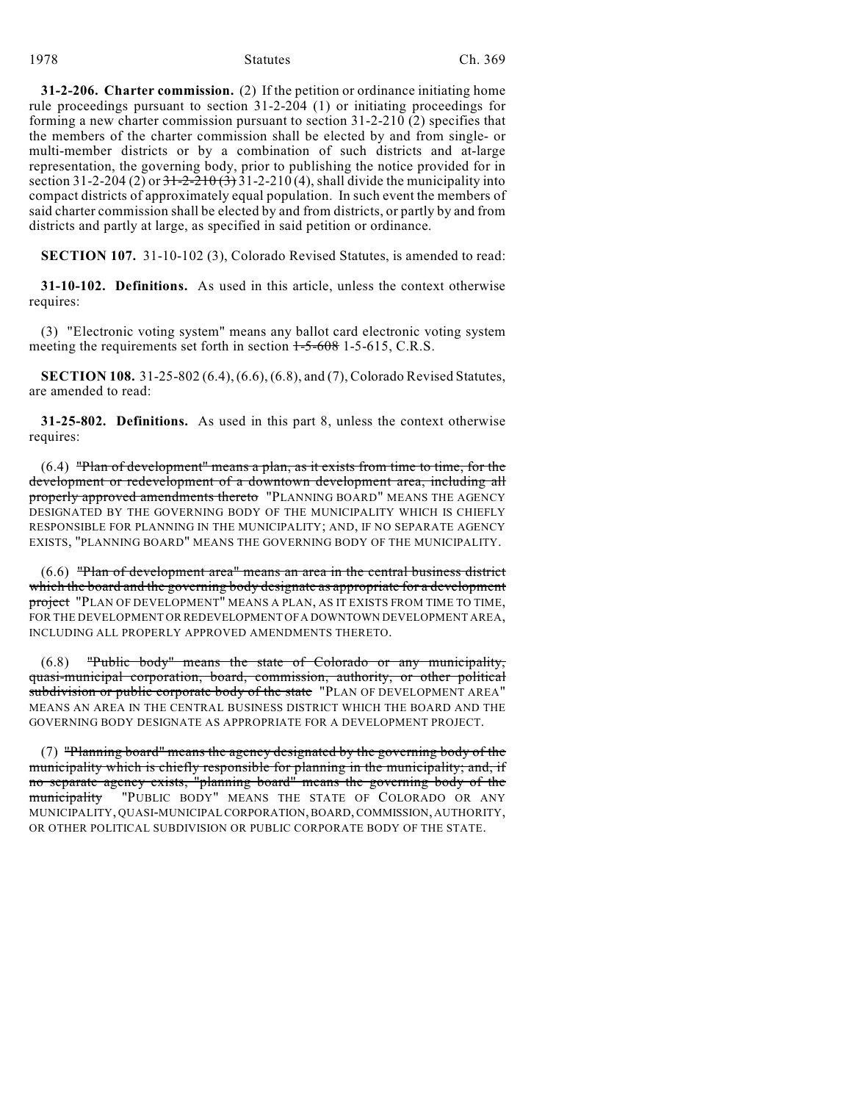**31-2-206. Charter commission.** (2) If the petition or ordinance initiating home rule proceedings pursuant to section 31-2-204 (1) or initiating proceedings for forming a new charter commission pursuant to section 31-2-210 (2) specifies that the members of the charter commission shall be elected by and from single- or multi-member districts or by a combination of such districts and at-large representation, the governing body, prior to publishing the notice provided for in section 31-2-204 (2) or  $31-2-210(3)$  31-2-210 (4), shall divide the municipality into compact districts of approximately equal population. In such event the members of said charter commission shall be elected by and from districts, or partly by and from districts and partly at large, as specified in said petition or ordinance.

**SECTION 107.** 31-10-102 (3), Colorado Revised Statutes, is amended to read:

**31-10-102. Definitions.** As used in this article, unless the context otherwise requires:

(3) "Electronic voting system" means any ballot card electronic voting system meeting the requirements set forth in section  $1-5-608$  1-5-615, C.R.S.

**SECTION 108.** 31-25-802 (6.4), (6.6), (6.8), and (7), Colorado Revised Statutes, are amended to read:

**31-25-802. Definitions.** As used in this part 8, unless the context otherwise requires:

 $(6.4)$  "Plan of development" means a plan, as it exists from time to time, for the development or redevelopment of a downtown development area, including all properly approved amendments thereto "PLANNING BOARD" MEANS THE AGENCY DESIGNATED BY THE GOVERNING BODY OF THE MUNICIPALITY WHICH IS CHIEFLY RESPONSIBLE FOR PLANNING IN THE MUNICIPALITY; AND, IF NO SEPARATE AGENCY EXISTS, "PLANNING BOARD" MEANS THE GOVERNING BODY OF THE MUNICIPALITY.

(6.6) "Plan of development area" means an area in the central business district which the board and the governing body designate as appropriate for a development project "PLAN OF DEVELOPMENT" MEANS A PLAN, AS IT EXISTS FROM TIME TO TIME, FOR THE DEVELOPMENT OR REDEVELOPMENT OF A DOWNTOWN DEVELOPMENT AREA, INCLUDING ALL PROPERLY APPROVED AMENDMENTS THERETO.

(6.8) "Public body" means the state of Colorado or any municipality, quasi-municipal corporation, board, commission, authority, or other political subdivision or public corporate body of the state "PLAN OF DEVELOPMENT AREA" MEANS AN AREA IN THE CENTRAL BUSINESS DISTRICT WHICH THE BOARD AND THE GOVERNING BODY DESIGNATE AS APPROPRIATE FOR A DEVELOPMENT PROJECT.

(7) "Planning board" means the agency designated by the governing body of the municipality which is chiefly responsible for planning in the municipality; and, if no separate agency exists, "planning board" means the governing body of the municipality "PUBLIC BODY" MEANS THE STATE OF COLORADO OR ANY MUNICIPALITY, QUASI-MUNICIPAL CORPORATION, BOARD, COMMISSION, AUTHORITY, OR OTHER POLITICAL SUBDIVISION OR PUBLIC CORPORATE BODY OF THE STATE.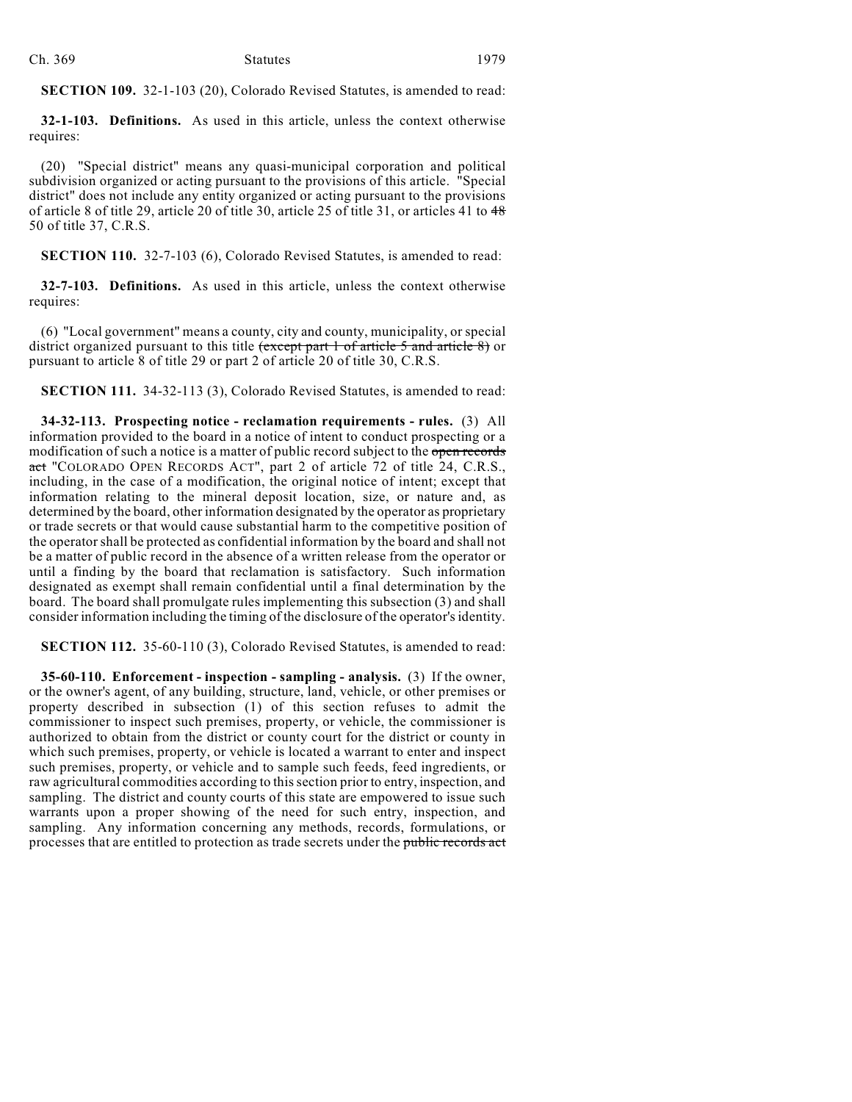**SECTION 109.** 32-1-103 (20), Colorado Revised Statutes, is amended to read:

**32-1-103. Definitions.** As used in this article, unless the context otherwise requires:

(20) "Special district" means any quasi-municipal corporation and political subdivision organized or acting pursuant to the provisions of this article. "Special district" does not include any entity organized or acting pursuant to the provisions of article 8 of title 29, article 20 of title 30, article 25 of title 31, or articles 41 to  $48$ 50 of title 37, C.R.S.

**SECTION 110.** 32-7-103 (6), Colorado Revised Statutes, is amended to read:

**32-7-103. Definitions.** As used in this article, unless the context otherwise requires:

(6) "Local government" means a county, city and county, municipality, or special district organized pursuant to this title (except part 1 of article 5 and article 8) or pursuant to article 8 of title 29 or part 2 of article 20 of title 30, C.R.S.

**SECTION 111.** 34-32-113 (3), Colorado Revised Statutes, is amended to read:

**34-32-113. Prospecting notice - reclamation requirements - rules.** (3) All information provided to the board in a notice of intent to conduct prospecting or a modification of such a notice is a matter of public record subject to the open records act "COLORADO OPEN RECORDS ACT", part 2 of article 72 of title 24, C.R.S., including, in the case of a modification, the original notice of intent; except that information relating to the mineral deposit location, size, or nature and, as determined by the board, other information designated by the operator as proprietary or trade secrets or that would cause substantial harm to the competitive position of the operatorshall be protected as confidential information by the board and shall not be a matter of public record in the absence of a written release from the operator or until a finding by the board that reclamation is satisfactory. Such information designated as exempt shall remain confidential until a final determination by the board. The board shall promulgate rules implementing this subsection (3) and shall consider information including the timing of the disclosure of the operator's identity.

**SECTION 112.** 35-60-110 (3), Colorado Revised Statutes, is amended to read:

**35-60-110. Enforcement - inspection - sampling - analysis.** (3) If the owner, or the owner's agent, of any building, structure, land, vehicle, or other premises or property described in subsection (1) of this section refuses to admit the commissioner to inspect such premises, property, or vehicle, the commissioner is authorized to obtain from the district or county court for the district or county in which such premises, property, or vehicle is located a warrant to enter and inspect such premises, property, or vehicle and to sample such feeds, feed ingredients, or raw agricultural commodities according to this section prior to entry, inspection, and sampling. The district and county courts of this state are empowered to issue such warrants upon a proper showing of the need for such entry, inspection, and sampling. Any information concerning any methods, records, formulations, or processes that are entitled to protection as trade secrets under the public records act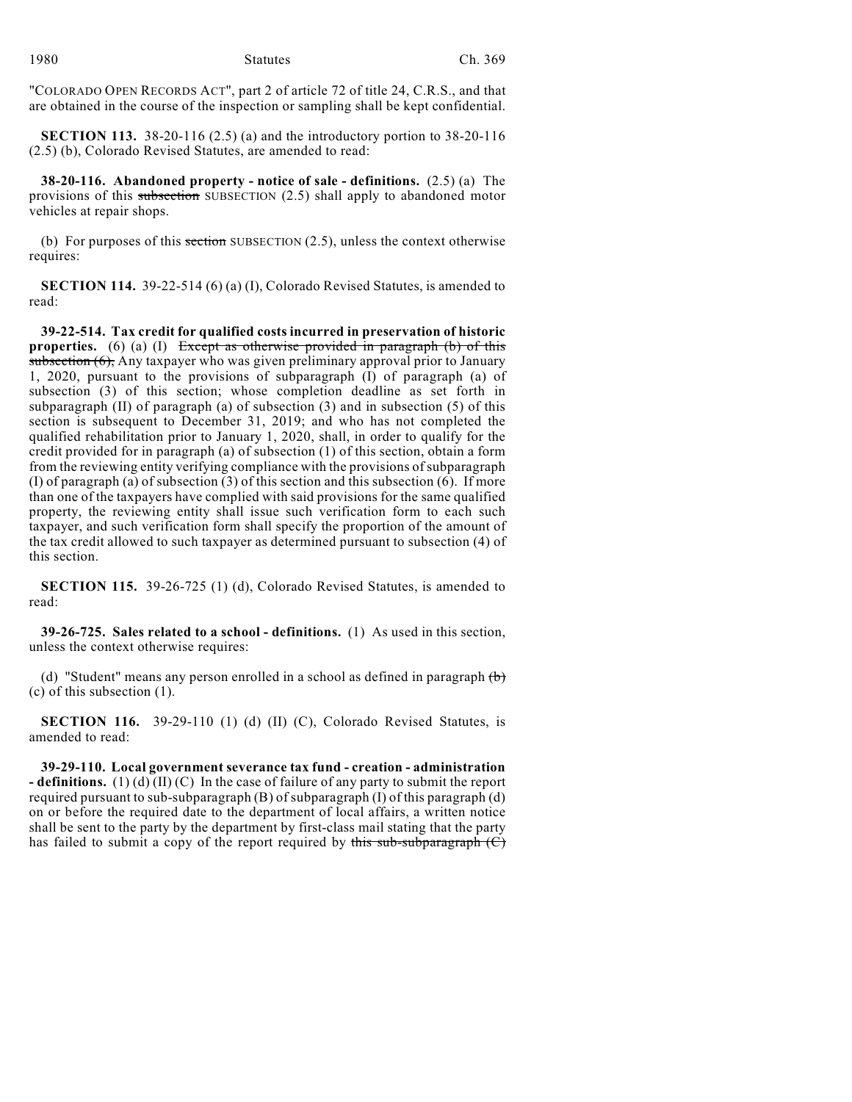"COLORADO OPEN RECORDS ACT", part 2 of article 72 of title 24, C.R.S., and that are obtained in the course of the inspection or sampling shall be kept confidential.

**SECTION 113.** 38-20-116 (2.5) (a) and the introductory portion to 38-20-116 (2.5) (b), Colorado Revised Statutes, are amended to read:

**38-20-116. Abandoned property - notice of sale - definitions.** (2.5) (a) The provisions of this subsection SUBSECTION (2.5) shall apply to abandoned motor vehicles at repair shops.

(b) For purposes of this section SUBSECTION  $(2.5)$ , unless the context otherwise requires:

**SECTION 114.** 39-22-514 (6) (a) (I), Colorado Revised Statutes, is amended to read:

**39-22-514. Tax credit for qualified costs incurred in preservation of historic properties.** (6) (a) (I) Except as otherwise provided in paragraph (b) of this subsection (6), Any taxpayer who was given preliminary approval prior to January 1, 2020, pursuant to the provisions of subparagraph (I) of paragraph (a) of subsection (3) of this section; whose completion deadline as set forth in subparagraph (II) of paragraph (a) of subsection (3) and in subsection (5) of this section is subsequent to December 31, 2019; and who has not completed the qualified rehabilitation prior to January 1, 2020, shall, in order to qualify for the credit provided for in paragraph (a) of subsection (1) of this section, obtain a form from the reviewing entity verifying compliance with the provisions of subparagraph (I) of paragraph (a) of subsection (3) of this section and this subsection (6). If more than one of the taxpayers have complied with said provisions for the same qualified property, the reviewing entity shall issue such verification form to each such taxpayer, and such verification form shall specify the proportion of the amount of the tax credit allowed to such taxpayer as determined pursuant to subsection (4) of this section.

**SECTION 115.** 39-26-725 (1) (d), Colorado Revised Statutes, is amended to read:

**39-26-725. Sales related to a school - definitions.** (1) As used in this section, unless the context otherwise requires:

(d) "Student" means any person enrolled in a school as defined in paragraph  $(b)$ (c) of this subsection (1).

**SECTION 116.** 39-29-110 (1) (d) (II) (C), Colorado Revised Statutes, is amended to read:

**39-29-110. Local government severance tax fund - creation - administration - definitions.** (1) (d) (II) (C) In the case of failure of any party to submit the report required pursuant to sub-subparagraph (B) of subparagraph (I) of this paragraph (d) on or before the required date to the department of local affairs, a written notice shall be sent to the party by the department by first-class mail stating that the party has failed to submit a copy of the report required by this sub-subparagraph  $(C)$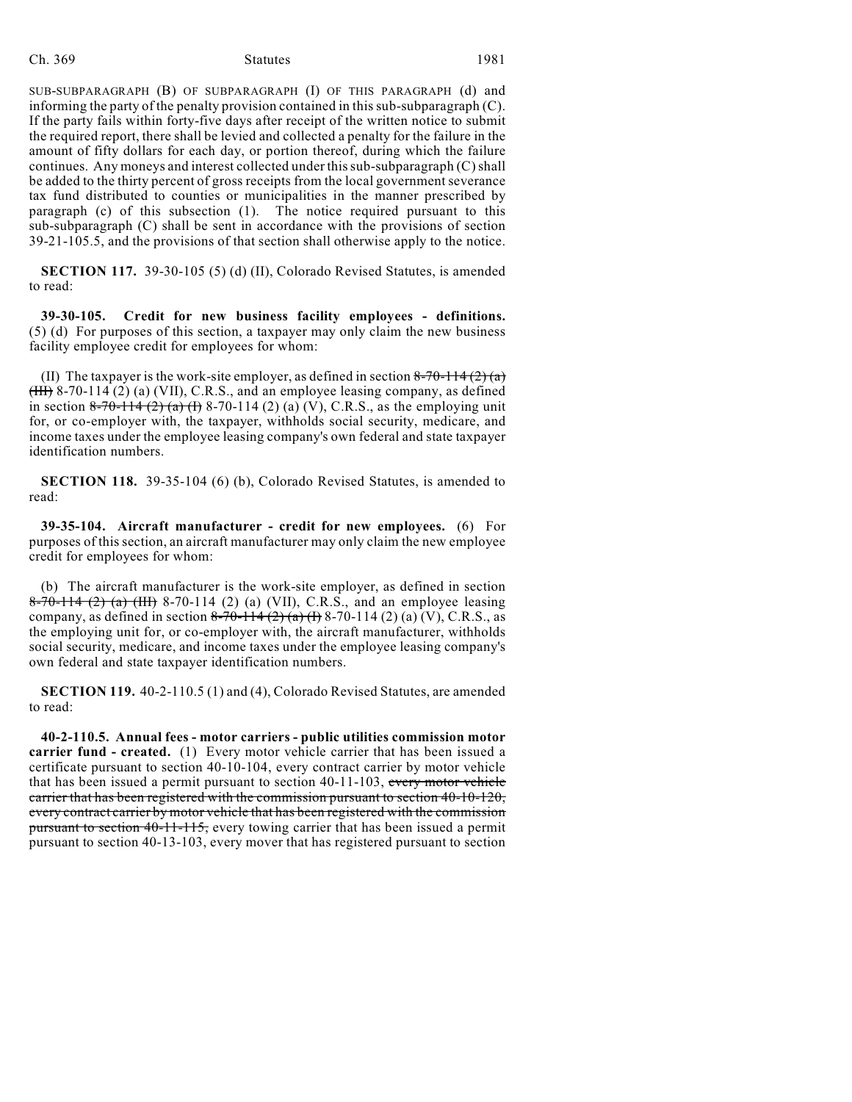| Ch. 369 | <b>Statutes</b> | 1981 |
|---------|-----------------|------|
|         |                 |      |

SUB-SUBPARAGRAPH (B) OF SUBPARAGRAPH (I) OF THIS PARAGRAPH (d) and informing the party of the penalty provision contained in this sub-subparagraph (C). If the party fails within forty-five days after receipt of the written notice to submit the required report, there shall be levied and collected a penalty for the failure in the amount of fifty dollars for each day, or portion thereof, during which the failure continues. Any moneys and interest collected under this sub-subparagraph (C) shall be added to the thirty percent of gross receipts from the local government severance tax fund distributed to counties or municipalities in the manner prescribed by paragraph (c) of this subsection (1). The notice required pursuant to this sub-subparagraph (C) shall be sent in accordance with the provisions of section 39-21-105.5, and the provisions of that section shall otherwise apply to the notice.

**SECTION 117.** 39-30-105 (5) (d) (II), Colorado Revised Statutes, is amended to read:

**39-30-105. Credit for new business facility employees - definitions.** (5) (d) For purposes of this section, a taxpayer may only claim the new business facility employee credit for employees for whom:

(II) The taxpayer is the work-site employer, as defined in section  $\frac{8-70-114(2)}{a}$  $(HH)$  8-70-114 (2) (a) (VII), C.R.S., and an employee leasing company, as defined in section  $8-70-114$  (2) (a) (b)  $8-70-114$  (2) (a) (V), C.R.S., as the employing unit for, or co-employer with, the taxpayer, withholds social security, medicare, and income taxes under the employee leasing company's own federal and state taxpayer identification numbers.

**SECTION 118.** 39-35-104 (6) (b), Colorado Revised Statutes, is amended to read:

**39-35-104. Aircraft manufacturer - credit for new employees.** (6) For purposes of this section, an aircraft manufacturer may only claim the new employee credit for employees for whom:

(b) The aircraft manufacturer is the work-site employer, as defined in section  $8-70-114$  (2) (a) (HH) 8-70-114 (2) (a) (VII), C.R.S., and an employee leasing company, as defined in section  $8-70-114$  (2) (a) (1) 8-70-114 (2) (a) (V), C.R.S., as the employing unit for, or co-employer with, the aircraft manufacturer, withholds social security, medicare, and income taxes under the employee leasing company's own federal and state taxpayer identification numbers.

**SECTION 119.** 40-2-110.5 (1) and (4), Colorado Revised Statutes, are amended to read:

**40-2-110.5. Annual fees - motor carriers - public utilities commission motor carrier fund - created.** (1) Every motor vehicle carrier that has been issued a certificate pursuant to section 40-10-104, every contract carrier by motor vehicle that has been issued a permit pursuant to section 40-11-103, every motor vehicle carrier that has been registered with the commission pursuant to section 40-10-120, every contract carrier by motor vehicle that has been registered with the commission pursuant to section 40-11-115, every towing carrier that has been issued a permit pursuant to section 40-13-103, every mover that has registered pursuant to section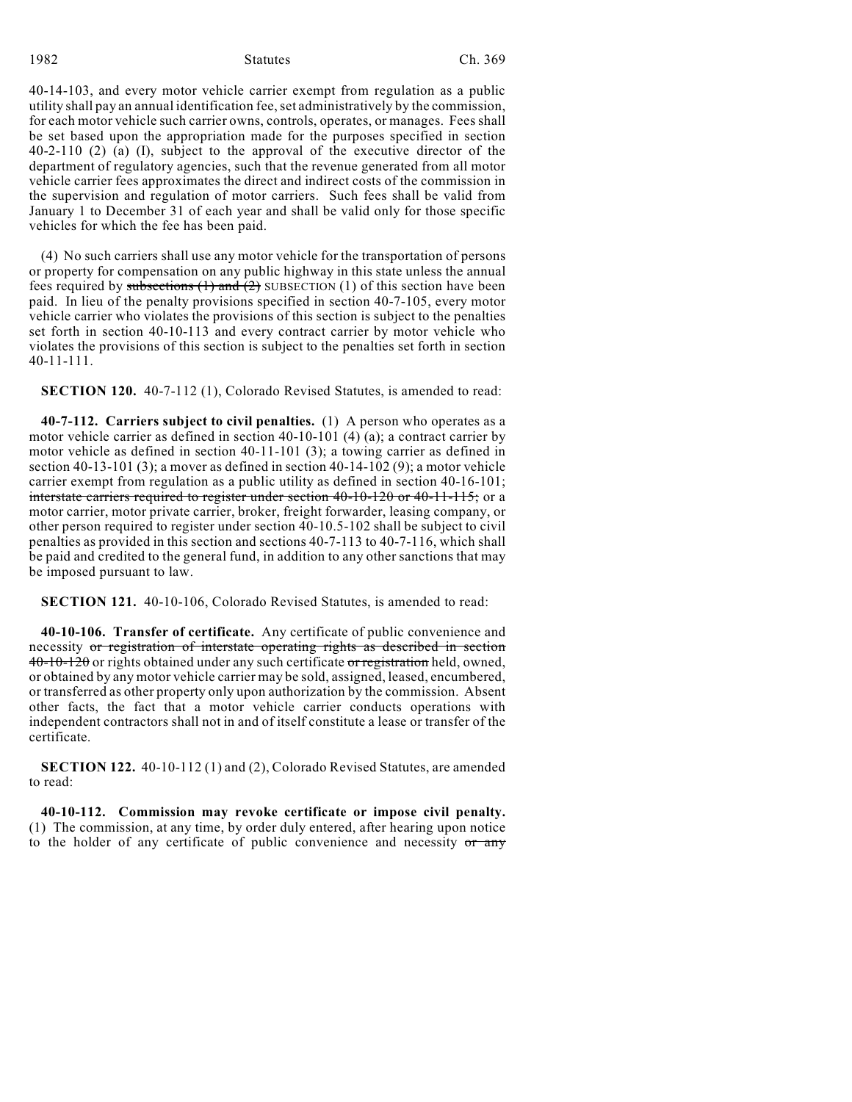### 1982 Statutes Ch. 369

40-14-103, and every motor vehicle carrier exempt from regulation as a public utility shall pay an annual identification fee, set administratively by the commission, for each motor vehicle such carrier owns, controls, operates, or manages. Fees shall be set based upon the appropriation made for the purposes specified in section 40-2-110 (2) (a) (I), subject to the approval of the executive director of the department of regulatory agencies, such that the revenue generated from all motor vehicle carrier fees approximates the direct and indirect costs of the commission in the supervision and regulation of motor carriers. Such fees shall be valid from January 1 to December 31 of each year and shall be valid only for those specific vehicles for which the fee has been paid.

(4) No such carriers shall use any motor vehicle for the transportation of persons or property for compensation on any public highway in this state unless the annual fees required by subsections  $(1)$  and  $(2)$  SUBSECTION  $(1)$  of this section have been paid. In lieu of the penalty provisions specified in section 40-7-105, every motor vehicle carrier who violates the provisions of this section is subject to the penalties set forth in section 40-10-113 and every contract carrier by motor vehicle who violates the provisions of this section is subject to the penalties set forth in section 40-11-111.

**SECTION 120.** 40-7-112 (1), Colorado Revised Statutes, is amended to read:

**40-7-112. Carriers subject to civil penalties.** (1) A person who operates as a motor vehicle carrier as defined in section 40-10-101 (4) (a); a contract carrier by motor vehicle as defined in section 40-11-101 (3); a towing carrier as defined in section 40-13-101 (3); a mover as defined in section 40-14-102 (9); a motor vehicle carrier exempt from regulation as a public utility as defined in section 40-16-101; interstate carriers required to register under section 40-10-120 or 40-11-115; or a motor carrier, motor private carrier, broker, freight forwarder, leasing company, or other person required to register under section 40-10.5-102 shall be subject to civil penalties as provided in this section and sections 40-7-113 to 40-7-116, which shall be paid and credited to the general fund, in addition to any other sanctions that may be imposed pursuant to law.

**SECTION 121.** 40-10-106, Colorado Revised Statutes, is amended to read:

**40-10-106. Transfer of certificate.** Any certificate of public convenience and necessity or registration of interstate operating rights as described in section 40-10-120 or rights obtained under any such certificate or registration held, owned, or obtained by any motor vehicle carrier may be sold, assigned, leased, encumbered, or transferred as other property only upon authorization by the commission. Absent other facts, the fact that a motor vehicle carrier conducts operations with independent contractors shall not in and of itself constitute a lease or transfer of the certificate.

**SECTION 122.** 40-10-112 (1) and (2), Colorado Revised Statutes, are amended to read:

**40-10-112. Commission may revoke certificate or impose civil penalty.** (1) The commission, at any time, by order duly entered, after hearing upon notice to the holder of any certificate of public convenience and necessity or any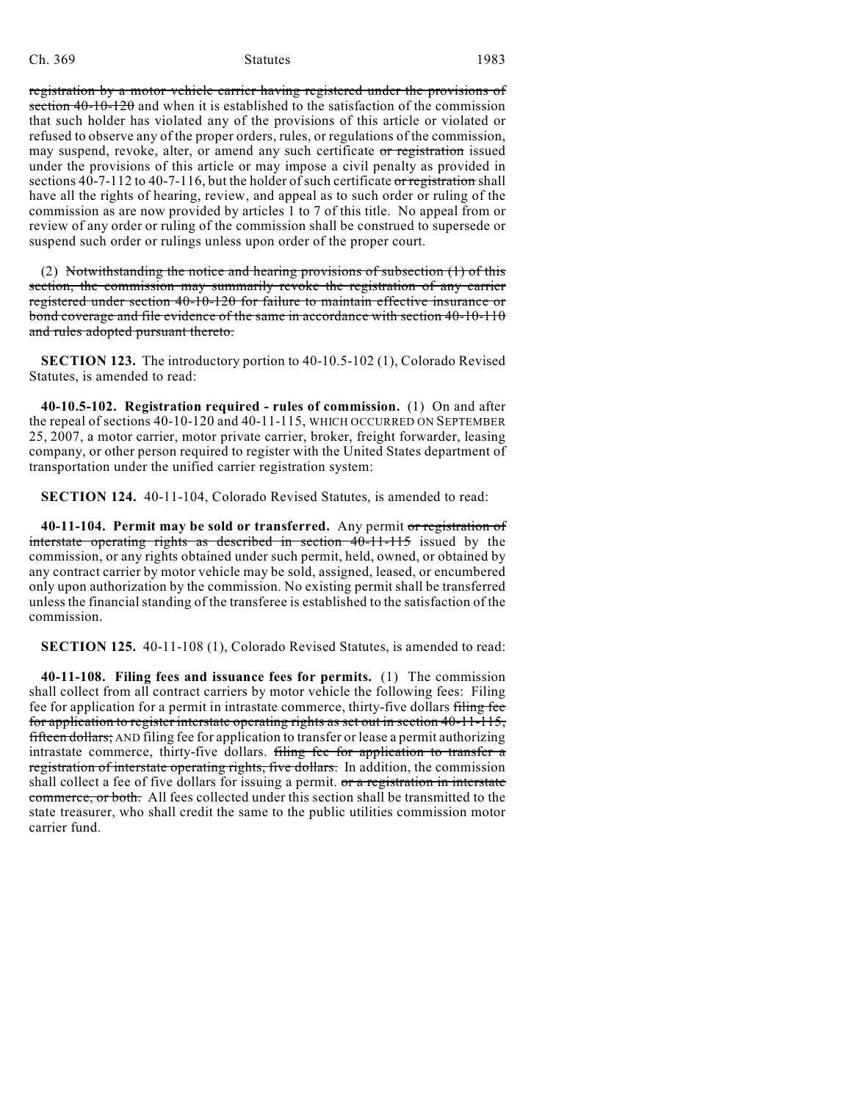registration by a motor vehicle carrier having registered under the provisions of section  $40-10-120$  and when it is established to the satisfaction of the commission that such holder has violated any of the provisions of this article or violated or refused to observe any of the proper orders, rules, or regulations of the commission, may suspend, revoke, alter, or amend any such certificate or registration issued under the provisions of this article or may impose a civil penalty as provided in sections 40-7-112 to 40-7-116, but the holder of such certificate  $\sigma r$  registration shall have all the rights of hearing, review, and appeal as to such order or ruling of the commission as are now provided by articles 1 to 7 of this title. No appeal from or review of any order or ruling of the commission shall be construed to supersede or suspend such order or rulings unless upon order of the proper court.

(2) Notwithstanding the notice and hearing provisions of subsection (1) of this section, the commission may summarily revoke the registration of any carrier registered under section 40-10-120 for failure to maintain effective insurance or bond coverage and file evidence of the same in accordance with section 40-10-110 and rules adopted pursuant thereto.

**SECTION 123.** The introductory portion to 40-10.5-102 (1), Colorado Revised Statutes, is amended to read:

**40-10.5-102. Registration required - rules of commission.** (1) On and after the repeal of sections 40-10-120 and 40-11-115, WHICH OCCURRED ON SEPTEMBER 25, 2007, a motor carrier, motor private carrier, broker, freight forwarder, leasing company, or other person required to register with the United States department of transportation under the unified carrier registration system:

**SECTION 124.** 40-11-104, Colorado Revised Statutes, is amended to read:

**40-11-104. Permit may be sold or transferred.** Any permit or registration of interstate operating rights as described in section 40-11-115 issued by the commission, or any rights obtained under such permit, held, owned, or obtained by any contract carrier by motor vehicle may be sold, assigned, leased, or encumbered only upon authorization by the commission. No existing permit shall be transferred unless the financial standing of the transferee is established to the satisfaction of the commission.

**SECTION 125.** 40-11-108 (1), Colorado Revised Statutes, is amended to read:

**40-11-108. Filing fees and issuance fees for permits.** (1) The commission shall collect from all contract carriers by motor vehicle the following fees: Filing fee for application for a permit in intrastate commerce, thirty-five dollars filing fee for application to register interstate operating rights as set out in section 40-11-115, fifteen dollars; AND filing fee for application to transfer or lease a permit authorizing intrastate commerce, thirty-five dollars. filling fee for application to transfer a registration of interstate operating rights, five dollars. In addition, the commission shall collect a fee of five dollars for issuing a permit. or a registration in interstate commerce, or both. All fees collected under this section shall be transmitted to the state treasurer, who shall credit the same to the public utilities commission motor carrier fund.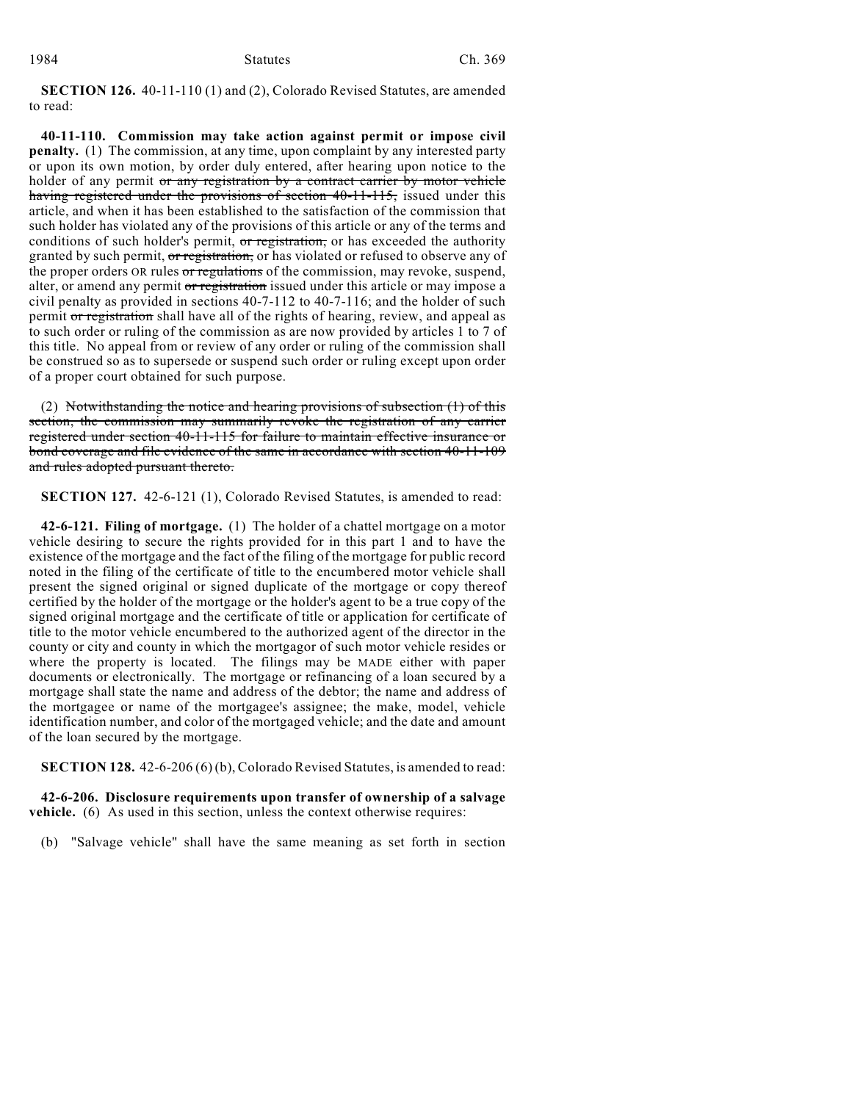**SECTION 126.** 40-11-110 (1) and (2), Colorado Revised Statutes, are amended to read:

**40-11-110. Commission may take action against permit or impose civil penalty.** (1) The commission, at any time, upon complaint by any interested party or upon its own motion, by order duly entered, after hearing upon notice to the holder of any permit or any registration by a contract carrier by motor vehicle having registered under the provisions of section 40-11-115, issued under this article, and when it has been established to the satisfaction of the commission that such holder has violated any of the provisions of this article or any of the terms and conditions of such holder's permit, or registration, or has exceeded the authority granted by such permit, or registration, or has violated or refused to observe any of the proper orders OR rules or regulations of the commission, may revoke, suspend, alter, or amend any permit or registration issued under this article or may impose a civil penalty as provided in sections 40-7-112 to 40-7-116; and the holder of such permit or registration shall have all of the rights of hearing, review, and appeal as to such order or ruling of the commission as are now provided by articles 1 to 7 of this title. No appeal from or review of any order or ruling of the commission shall be construed so as to supersede or suspend such order or ruling except upon order of a proper court obtained for such purpose.

(2) Notwithstanding the notice and hearing provisions of subsection (1) of this section, the commission may summarily revoke the registration of any carrier registered under section 40-11-115 for failure to maintain effective insurance or bond coverage and file evidence of the same in accordance with section 40-11-109 and rules adopted pursuant thereto.

**SECTION 127.** 42-6-121 (1), Colorado Revised Statutes, is amended to read:

**42-6-121. Filing of mortgage.** (1) The holder of a chattel mortgage on a motor vehicle desiring to secure the rights provided for in this part 1 and to have the existence of the mortgage and the fact of the filing of the mortgage for public record noted in the filing of the certificate of title to the encumbered motor vehicle shall present the signed original or signed duplicate of the mortgage or copy thereof certified by the holder of the mortgage or the holder's agent to be a true copy of the signed original mortgage and the certificate of title or application for certificate of title to the motor vehicle encumbered to the authorized agent of the director in the county or city and county in which the mortgagor of such motor vehicle resides or where the property is located. The filings may be MADE either with paper documents or electronically. The mortgage or refinancing of a loan secured by a mortgage shall state the name and address of the debtor; the name and address of the mortgagee or name of the mortgagee's assignee; the make, model, vehicle identification number, and color of the mortgaged vehicle; and the date and amount of the loan secured by the mortgage.

**SECTION 128.** 42-6-206 (6) (b), Colorado Revised Statutes, is amended to read:

**42-6-206. Disclosure requirements upon transfer of ownership of a salvage vehicle.** (6) As used in this section, unless the context otherwise requires:

(b) "Salvage vehicle" shall have the same meaning as set forth in section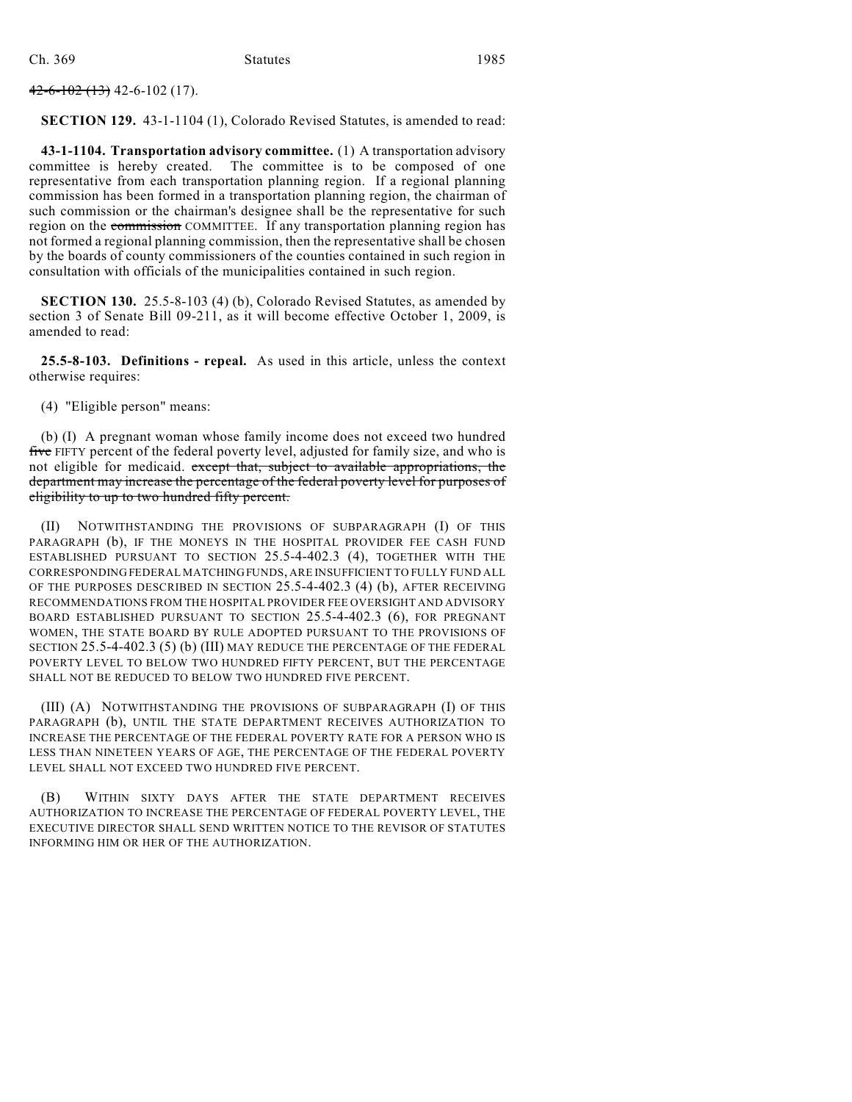$42 - 6 - 102$  (13) 42-6-102 (17).

**SECTION 129.** 43-1-1104 (1), Colorado Revised Statutes, is amended to read:

**43-1-1104. Transportation advisory committee.** (1) A transportation advisory committee is hereby created. The committee is to be composed of one representative from each transportation planning region. If a regional planning commission has been formed in a transportation planning region, the chairman of such commission or the chairman's designee shall be the representative for such region on the commission COMMITTEE. If any transportation planning region has not formed a regional planning commission, then the representative shall be chosen by the boards of county commissioners of the counties contained in such region in consultation with officials of the municipalities contained in such region.

**SECTION 130.** 25.5-8-103 (4) (b), Colorado Revised Statutes, as amended by section 3 of Senate Bill 09-211, as it will become effective October 1, 2009, is amended to read:

**25.5-8-103. Definitions - repeal.** As used in this article, unless the context otherwise requires:

(4) "Eligible person" means:

(b) (I) A pregnant woman whose family income does not exceed two hundred five FIFTY percent of the federal poverty level, adjusted for family size, and who is not eligible for medicaid. except that, subject to available appropriations, the department may increase the percentage of the federal poverty level for purposes of eligibility to up to two hundred fifty percent.

(II) NOTWITHSTANDING THE PROVISIONS OF SUBPARAGRAPH (I) OF THIS PARAGRAPH (b), IF THE MONEYS IN THE HOSPITAL PROVIDER FEE CASH FUND ESTABLISHED PURSUANT TO SECTION 25.5-4-402.3 (4), TOGETHER WITH THE CORRESPONDING FEDERAL MATCHING FUNDS, ARE INSUFFICIENT TO FULLY FUND ALL OF THE PURPOSES DESCRIBED IN SECTION 25.5-4-402.3 (4) (b), AFTER RECEIVING RECOMMENDATIONS FROM THE HOSPITAL PROVIDER FEE OVERSIGHT AND ADVISORY BOARD ESTABLISHED PURSUANT TO SECTION 25.5-4-402.3 (6), FOR PREGNANT WOMEN, THE STATE BOARD BY RULE ADOPTED PURSUANT TO THE PROVISIONS OF SECTION 25.5-4-402.3 (5) (b) (III) MAY REDUCE THE PERCENTAGE OF THE FEDERAL POVERTY LEVEL TO BELOW TWO HUNDRED FIFTY PERCENT, BUT THE PERCENTAGE SHALL NOT BE REDUCED TO BELOW TWO HUNDRED FIVE PERCENT.

(III) (A) NOTWITHSTANDING THE PROVISIONS OF SUBPARAGRAPH (I) OF THIS PARAGRAPH (b), UNTIL THE STATE DEPARTMENT RECEIVES AUTHORIZATION TO INCREASE THE PERCENTAGE OF THE FEDERAL POVERTY RATE FOR A PERSON WHO IS LESS THAN NINETEEN YEARS OF AGE, THE PERCENTAGE OF THE FEDERAL POVERTY LEVEL SHALL NOT EXCEED TWO HUNDRED FIVE PERCENT.

(B) WITHIN SIXTY DAYS AFTER THE STATE DEPARTMENT RECEIVES AUTHORIZATION TO INCREASE THE PERCENTAGE OF FEDERAL POVERTY LEVEL, THE EXECUTIVE DIRECTOR SHALL SEND WRITTEN NOTICE TO THE REVISOR OF STATUTES INFORMING HIM OR HER OF THE AUTHORIZATION.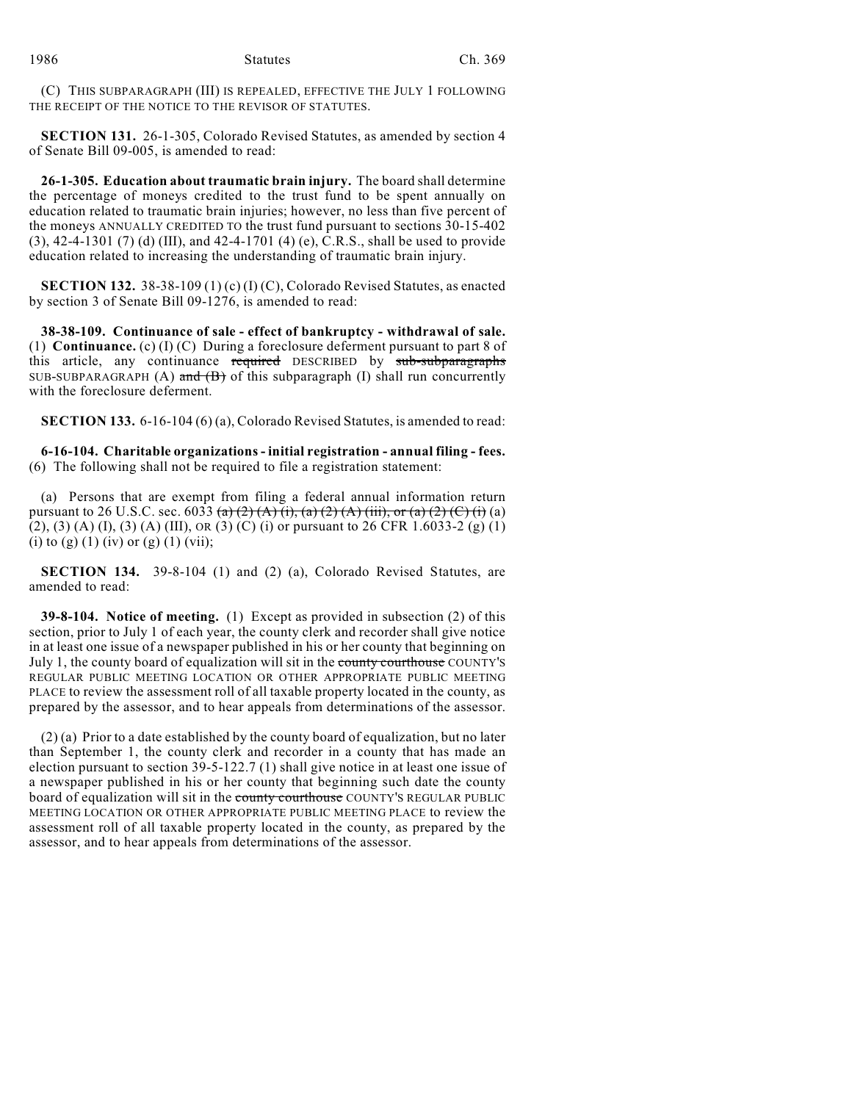(C) THIS SUBPARAGRAPH (III) IS REPEALED, EFFECTIVE THE JULY 1 FOLLOWING THE RECEIPT OF THE NOTICE TO THE REVISOR OF STATUTES.

**SECTION 131.** 26-1-305, Colorado Revised Statutes, as amended by section 4 of Senate Bill 09-005, is amended to read:

**26-1-305. Education about traumatic brain injury.** The board shall determine the percentage of moneys credited to the trust fund to be spent annually on education related to traumatic brain injuries; however, no less than five percent of the moneys ANNUALLY CREDITED TO the trust fund pursuant to sections 30-15-402 (3), 42-4-1301 (7) (d) (III), and 42-4-1701 (4) (e), C.R.S., shall be used to provide education related to increasing the understanding of traumatic brain injury.

**SECTION 132.** 38-38-109 (1) (c) (I) (C), Colorado Revised Statutes, as enacted by section 3 of Senate Bill 09-1276, is amended to read:

**38-38-109. Continuance of sale - effect of bankruptcy - withdrawal of sale.** (1) **Continuance.** (c) (I) (C) During a foreclosure deferment pursuant to part 8 of this article, any continuance required DESCRIBED by sub-subparagraphs SUB-SUBPARAGRAPH (A) and  $(B)$  of this subparagraph (I) shall run concurrently with the foreclosure deferment.

**SECTION 133.** 6-16-104 (6) (a), Colorado Revised Statutes, is amended to read:

**6-16-104. Charitable organizations - initial registration - annual filing - fees.** (6) The following shall not be required to file a registration statement:

(a) Persons that are exempt from filing a federal annual information return pursuant to 26 U.S.C. sec. 6033 (a) (2) (A) (i), (a) (2) (A) (iii), or (a) (2) (C) (i) (a)  $(2)$ , (3) (A) (I), (3) (A) (III), OR (3) (C) (i) or pursuant to 26 CFR 1.6033-2 (g) (1) (i) to (g) (1) (iv) or (g) (1) (vii);

**SECTION 134.** 39-8-104 (1) and (2) (a), Colorado Revised Statutes, are amended to read:

**39-8-104. Notice of meeting.** (1) Except as provided in subsection (2) of this section, prior to July 1 of each year, the county clerk and recorder shall give notice in at least one issue of a newspaper published in his or her county that beginning on July 1, the county board of equalization will sit in the county courthouse COUNTY's REGULAR PUBLIC MEETING LOCATION OR OTHER APPROPRIATE PUBLIC MEETING PLACE to review the assessment roll of all taxable property located in the county, as prepared by the assessor, and to hear appeals from determinations of the assessor.

(2) (a) Prior to a date established by the county board of equalization, but no later than September 1, the county clerk and recorder in a county that has made an election pursuant to section 39-5-122.7 (1) shall give notice in at least one issue of a newspaper published in his or her county that beginning such date the county board of equalization will sit in the county courthouse COUNTY'S REGULAR PUBLIC MEETING LOCATION OR OTHER APPROPRIATE PUBLIC MEETING PLACE to review the assessment roll of all taxable property located in the county, as prepared by the assessor, and to hear appeals from determinations of the assessor.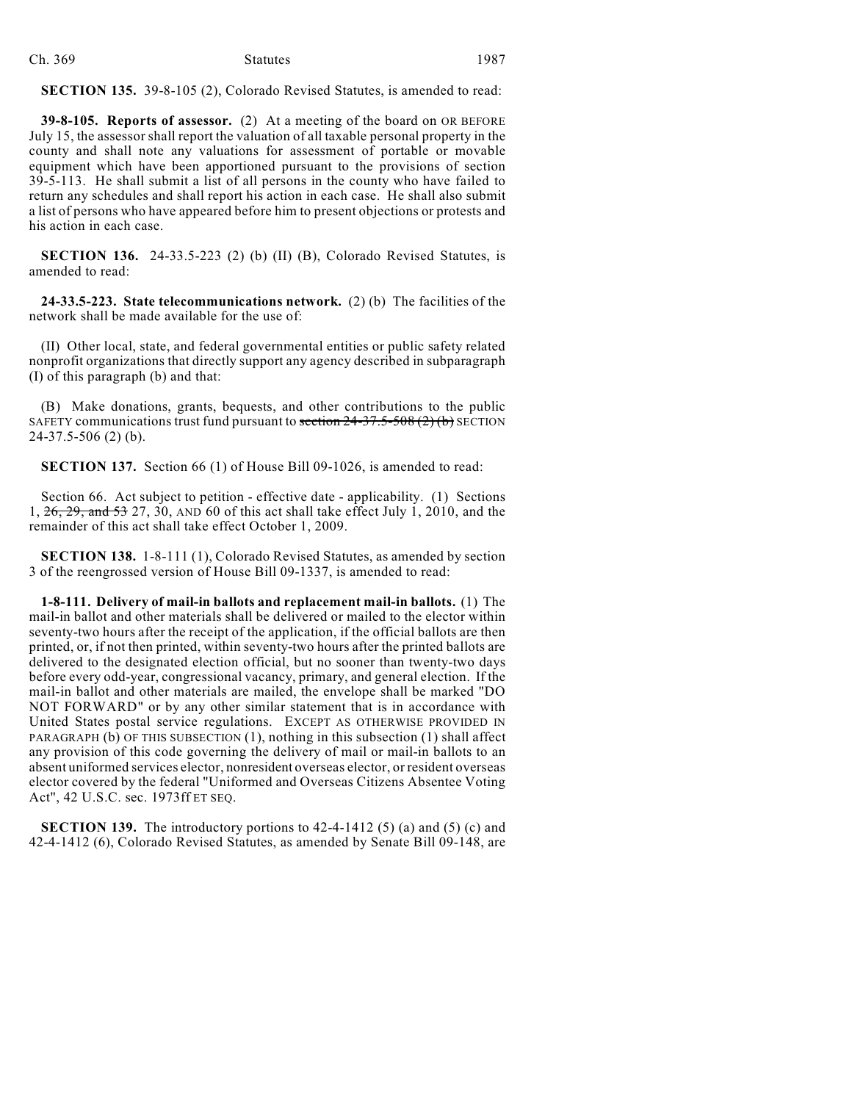**SECTION 135.** 39-8-105 (2), Colorado Revised Statutes, is amended to read:

**39-8-105. Reports of assessor.** (2) At a meeting of the board on OR BEFORE July 15, the assessor shall report the valuation of all taxable personal property in the county and shall note any valuations for assessment of portable or movable equipment which have been apportioned pursuant to the provisions of section 39-5-113. He shall submit a list of all persons in the county who have failed to return any schedules and shall report his action in each case. He shall also submit a list of persons who have appeared before him to present objections or protests and his action in each case.

**SECTION 136.** 24-33.5-223 (2) (b) (II) (B), Colorado Revised Statutes, is amended to read:

**24-33.5-223. State telecommunications network.** (2) (b) The facilities of the network shall be made available for the use of:

(II) Other local, state, and federal governmental entities or public safety related nonprofit organizations that directly support any agency described in subparagraph (I) of this paragraph (b) and that:

(B) Make donations, grants, bequests, and other contributions to the public SAFETY communications trust fund pursuant to section  $24-37.5-508(2)(b)$  SECTION 24-37.5-506 (2) (b).

**SECTION 137.** Section 66 (1) of House Bill 09-1026, is amended to read:

Section 66. Act subject to petition - effective date - applicability. (1) Sections 1, 26, 29, and 53 27, 30, AND 60 of this act shall take effect July 1, 2010, and the remainder of this act shall take effect October 1, 2009.

**SECTION 138.** 1-8-111 (1), Colorado Revised Statutes, as amended by section 3 of the reengrossed version of House Bill 09-1337, is amended to read:

**1-8-111. Delivery of mail-in ballots and replacement mail-in ballots.** (1) The mail-in ballot and other materials shall be delivered or mailed to the elector within seventy-two hours after the receipt of the application, if the official ballots are then printed, or, if not then printed, within seventy-two hours after the printed ballots are delivered to the designated election official, but no sooner than twenty-two days before every odd-year, congressional vacancy, primary, and general election. If the mail-in ballot and other materials are mailed, the envelope shall be marked "DO NOT FORWARD" or by any other similar statement that is in accordance with United States postal service regulations. EXCEPT AS OTHERWISE PROVIDED IN PARAGRAPH (b) OF THIS SUBSECTION (1), nothing in this subsection (1) shall affect any provision of this code governing the delivery of mail or mail-in ballots to an absent uniformed services elector, nonresident overseas elector, or resident overseas elector covered by the federal "Uniformed and Overseas Citizens Absentee Voting Act", 42 U.S.C. sec. 1973ff ET SEQ.

**SECTION 139.** The introductory portions to 42-4-1412 (5) (a) and (5) (c) and 42-4-1412 (6), Colorado Revised Statutes, as amended by Senate Bill 09-148, are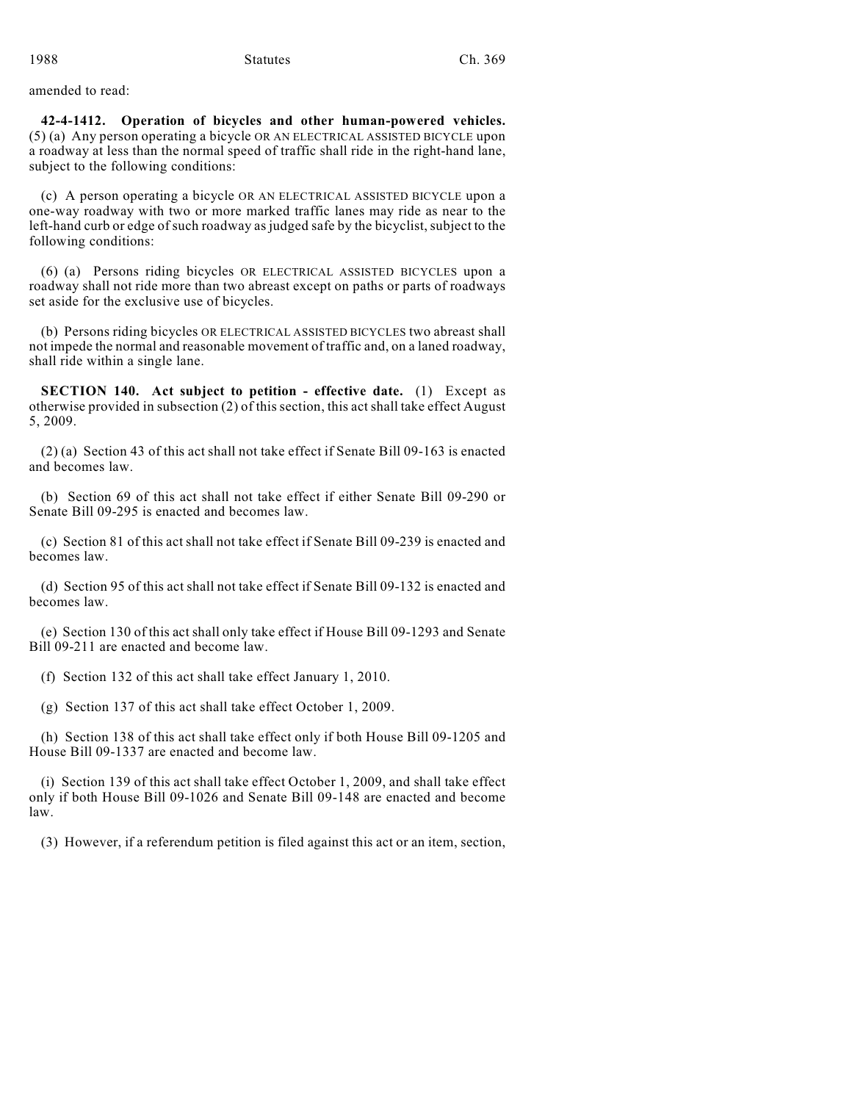amended to read:

**42-4-1412. Operation of bicycles and other human-powered vehicles.** (5) (a) Any person operating a bicycle OR AN ELECTRICAL ASSISTED BICYCLE upon a roadway at less than the normal speed of traffic shall ride in the right-hand lane, subject to the following conditions:

(c) A person operating a bicycle OR AN ELECTRICAL ASSISTED BICYCLE upon a one-way roadway with two or more marked traffic lanes may ride as near to the left-hand curb or edge of such roadway as judged safe by the bicyclist, subject to the following conditions:

(6) (a) Persons riding bicycles OR ELECTRICAL ASSISTED BICYCLES upon a roadway shall not ride more than two abreast except on paths or parts of roadways set aside for the exclusive use of bicycles.

(b) Persons riding bicycles OR ELECTRICAL ASSISTED BICYCLES two abreast shall not impede the normal and reasonable movement of traffic and, on a laned roadway, shall ride within a single lane.

**SECTION 140. Act subject to petition - effective date.** (1) Except as otherwise provided in subsection (2) of this section, this act shall take effect August 5, 2009.

(2) (a) Section 43 of this act shall not take effect if Senate Bill 09-163 is enacted and becomes law.

(b) Section 69 of this act shall not take effect if either Senate Bill 09-290 or Senate Bill 09-295 is enacted and becomes law.

(c) Section 81 of this act shall not take effect if Senate Bill 09-239 is enacted and becomes law.

(d) Section 95 of this act shall not take effect if Senate Bill 09-132 is enacted and becomes law.

(e) Section 130 of this act shall only take effect if House Bill 09-1293 and Senate Bill 09-211 are enacted and become law.

(f) Section 132 of this act shall take effect January 1, 2010.

(g) Section 137 of this act shall take effect October 1, 2009.

(h) Section 138 of this act shall take effect only if both House Bill 09-1205 and House Bill 09-1337 are enacted and become law.

(i) Section 139 of this act shall take effect October 1, 2009, and shall take effect only if both House Bill 09-1026 and Senate Bill 09-148 are enacted and become law.

(3) However, if a referendum petition is filed against this act or an item, section,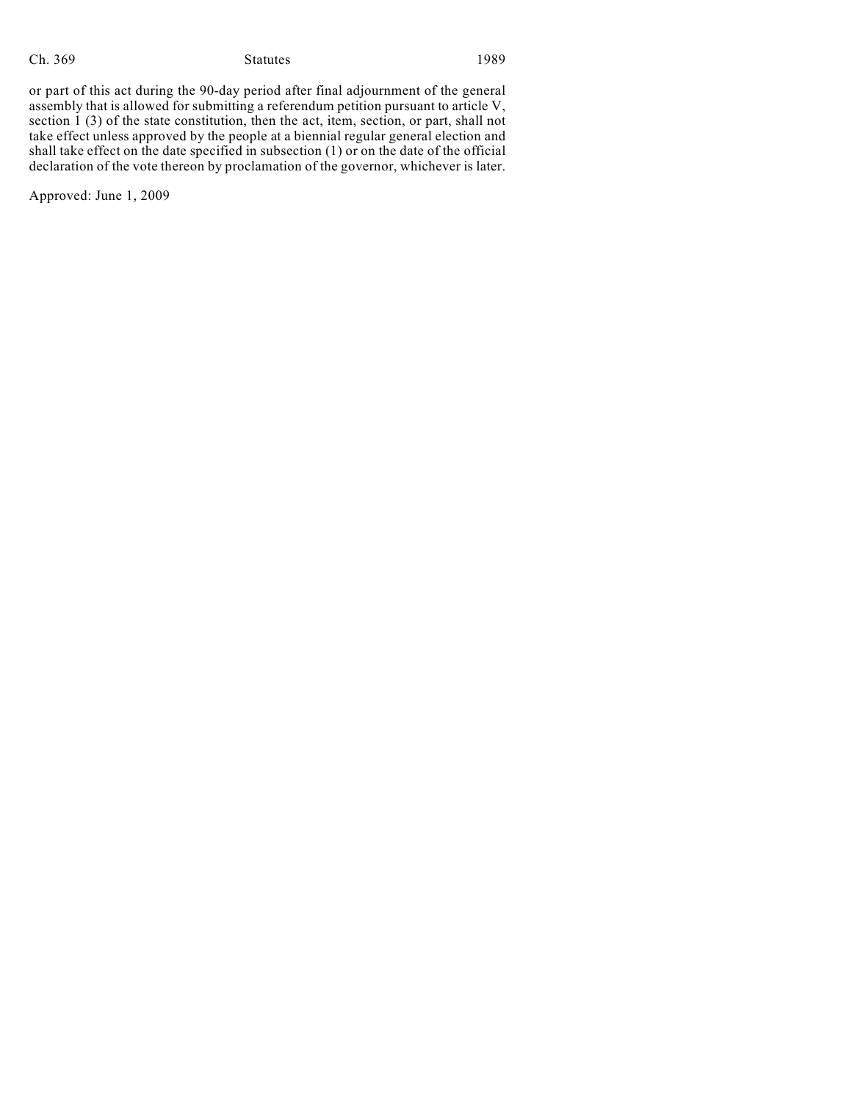or part of this act during the 90-day period after final adjournment of the general assembly that is allowed for submitting a referendum petition pursuant to article V, section 1 (3) of the state constitution, then the act, item, section, or part, shall not take effect unless approved by the people at a biennial regular general election and shall take effect on the date specified in subsection (1) or on the date of the official declaration of the vote thereon by proclamation of the governor, whichever is later.

Approved: June 1, 2009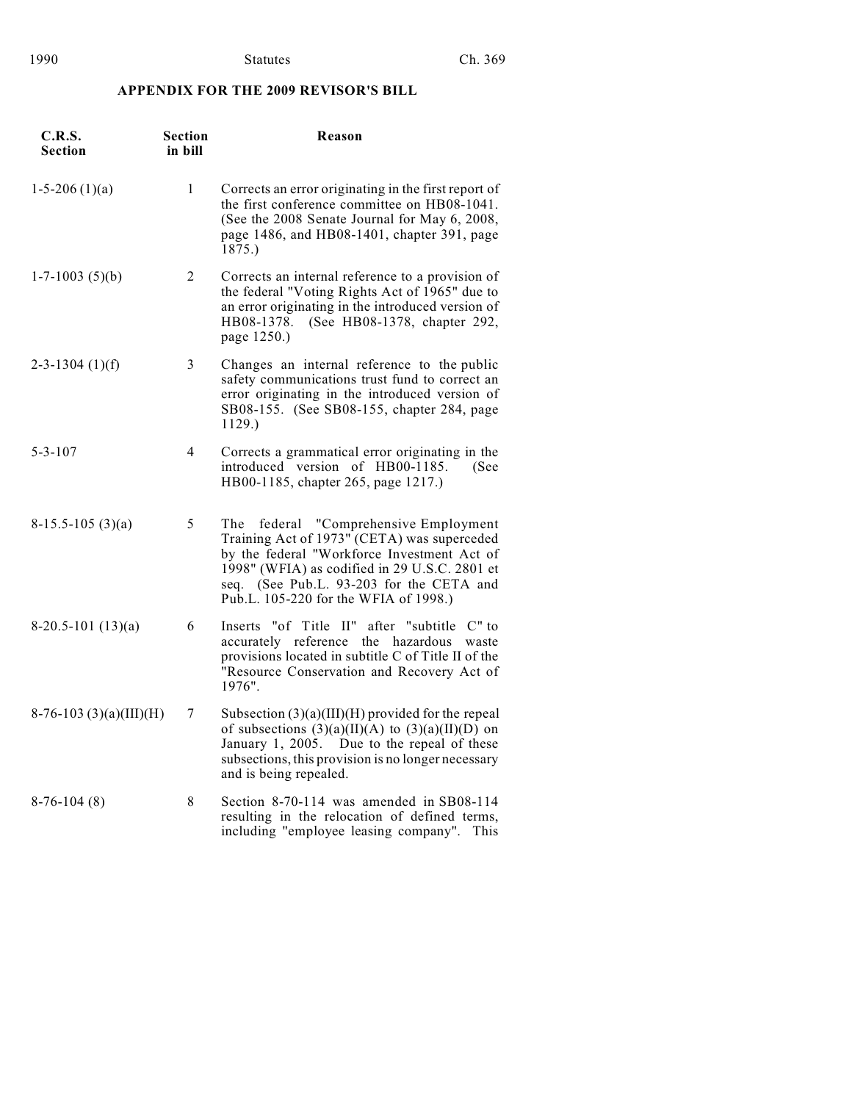# **APPENDIX FOR THE 2009 REVISOR'S BILL**

| C.R.S.<br>Section         | <b>Section</b><br>in bill | Reason                                                                                                                                                                                                                                                                       |
|---------------------------|---------------------------|------------------------------------------------------------------------------------------------------------------------------------------------------------------------------------------------------------------------------------------------------------------------------|
| $1-5-206(1)(a)$           | 1                         | Corrects an error originating in the first report of<br>the first conference committee on HB08-1041.<br>(See the 2008 Senate Journal for May 6, 2008,<br>page 1486, and HB08-1401, chapter 391, page<br>1875.)                                                               |
| $1-7-1003(5)(b)$          | 2                         | Corrects an internal reference to a provision of<br>the federal "Voting Rights Act of 1965" due to<br>an error originating in the introduced version of<br>HB08-1378. (See HB08-1378, chapter 292,<br>page 1250.)                                                            |
| $2-3-1304(1)(f)$          | 3                         | Changes an internal reference to the public<br>safety communications trust fund to correct an<br>error originating in the introduced version of<br>SB08-155. (See SB08-155, chapter 284, page<br>1129.)                                                                      |
| $5 - 3 - 107$             | $\overline{4}$            | Corrects a grammatical error originating in the<br>introduced version of HB00-1185.<br>(See<br>HB00-1185, chapter 265, page 1217.)                                                                                                                                           |
| $8-15.5-105(3)(a)$        | 5                         | federal "Comprehensive Employment<br>The<br>Training Act of 1973" (CETA) was superceded<br>by the federal "Workforce Investment Act of<br>1998" (WFIA) as codified in 29 U.S.C. 2801 et<br>seq. (See Pub.L. 93-203 for the CETA and<br>Pub.L. 105-220 for the WFIA of 1998.) |
| $8-20.5-101(13)(a)$       | 6                         | Inserts "of Title II" after "subtitle C" to<br>accurately reference the hazardous<br>waste<br>provisions located in subtitle C of Title II of the<br>"Resource Conservation and Recovery Act of<br>1976".                                                                    |
| $8-76-103$ (3)(a)(III)(H) | 7                         | Subsection $(3)(a)(III)(H)$ provided for the repeal<br>of subsections $(3)(a)(II)(A)$ to $(3)(a)(II)(D)$ on<br>January 1, 2005. Due to the repeal of these<br>subsections, this provision is no longer necessary<br>and is being repealed.                                   |
| $8-76-104(8)$             | 8                         | Section 8-70-114 was amended in SB08-114<br>resulting in the relocation of defined terms,<br>including "employee leasing company". This                                                                                                                                      |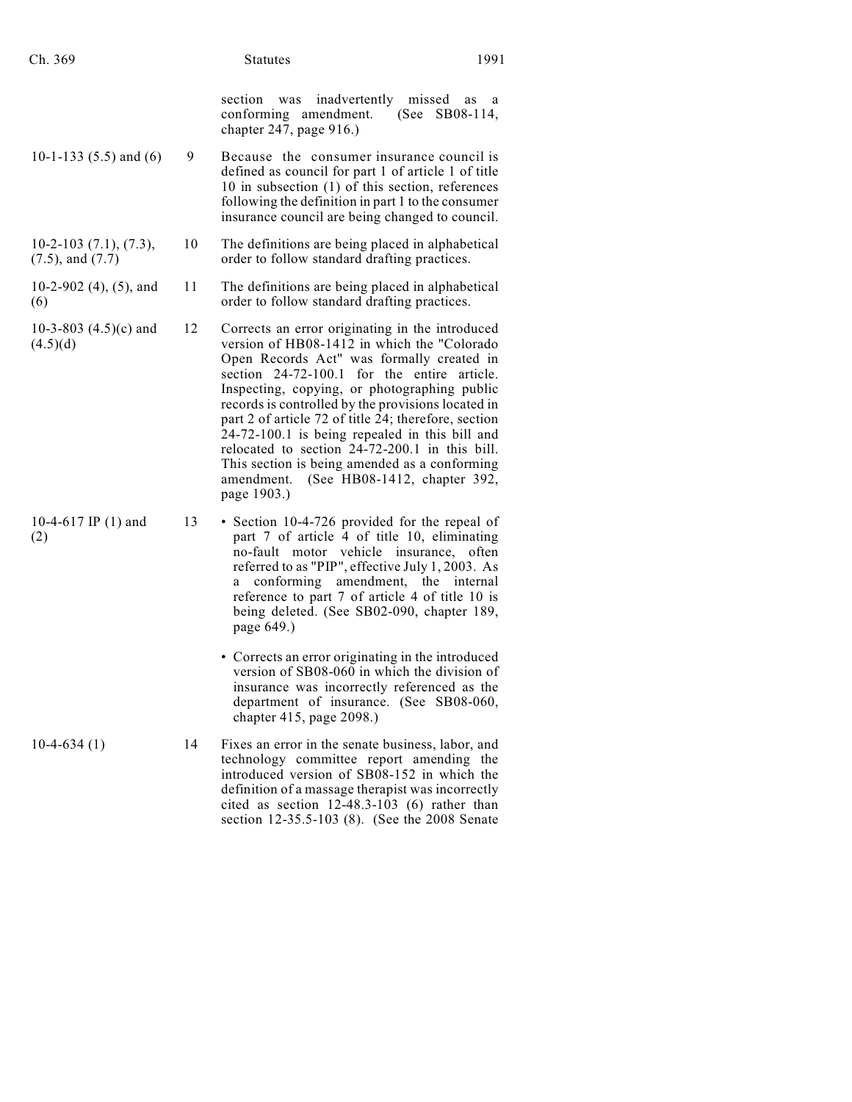| Ch. 369                                                 |    | <b>Statutes</b>                                                                                                                                                                                                                                                                                                                                                                                                                                                                                                                             | 1991                                                 |
|---------------------------------------------------------|----|---------------------------------------------------------------------------------------------------------------------------------------------------------------------------------------------------------------------------------------------------------------------------------------------------------------------------------------------------------------------------------------------------------------------------------------------------------------------------------------------------------------------------------------------|------------------------------------------------------|
|                                                         |    | section<br>was<br>conforming amendment.<br>chapter 247, page 916.)                                                                                                                                                                                                                                                                                                                                                                                                                                                                          | inadvertently missed<br>as<br>a<br>(See<br>SB08-114, |
| 10-1-133 $(5.5)$ and $(6)$                              | 9  | Because the consumer insurance council is<br>defined as council for part 1 of article 1 of title<br>10 in subsection (1) of this section, references<br>following the definition in part 1 to the consumer<br>insurance council are being changed to council.                                                                                                                                                                                                                                                                               |                                                      |
| $10-2-103$ $(7.1)$ , $(7.3)$ ,<br>$(7.5)$ , and $(7.7)$ | 10 | The definitions are being placed in alphabetical<br>order to follow standard drafting practices.                                                                                                                                                                                                                                                                                                                                                                                                                                            |                                                      |
| 10-2-902 (4), (5), and<br>(6)                           | 11 | The definitions are being placed in alphabetical<br>order to follow standard drafting practices.                                                                                                                                                                                                                                                                                                                                                                                                                                            |                                                      |
| 10-3-803 $(4.5)(c)$ and<br>(4.5)(d)                     | 12 | Corrects an error originating in the introduced<br>version of HB08-1412 in which the "Colorado"<br>Open Records Act" was formally created in<br>section 24-72-100.1 for the entire article.<br>Inspecting, copying, or photographing public<br>records is controlled by the provisions located in<br>part 2 of article 72 of title 24; therefore, section<br>24-72-100.1 is being repealed in this bill and<br>relocated to section 24-72-200.1 in this bill.<br>This section is being amended as a conforming<br>amendment.<br>page 1903.) | (See HB08-1412, chapter 392,                         |
| 10-4-617 IP $(1)$ and<br>(2)                            | 13 | • Section 10-4-726 provided for the repeal of<br>part 7 of article 4 of title 10, eliminating<br>no-fault motor vehicle insurance, often<br>referred to as "PIP", effective July 1, 2003. As<br>conforming<br>a<br>reference to part 7 of article 4 of title 10 is<br>being deleted. (See SB02-090, chapter 189,<br>page 649.)                                                                                                                                                                                                              | amendment, the internal                              |
|                                                         |    | • Corrects an error originating in the introduced<br>version of SB08-060 in which the division of<br>insurance was incorrectly referenced as the<br>department of insurance. (See SB08-060,<br>chapter 415, page 2098.)                                                                                                                                                                                                                                                                                                                     |                                                      |
| $10-4-634(1)$                                           | 14 | Fixes an error in the senate business, labor, and<br>technology committee report amending the<br>introduced version of SB08-152 in which the<br>definition of a massage therapist was incorrectly<br>cited as section $12-48.3-103$ (6) rather than<br>section 12-35.5-103 (8). (See the 2008 Senate                                                                                                                                                                                                                                        |                                                      |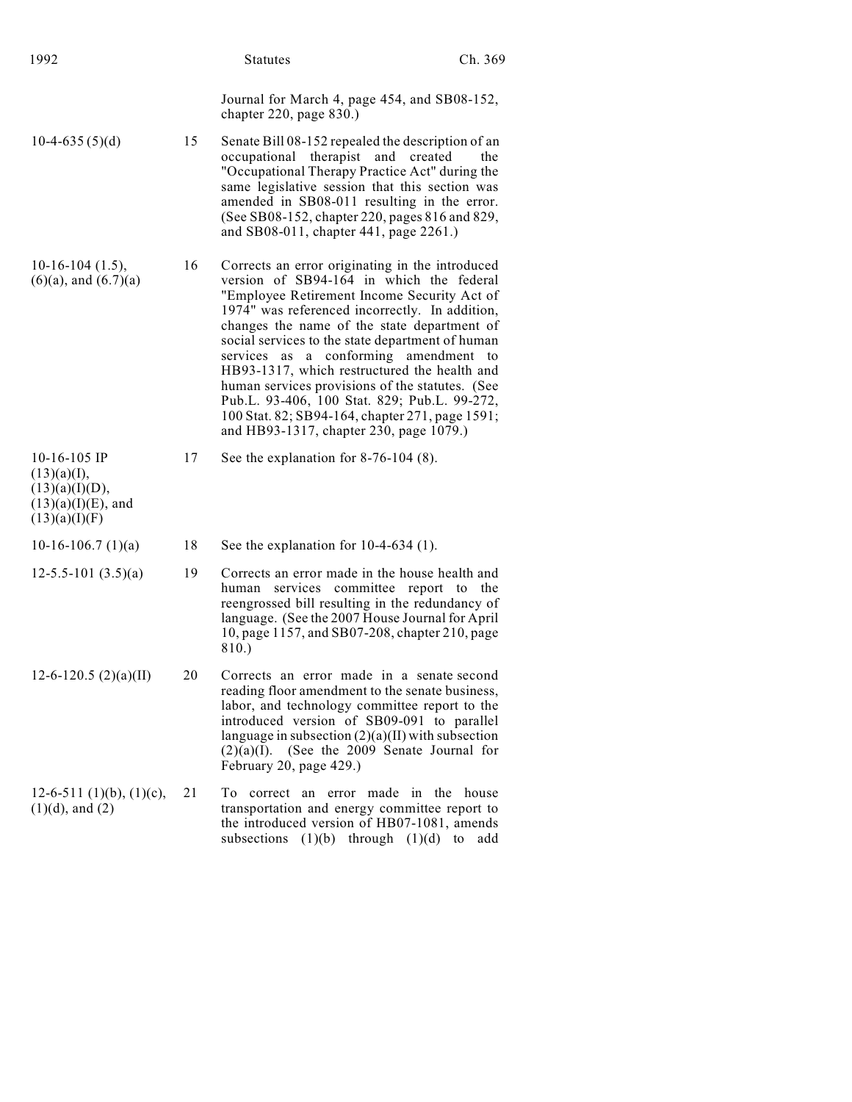| 1992                                                                                      |    | <b>Statutes</b>                                                                                                                                                                                                                                                                                                                                                                                                                                                                                                                                                                        | Ch. 369            |
|-------------------------------------------------------------------------------------------|----|----------------------------------------------------------------------------------------------------------------------------------------------------------------------------------------------------------------------------------------------------------------------------------------------------------------------------------------------------------------------------------------------------------------------------------------------------------------------------------------------------------------------------------------------------------------------------------------|--------------------|
|                                                                                           |    | Journal for March 4, page 454, and SB08-152,<br>chapter 220, page 830.)                                                                                                                                                                                                                                                                                                                                                                                                                                                                                                                |                    |
| $10-4-635(5)(d)$                                                                          | 15 | Senate Bill 08-152 repealed the description of an<br>occupational therapist and created<br>"Occupational Therapy Practice Act" during the<br>same legislative session that this section was<br>amended in SB08-011 resulting in the error.<br>(See SB08-152, chapter 220, pages 816 and 829,<br>and SB08-011, chapter 441, page 2261.)                                                                                                                                                                                                                                                 | the                |
| $10-16-104$ $(1.5)$ ,<br>$(6)(a)$ , and $(6.7)(a)$                                        | 16 | Corrects an error originating in the introduced<br>version of SB94-164 in which the federal<br>"Employee Retirement Income Security Act of<br>1974" was referenced incorrectly. In addition,<br>changes the name of the state department of<br>social services to the state department of human<br>services as a conforming amendment<br>HB93-1317, which restructured the health and<br>human services provisions of the statutes. (See<br>Pub.L. 93-406, 100 Stat. 829; Pub.L. 99-272,<br>100 Stat. 82; SB94-164, chapter 271, page 1591;<br>and HB93-1317, chapter 230, page 1079.) | to                 |
| $10-16-105$ IP<br>(13)(a)(I),<br>(13)(a)(I)(D),<br>$(13)(a)(I)(E)$ , and<br>(13)(a)(I)(F) | 17 | See the explanation for $8-76-104$ (8).                                                                                                                                                                                                                                                                                                                                                                                                                                                                                                                                                |                    |
| 10-16-106.7 $(1)(a)$                                                                      | 18 | See the explanation for $10-4-634$ (1).                                                                                                                                                                                                                                                                                                                                                                                                                                                                                                                                                |                    |
| $12 - 5.5 - 101$ $(3.5)(a)$                                                               | 19 | Corrects an error made in the house health and<br>services committee report to<br>human<br>reengrossed bill resulting in the redundancy of<br>language. (See the 2007 House Journal for April<br>10, page 1157, and SB07-208, chapter 210, page<br>810.)                                                                                                                                                                                                                                                                                                                               | the                |
| 12-6-120.5 $(2)(a)(II)$                                                                   | 20 | Corrects an error made in a senate second<br>reading floor amendment to the senate business,<br>labor, and technology committee report to the<br>introduced version of SB09-091 to parallel<br>language in subsection $(2)(a)(II)$ with subsection<br>$(2)(a)(I)$ . (See the 2009 Senate Journal for<br>February 20, page 429.)                                                                                                                                                                                                                                                        |                    |
| 12-6-511 (1)(b), (1)(c),<br>$(1)(d)$ , and $(2)$                                          | 21 | To correct an error made in the<br>transportation and energy committee report to<br>the introduced version of HB07-1081, amends<br>subsections $(1)(b)$ through $(1)(d)$                                                                                                                                                                                                                                                                                                                                                                                                               | house<br>to<br>add |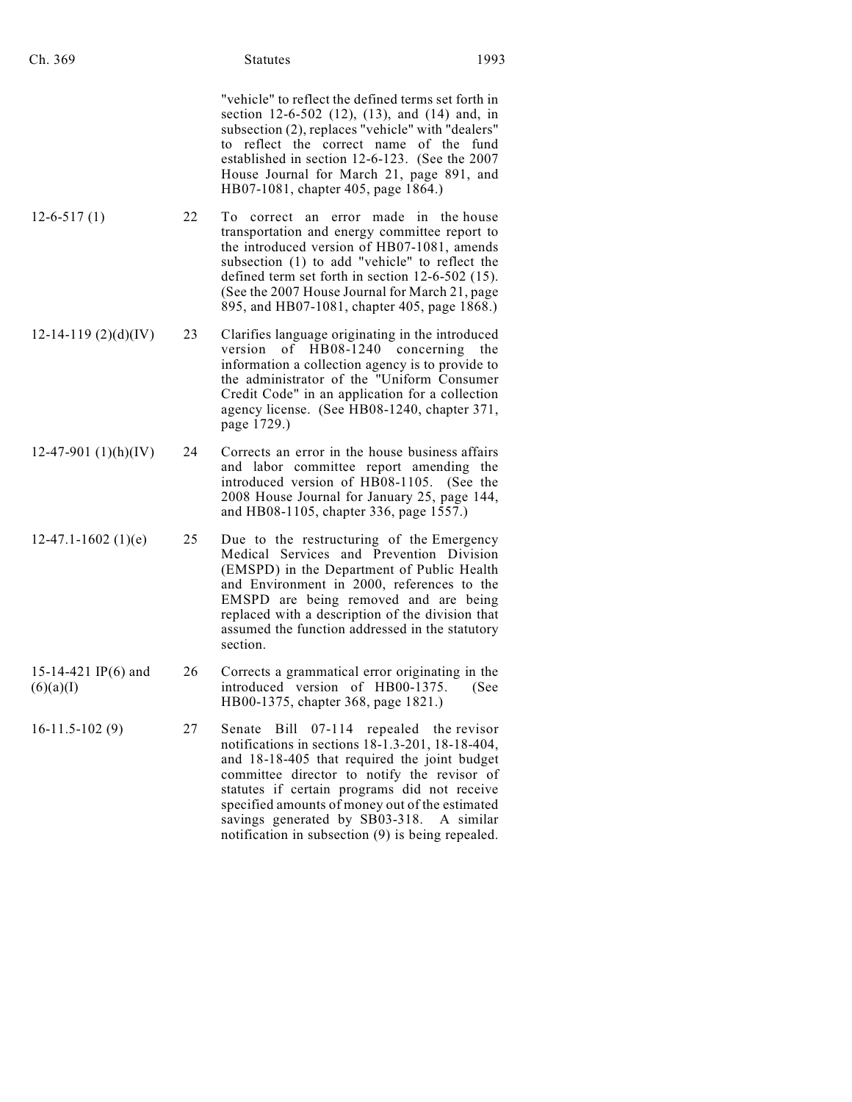"vehicle" to reflect the defined terms set forth in section 12-6-502 (12), (13), and (14) and, in subsection (2), replaces "vehicle" with "dealers" to reflect the correct name of the fund established in section 12-6-123. (See the 2007 House Journal for March 21, page 891, and HB07-1081, chapter 405, page 1864.)

- 12-6-517 (1) 22 To correct an error made in the house transportation and energy committee report to the introduced version of HB07-1081, amends subsection (1) to add "vehicle" to reflect the defined term set forth in section 12-6-502 (15). (See the 2007 House Journal for March 21, page 895, and HB07-1081, chapter 405, page 1868.)
- 12-14-119 (2)(d)(IV) 23 Clarifies language originating in the introduced version of HB08-1240 concerning the information a collection agency is to provide to the administrator of the "Uniform Consumer Credit Code" in an application for a collection agency license. (See HB08-1240, chapter 371, page 1729.)
- $12-47-901$  (1)(h)(IV) 24 Corrects an error in the house business affairs and labor committee report amending the introduced version of HB08-1105. (See the 2008 House Journal for January 25, page 144, and HB08-1105, chapter 336, page 1557.)
- $12-47.1-1602$  (1)(e) 25 Due to the restructuring of the Emergency Medical Services and Prevention Division (EMSPD) in the Department of Public Health and Environment in 2000, references to the EMSPD are being removed and are being replaced with a description of the division that assumed the function addressed in the statutory section.
- 15-14-421 IP(6) and  $(6)(a)(I)$ 26 Corrects a grammatical error originating in the introduced version of HB00-1375. (See HB00-1375, chapter 368, page 1821.)
- 16-11.5-102 (9) 27 Senate Bill 07-114 repealed the revisor notifications in sections 18-1.3-201, 18-18-404, and 18-18-405 that required the joint budget committee director to notify the revisor of statutes if certain programs did not receive specified amounts of money out of the estimated savings generated by SB03-318. A similar notification in subsection (9) is being repealed.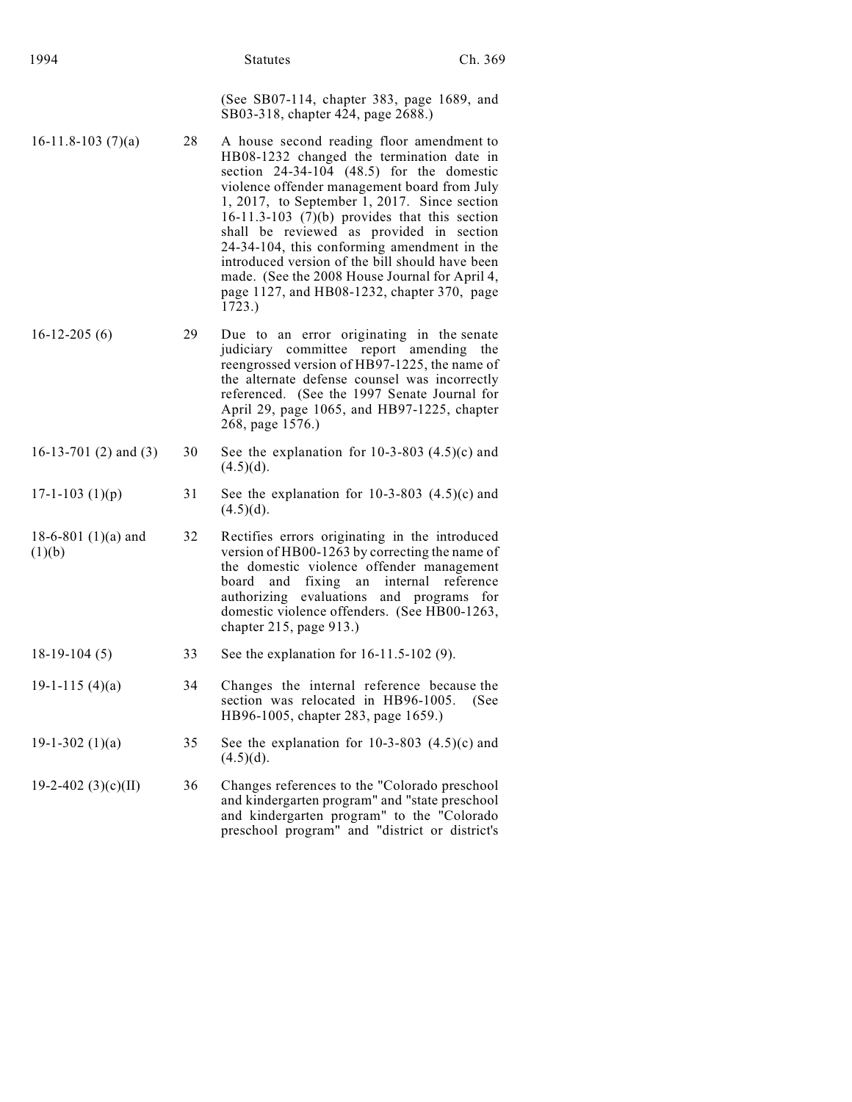| 1994                            |    | <b>Statutes</b>                                                                                                                                                                                                                                                                                                                                                                                                                                                                                                                                    | Ch. 369   |
|---------------------------------|----|----------------------------------------------------------------------------------------------------------------------------------------------------------------------------------------------------------------------------------------------------------------------------------------------------------------------------------------------------------------------------------------------------------------------------------------------------------------------------------------------------------------------------------------------------|-----------|
|                                 |    | (See SB07-114, chapter 383, page 1689, and<br>SB03-318, chapter 424, page 2688.)                                                                                                                                                                                                                                                                                                                                                                                                                                                                   |           |
| $16-11.8-103(7)(a)$             | 28 | A house second reading floor amendment to<br>HB08-1232 changed the termination date in<br>section $24-34-104$ $(48.5)$ for the domestic<br>violence offender management board from July<br>1, 2017, to September 1, 2017. Since section<br>16-11.3-103 $(7)(b)$ provides that this section<br>shall be reviewed as provided in section<br>24-34-104, this conforming amendment in the<br>introduced version of the bill should have been<br>made. (See the 2008 House Journal for April 4,<br>page 1127, and HB08-1232, chapter 370, page<br>1723. |           |
| $16-12-205(6)$                  | 29 | Due to an error originating in the senate<br>judiciary committee report amending<br>reengrossed version of HB97-1225, the name of<br>the alternate defense counsel was incorrectly<br>referenced. (See the 1997 Senate Journal for<br>April 29, page 1065, and HB97-1225, chapter<br>268, page 1576.)                                                                                                                                                                                                                                              | the       |
| 16-13-701 $(2)$ and $(3)$       | 30 | See the explanation for 10-3-803 $(4.5)(c)$ and<br>$(4.5)(d)$ .                                                                                                                                                                                                                                                                                                                                                                                                                                                                                    |           |
| $17-1-103$ (1)(p)               | 31 | See the explanation for 10-3-803 $(4.5)(c)$ and<br>$(4.5)(d)$ .                                                                                                                                                                                                                                                                                                                                                                                                                                                                                    |           |
| 18-6-801 $(1)(a)$ and<br>(1)(b) | 32 | Rectifies errors originating in the introduced<br>version of HB00-1263 by correcting the name of<br>the domestic violence offender management<br>fixing<br>an<br>internal<br>board<br>and<br>authorizing evaluations and programs for<br>domestic violence offenders. (See HB00-1263,<br>chapter 215, page 913.)                                                                                                                                                                                                                                   | reference |
| $18-19-104(5)$                  | 33 | See the explanation for $16-11.5-102$ (9).                                                                                                                                                                                                                                                                                                                                                                                                                                                                                                         |           |
| 19-1-115 $(4)(a)$               | 34 | Changes the internal reference because the<br>section was relocated in HB96-1005.<br>HB96-1005, chapter 283, page 1659.)                                                                                                                                                                                                                                                                                                                                                                                                                           | (See      |
| 19-1-302 $(1)(a)$               | 35 | See the explanation for 10-3-803 $(4.5)(c)$ and<br>$(4.5)(d)$ .                                                                                                                                                                                                                                                                                                                                                                                                                                                                                    |           |
| 19-2-402 (3)(c)(II)             | 36 | Changes references to the "Colorado preschool<br>and kindergarten program" and "state preschool<br>and kindergarten program" to the "Colorado<br>preschool program" and "district or district's                                                                                                                                                                                                                                                                                                                                                    |           |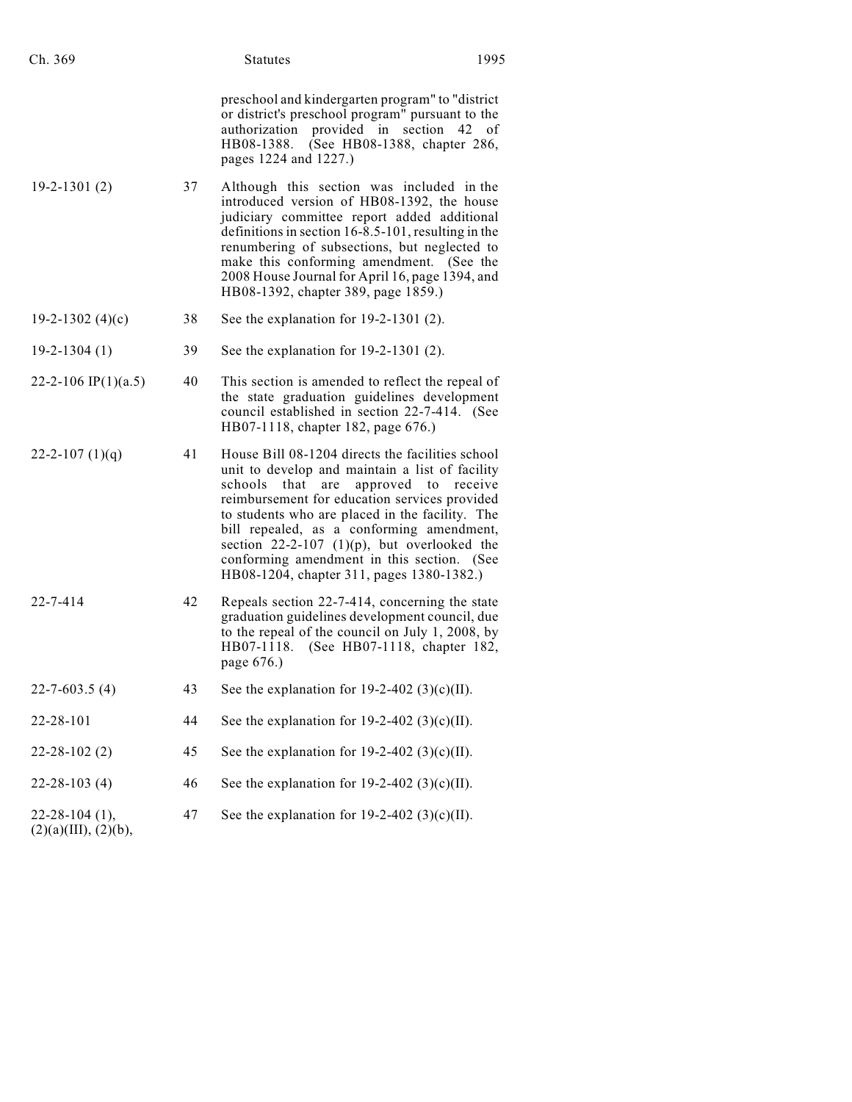| Ch. 369                                      |    | <b>Statutes</b>                                                                                                                                                                                                                                                                                                                                                                                                            | 1995                |
|----------------------------------------------|----|----------------------------------------------------------------------------------------------------------------------------------------------------------------------------------------------------------------------------------------------------------------------------------------------------------------------------------------------------------------------------------------------------------------------------|---------------------|
|                                              |    | preschool and kindergarten program" to "district<br>or district's preschool program" pursuant to the<br>authorization provided in section<br>(See HB08-1388, chapter 286,<br>HB08-1388.<br>pages 1224 and 1227.)                                                                                                                                                                                                           | $42$ of             |
| $19-2-1301(2)$                               | 37 | Although this section was included in the<br>introduced version of HB08-1392, the house<br>judiciary committee report added additional<br>definitions in section $16-\overline{8}$ .5-101, resulting in the<br>renumbering of subsections, but neglected to<br>make this conforming amendment. (See the<br>2008 House Journal for April 16, page 1394, and<br>HB08-1392, chapter 389, page 1859.)                          |                     |
| 19-2-1302 $(4)(c)$                           | 38 | See the explanation for $19-2-1301$ (2).                                                                                                                                                                                                                                                                                                                                                                                   |                     |
| $19-2-1304(1)$                               | 39 | See the explanation for $19-2-1301$ (2).                                                                                                                                                                                                                                                                                                                                                                                   |                     |
| 22-2-106 IP(1)(a.5)                          | 40 | This section is amended to reflect the repeal of<br>the state graduation guidelines development<br>council established in section 22-7-414. (See<br>HB07-1118, chapter 182, page 676.)                                                                                                                                                                                                                                     |                     |
| 22-2-107 $(1)(q)$                            | 41 | House Bill 08-1204 directs the facilities school<br>unit to develop and maintain a list of facility<br>schools<br>that<br>are<br>reimbursement for education services provided<br>to students who are placed in the facility. The<br>bill repealed, as a conforming amendment,<br>section $22-2-107$ (1)(p), but overlooked the<br>conforming amendment in this section. (See<br>HB08-1204, chapter 311, pages 1380-1382.) | approved to receive |
| $22 - 7 - 414$                               | 42 | Repeals section 22-7-414, concerning the state<br>graduation guidelines development council, due<br>to the repeal of the council on July 1, 2008, by<br>HB07-1118. (See HB07-1118, chapter 182,<br>page 676.)                                                                                                                                                                                                              |                     |
| $22 - 7 - 603.5(4)$                          | 43 | See the explanation for 19-2-402 $(3)(c)(II)$ .                                                                                                                                                                                                                                                                                                                                                                            |                     |
| 22-28-101                                    | 44 | See the explanation for $19-2-402$ (3)(c)(II).                                                                                                                                                                                                                                                                                                                                                                             |                     |
| $22 - 28 - 102(2)$                           | 45 | See the explanation for $19-2-402$ (3)(c)(II).                                                                                                                                                                                                                                                                                                                                                                             |                     |
| $22 - 28 - 103(4)$                           | 46 | See the explanation for $19-2-402$ (3)(c)(II).                                                                                                                                                                                                                                                                                                                                                                             |                     |
| $22 - 28 - 104$ (1),<br>(2)(a)(III), (2)(b), | 47 | See the explanation for $19-2-402$ (3)(c)(II).                                                                                                                                                                                                                                                                                                                                                                             |                     |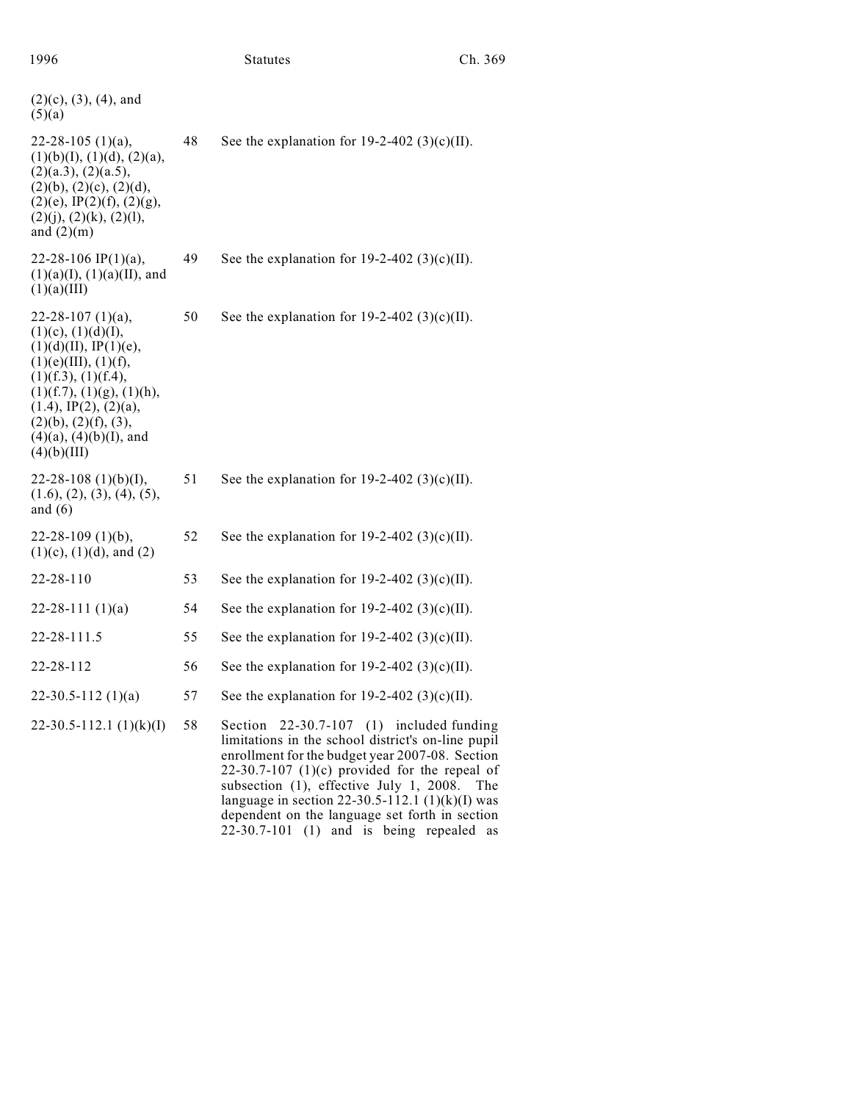| $(2)(c)$ , $(3)$ , $(4)$ , and<br>(5)(a)                                                                                                                                                                                                              |    |                                                                                                                                                                                                                                                                                                                                                               |
|-------------------------------------------------------------------------------------------------------------------------------------------------------------------------------------------------------------------------------------------------------|----|---------------------------------------------------------------------------------------------------------------------------------------------------------------------------------------------------------------------------------------------------------------------------------------------------------------------------------------------------------------|
| 22-28-105 $(1)(a)$ ,<br>(1)(b)(I), (1)(d), (2)(a),<br>(2)(a.3), (2)(a.5),<br>$(2)(b)$ , $(2)(c)$ , $(2)(d)$ ,<br>$(2)(e)$ , IP $(2)(f)$ , $(2)(g)$ ,<br>(2)(j), (2)(k), (2)(l),<br>and $(2)(m)$                                                       | 48 | See the explanation for 19-2-402 (3)(c)(II).                                                                                                                                                                                                                                                                                                                  |
| 22-28-106 IP(1)(a),<br>$(1)(a)(I), (1)(a)(II),$ and<br>(1)(a)(III)                                                                                                                                                                                    | 49 | See the explanation for 19-2-402 (3)(c)(II).                                                                                                                                                                                                                                                                                                                  |
| 22-28-107 (1)(a),<br>(1)(c), (1)(d)(I),<br>(1)(d)(II), IP(1)(e),<br>(1)(e)(III), (1)(f),<br>(1)(f.3), (1)(f.4),<br>(1)(f.7), (1)(g), (1)(h),<br>(1.4), IP(2), (2)(a),<br>$(2)(b)$ , $(2)(f)$ , $(3)$ ,<br>$(4)(a)$ , $(4)(b)(I)$ , and<br>(4)(b)(III) | 50 | See the explanation for 19-2-402 (3)(c)(II).                                                                                                                                                                                                                                                                                                                  |
| $22 - 28 - 108$ (1)(b)(I),<br>(1.6), (2), (3), (4), (5),<br>and $(6)$                                                                                                                                                                                 | 51 | See the explanation for 19-2-402 (3)(c)(II).                                                                                                                                                                                                                                                                                                                  |
| $22 - 28 - 109$ (1)(b),<br>$(1)(c)$ , $(1)(d)$ , and $(2)$                                                                                                                                                                                            | 52 | See the explanation for 19-2-402 (3)(c)(II).                                                                                                                                                                                                                                                                                                                  |
| 22-28-110                                                                                                                                                                                                                                             | 53 | See the explanation for 19-2-402 $(3)(c)(II)$ .                                                                                                                                                                                                                                                                                                               |
| $22 - 28 - 111(1)(a)$                                                                                                                                                                                                                                 | 54 | See the explanation for 19-2-402 $(3)(c)(II)$ .                                                                                                                                                                                                                                                                                                               |
| 22-28-111.5                                                                                                                                                                                                                                           | 55 | See the explanation for 19-2-402 $(3)(c)(II)$ .                                                                                                                                                                                                                                                                                                               |
| 22-28-112                                                                                                                                                                                                                                             | 56 | See the explanation for $19-2-402$ (3)(c)(II).                                                                                                                                                                                                                                                                                                                |
| $22-30.5-112(1)(a)$                                                                                                                                                                                                                                   | 57 | See the explanation for 19-2-402 $(3)(c)(II)$ .                                                                                                                                                                                                                                                                                                               |
| $22-30.5-112.1(1)(k)(I)$                                                                                                                                                                                                                              | 58 | Section 22-30.7-107 (1) included funding<br>limitations in the school district's on-line pupil<br>enrollment for the budget year 2007-08. Section<br>$22-30.7-107$ (1)(c) provided for the repeal of<br>subsection (1), effective July 1, 2008.<br>The<br>language in section 22-30.5-112.1 $(1)(k)(I)$ was<br>dependent on the language set forth in section |

22-30.7-101 (1) and is being repealed as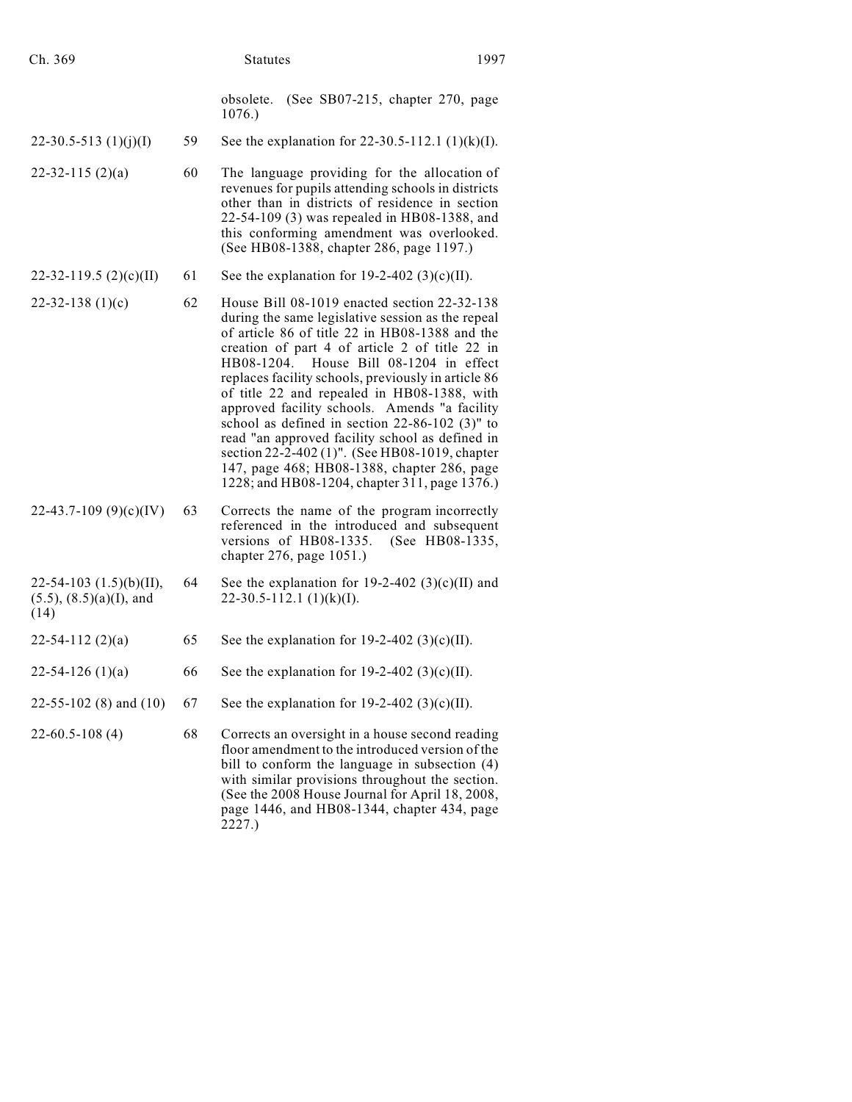| Ch. 369                                                             |    | <b>Statutes</b>                                                                                                                                                                                                                                                                                                                                                                                                                                                                                                                                                                                                                                                     | 1997            |
|---------------------------------------------------------------------|----|---------------------------------------------------------------------------------------------------------------------------------------------------------------------------------------------------------------------------------------------------------------------------------------------------------------------------------------------------------------------------------------------------------------------------------------------------------------------------------------------------------------------------------------------------------------------------------------------------------------------------------------------------------------------|-----------------|
|                                                                     |    | (See SB07-215, chapter 270, page<br>obsolete.<br>1076.)                                                                                                                                                                                                                                                                                                                                                                                                                                                                                                                                                                                                             |                 |
| $22-30.5-513(1)(j)(I)$                                              | 59 | See the explanation for 22-30.5-112.1 (1)(k)(I).                                                                                                                                                                                                                                                                                                                                                                                                                                                                                                                                                                                                                    |                 |
| $22 - 32 - 115$ (2)(a)                                              | 60 | The language providing for the allocation of<br>revenues for pupils attending schools in districts<br>other than in districts of residence in section<br>22-54-109 (3) was repealed in HB08-1388, and<br>this conforming amendment was overlooked.<br>(See HB08-1388, chapter 286, page 1197.)                                                                                                                                                                                                                                                                                                                                                                      |                 |
| 22-32-119.5 $(2)(c)(II)$                                            | 61 | See the explanation for 19-2-402 (3)(c)(II).                                                                                                                                                                                                                                                                                                                                                                                                                                                                                                                                                                                                                        |                 |
| $22 - 32 - 138(1)(c)$                                               | 62 | House Bill 08-1019 enacted section 22-32-138<br>during the same legislative session as the repeal<br>of article 86 of title 22 in HB08-1388 and the<br>creation of part 4 of article 2 of title 22 in<br>House Bill 08-1204 in effect<br>HB08-1204.<br>replaces facility schools, previously in article 86<br>of title 22 and repealed in HB08-1388, with<br>approved facility schools. Amends "a facility<br>school as defined in section $22-86-102$ (3)" to<br>read "an approved facility school as defined in<br>section 22-2-402 (1)". (See HB08-1019, chapter<br>147, page 468; HB08-1388, chapter 286, page<br>1228; and HB08-1204, chapter 311, page 1376.) |                 |
| 22-43.7-109 (9)(c)(IV)                                              | 63 | Corrects the name of the program incorrectly<br>referenced in the introduced and subsequent<br>versions of HB08-1335.<br>chapter 276, page 1051.)                                                                                                                                                                                                                                                                                                                                                                                                                                                                                                                   | (See HB08-1335, |
| 22-54-103 $(1.5)(b)(II)$ ,<br>$(5.5)$ , $(8.5)(a)(I)$ , and<br>(14) | 64 | See the explanation for 19-2-402 $(3)(c)(II)$ and<br>$22-30.5-112.1(1)(k)(I).$                                                                                                                                                                                                                                                                                                                                                                                                                                                                                                                                                                                      |                 |
| $22 - 54 - 112(2)(a)$                                               | 65 | See the explanation for 19-2-402 (3)(c)(II).                                                                                                                                                                                                                                                                                                                                                                                                                                                                                                                                                                                                                        |                 |
| 22-54-126 $(1)(a)$                                                  | 66 | See the explanation for 19-2-402 (3)(c)(II).                                                                                                                                                                                                                                                                                                                                                                                                                                                                                                                                                                                                                        |                 |
| 22-55-102 (8) and $(10)$                                            | 67 | See the explanation for 19-2-402 $(3)(c)(II)$ .                                                                                                                                                                                                                                                                                                                                                                                                                                                                                                                                                                                                                     |                 |
| $22 - 60.5 - 108(4)$                                                | 68 | Corrects an oversight in a house second reading<br>floor amendment to the introduced version of the<br>bill to conform the language in subsection (4)<br>with similar provisions throughout the section.<br>(See the 2008 House Journal for April 18, 2008,<br>page 1446, and HB08-1344, chapter 434, page<br>2227.)                                                                                                                                                                                                                                                                                                                                                |                 |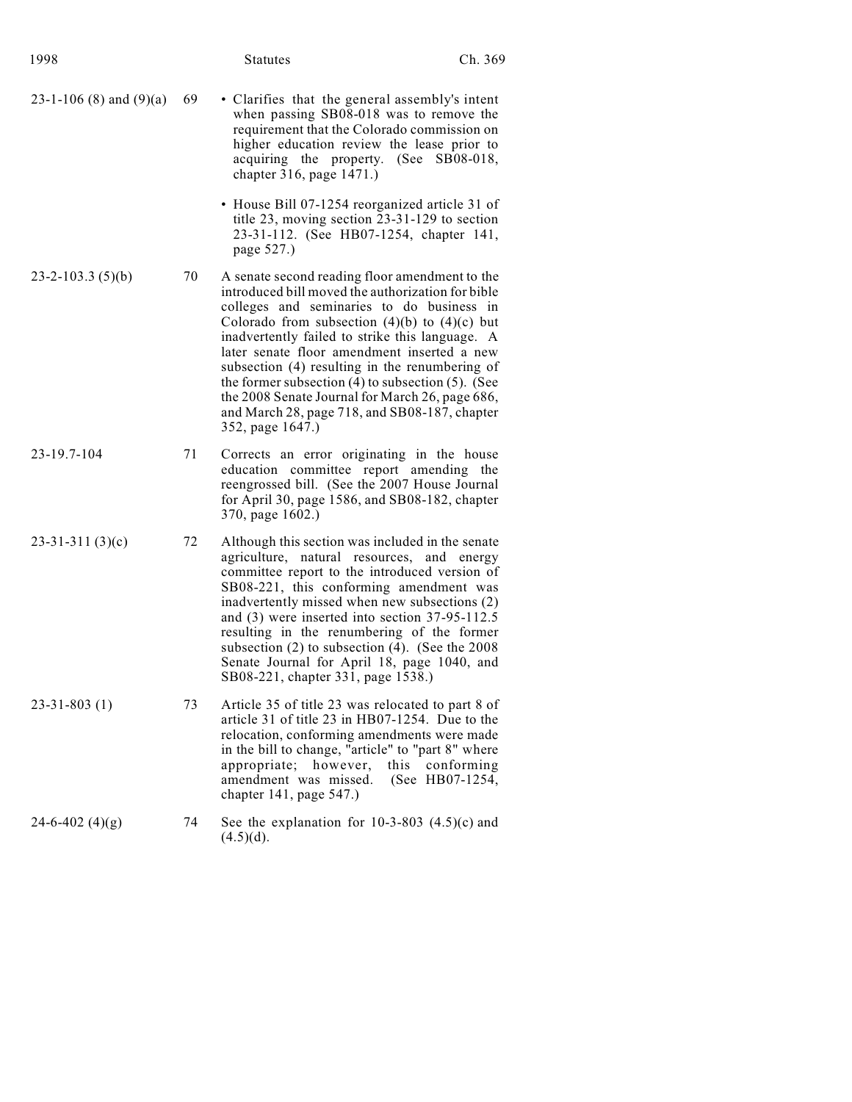| 1998                      |    | <b>Statutes</b>                                                                                                                                                                                                                                                                                                                                                                                                                                                                                                                             | Ch. 369         |
|---------------------------|----|---------------------------------------------------------------------------------------------------------------------------------------------------------------------------------------------------------------------------------------------------------------------------------------------------------------------------------------------------------------------------------------------------------------------------------------------------------------------------------------------------------------------------------------------|-----------------|
| 23-1-106 (8) and $(9)(a)$ | 69 | • Clarifies that the general assembly's intent<br>when passing SB08-018 was to remove the<br>requirement that the Colorado commission on<br>higher education review the lease prior to<br>acquiring the property. (See SB08-018,<br>chapter 316, page 1471.)                                                                                                                                                                                                                                                                                |                 |
|                           |    | • House Bill 07-1254 reorganized article 31 of<br>title 23, moving section 23-31-129 to section<br>23-31-112. (See HB07-1254, chapter 141,<br>page 527.)                                                                                                                                                                                                                                                                                                                                                                                    |                 |
| $23 - 2 - 103.3(5)(b)$    | 70 | A senate second reading floor amendment to the<br>introduced bill moved the authorization for bible<br>colleges and seminaries to do business in<br>Colorado from subsection $(4)(b)$ to $(4)(c)$ but<br>inadvertently failed to strike this language. A<br>later senate floor amendment inserted a new<br>subsection (4) resulting in the renumbering of<br>the former subsection $(4)$ to subsection $(5)$ . (See<br>the 2008 Senate Journal for March 26, page 686,<br>and March 28, page 718, and SB08-187, chapter<br>352, page 1647.) |                 |
| 23-19.7-104               | 71 | Corrects an error originating in the house<br>education committee report amending the<br>reengrossed bill. (See the 2007 House Journal<br>for April 30, page 1586, and SB08-182, chapter<br>370, page 1602.)                                                                                                                                                                                                                                                                                                                                |                 |
| $23 - 31 - 311(3)(c)$     | 72 | Although this section was included in the senate<br>agriculture, natural resources, and energy<br>committee report to the introduced version of<br>SB08-221, this conforming amendment was<br>inadvertently missed when new subsections (2)<br>and $(3)$ were inserted into section 37-95-112.5<br>resulting in the renumbering of the former<br>subsection $(2)$ to subsection $(4)$ . (See the 2008)<br>Senate Journal for April 18, page 1040, and<br>SB08-221, chapter 331, page 1538.)                                                 |                 |
| $23 - 31 - 803(1)$        | 73 | Article 35 of title 23 was relocated to part 8 of<br>article 31 of title 23 in HB07-1254. Due to the<br>relocation, conforming amendments were made<br>in the bill to change, "article" to "part 8" where<br>appropriate; however,<br>this conforming<br>amendment was missed.<br>chapter 141, page 547.)                                                                                                                                                                                                                                   | (See HB07-1254, |
| 24-6-402 $(4)(g)$         | 74 | See the explanation for 10-3-803 $(4.5)(c)$ and<br>$(4.5)(d)$ .                                                                                                                                                                                                                                                                                                                                                                                                                                                                             |                 |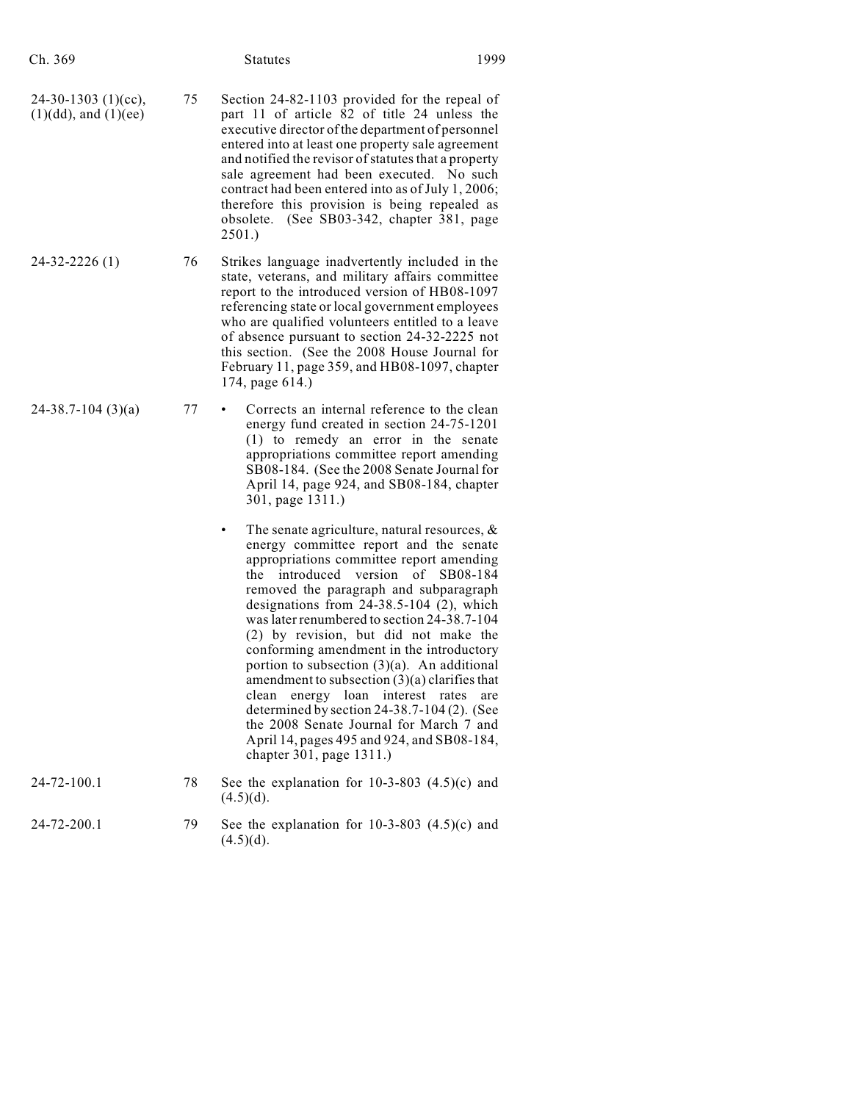| Ch. 369                                            |    | Statutes                                                                                                                                                                                                                                                                                                                                                                                                                                                                                                                                                                                                                                                                                                                            | 1999 |
|----------------------------------------------------|----|-------------------------------------------------------------------------------------------------------------------------------------------------------------------------------------------------------------------------------------------------------------------------------------------------------------------------------------------------------------------------------------------------------------------------------------------------------------------------------------------------------------------------------------------------------------------------------------------------------------------------------------------------------------------------------------------------------------------------------------|------|
| $24-30-1303$ (1)(cc),<br>$(1)(dd)$ , and $(1)(ee)$ | 75 | Section 24-82-1103 provided for the repeal of<br>part 11 of article 82 of title 24 unless the<br>executive director of the department of personnel<br>entered into at least one property sale agreement<br>and notified the revisor of statutes that a property<br>sale agreement had been executed. No such<br>contract had been entered into as of July 1, 2006;<br>therefore this provision is being repealed as<br>obsolete. (See SB03-342, chapter 381, page<br>2501.)                                                                                                                                                                                                                                                         |      |
| 24-32-2226 (1)                                     | 76 | Strikes language inadvertently included in the<br>state, veterans, and military affairs committee<br>report to the introduced version of HB08-1097<br>referencing state or local government employees<br>who are qualified volunteers entitled to a leave<br>of absence pursuant to section 24-32-2225 not<br>this section. (See the 2008 House Journal for<br>February 11, page 359, and HB08-1097, chapter<br>174, page 614.)                                                                                                                                                                                                                                                                                                     |      |
| $24-38.7-104(3)(a)$                                | 77 | Corrects an internal reference to the clean<br>energy fund created in section 24-75-1201<br>$(1)$ to remedy an error in the senate<br>appropriations committee report amending<br>SB08-184. (See the 2008 Senate Journal for<br>April 14, page 924, and SB08-184, chapter<br>301, page 1311.)                                                                                                                                                                                                                                                                                                                                                                                                                                       |      |
|                                                    |    | The senate agriculture, natural resources, $\&$<br>energy committee report and the senate<br>appropriations committee report amending<br>introduced version<br>of<br>SB08-184<br>the<br>removed the paragraph and subparagraph<br>designations from $24-38.5-104$ (2), which<br>was later renumbered to section 24-38.7-104<br>(2) by revision, but did not make the<br>conforming amendment in the introductory<br>portion to subsection $(3)(a)$ . An additional<br>amendment to subsection $(3)(a)$ clarifies that<br>clean<br>energy loan interest<br>rates<br>determined by section 24-38.7-104 (2). (See<br>the 2008 Senate Journal for March 7 and<br>April 14, pages 495 and 924, and SB08-184,<br>chapter 301, page 1311.) | are  |
| 24-72-100.1                                        | 78 | See the explanation for 10-3-803 $(4.5)(c)$ and<br>$(4.5)(d)$ .                                                                                                                                                                                                                                                                                                                                                                                                                                                                                                                                                                                                                                                                     |      |
| 24-72-200.1                                        | 79 | See the explanation for 10-3-803 $(4.5)(c)$ and<br>$(4.5)(d)$ .                                                                                                                                                                                                                                                                                                                                                                                                                                                                                                                                                                                                                                                                     |      |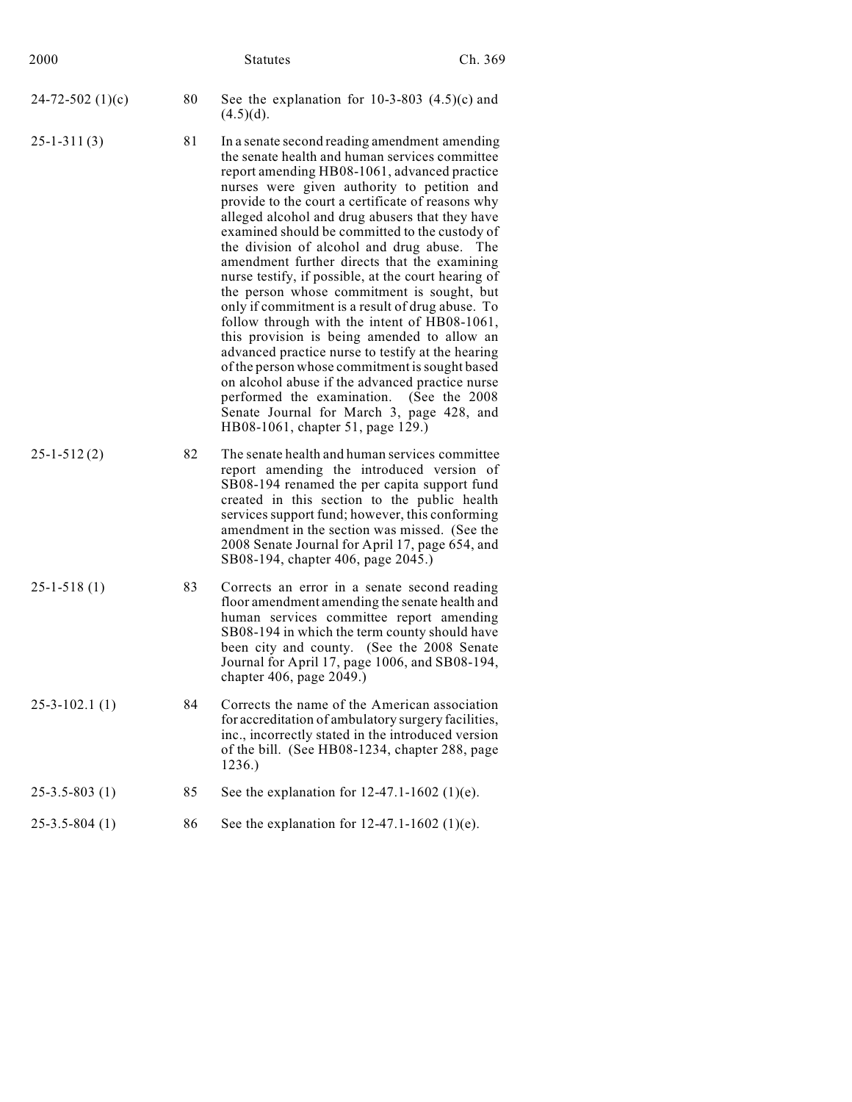| 2000                   |    | <b>Statutes</b>                                                                                                                                                                                                                                                                                                                                                                                                                                                                                                                                                                                                                                                                                                                                                                                                                                                                                                                                                                       | Ch. 369                  |
|------------------------|----|---------------------------------------------------------------------------------------------------------------------------------------------------------------------------------------------------------------------------------------------------------------------------------------------------------------------------------------------------------------------------------------------------------------------------------------------------------------------------------------------------------------------------------------------------------------------------------------------------------------------------------------------------------------------------------------------------------------------------------------------------------------------------------------------------------------------------------------------------------------------------------------------------------------------------------------------------------------------------------------|--------------------------|
| $24 - 72 - 502$ (1)(c) | 80 | See the explanation for 10-3-803 $(4.5)(c)$ and<br>$(4.5)(d)$ .                                                                                                                                                                                                                                                                                                                                                                                                                                                                                                                                                                                                                                                                                                                                                                                                                                                                                                                       |                          |
| $25 - 1 - 311(3)$      | 81 | In a senate second reading amendment amending<br>the senate health and human services committee<br>report amending HB08-1061, advanced practice<br>nurses were given authority to petition and<br>provide to the court a certificate of reasons why<br>alleged alcohol and drug abusers that they have<br>examined should be committed to the custody of<br>the division of alcohol and drug abuse.<br>amendment further directs that the examining<br>nurse testify, if possible, at the court hearing of<br>the person whose commitment is sought, but<br>only if commitment is a result of drug abuse. To<br>follow through with the intent of HB08-1061,<br>this provision is being amended to allow an<br>advanced practice nurse to testify at the hearing<br>of the person whose commitment is sought based<br>on alcohol abuse if the advanced practice nurse<br>performed the examination.<br>Senate Journal for March 3, page 428, and<br>HB08-1061, chapter 51, page 129.) | The<br>(See the $2008$ ) |
| $25 - 1 - 512(2)$      | 82 | The senate health and human services committee<br>report amending the introduced version of<br>SB08-194 renamed the per capita support fund<br>created in this section to the public health<br>services support fund; however, this conforming<br>amendment in the section was missed. (See the<br>2008 Senate Journal for April 17, page 654, and<br>SB08-194, chapter 406, page 2045.)                                                                                                                                                                                                                                                                                                                                                                                                                                                                                                                                                                                              |                          |
| $25 - 1 - 518(1)$      | 83 | Corrects an error in a senate second reading<br>floor amendment amending the senate health and<br>human services committee report amending<br>SB08-194 in which the term county should have<br>been city and county. (See the 2008 Senate<br>Journal for April 17, page 1006, and SB08-194,<br>chapter 406, page 2049.)                                                                                                                                                                                                                                                                                                                                                                                                                                                                                                                                                                                                                                                               |                          |
| $25 - 3 - 102.1(1)$    | 84 | Corrects the name of the American association<br>for accreditation of ambulatory surgery facilities,<br>inc., incorrectly stated in the introduced version<br>of the bill. (See HB08-1234, chapter 288, page<br>1236.)                                                                                                                                                                                                                                                                                                                                                                                                                                                                                                                                                                                                                                                                                                                                                                |                          |
| $25 - 3.5 - 803(1)$    | 85 | See the explanation for $12-47.1-1602$ (1)(e).                                                                                                                                                                                                                                                                                                                                                                                                                                                                                                                                                                                                                                                                                                                                                                                                                                                                                                                                        |                          |
| $25 - 3.5 - 804(1)$    | 86 | See the explanation for $12-47.1-1602$ (1)(e).                                                                                                                                                                                                                                                                                                                                                                                                                                                                                                                                                                                                                                                                                                                                                                                                                                                                                                                                        |                          |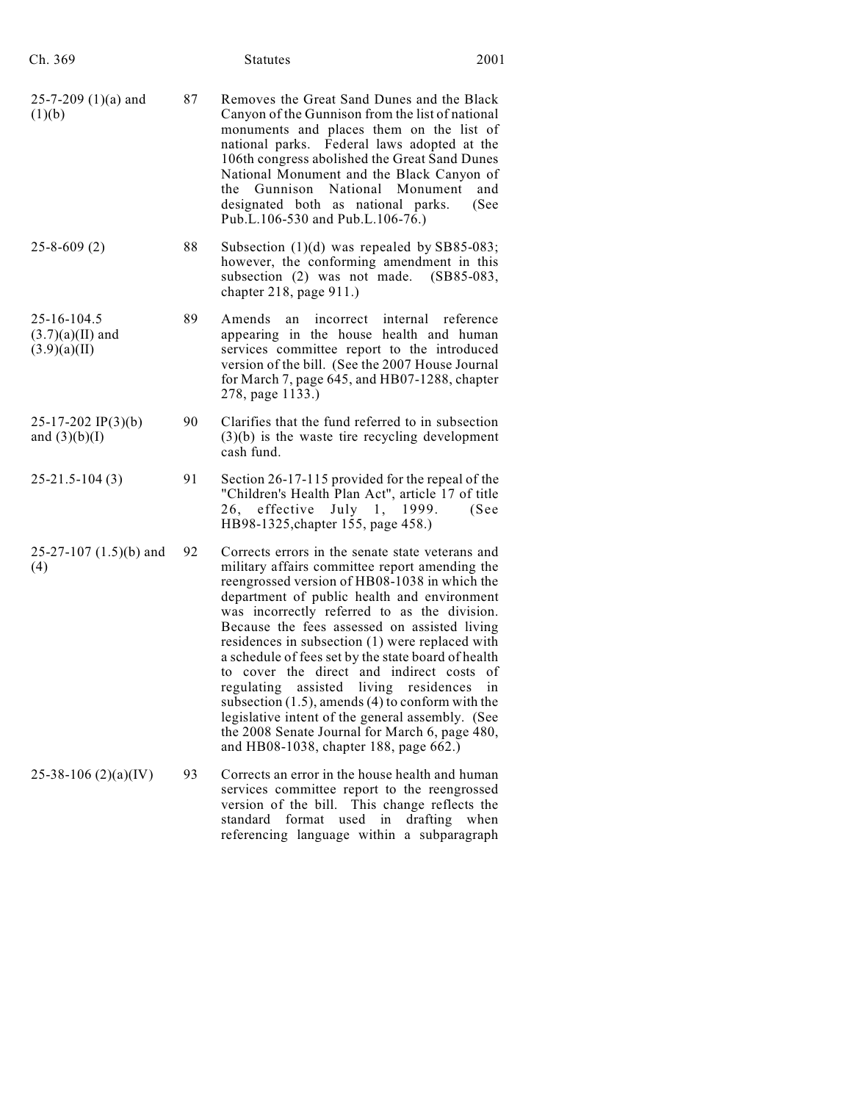| Ch. 369                                           |    | <b>Statutes</b>                                                                                                                                                                                                                                                                                                                                                                                                                                                                                                                                                                                                                                                                                             | 2001        |
|---------------------------------------------------|----|-------------------------------------------------------------------------------------------------------------------------------------------------------------------------------------------------------------------------------------------------------------------------------------------------------------------------------------------------------------------------------------------------------------------------------------------------------------------------------------------------------------------------------------------------------------------------------------------------------------------------------------------------------------------------------------------------------------|-------------|
| 25-7-209 $(1)(a)$ and<br>(1)(b)                   | 87 | Removes the Great Sand Dunes and the Black<br>Canyon of the Gunnison from the list of national<br>monuments and places them on the list of<br>national parks. Federal laws adopted at the<br>106th congress abolished the Great Sand Dunes<br>National Monument and the Black Canyon of<br>the Gunnison National Monument<br>designated both as national parks.<br>Pub.L.106-530 and Pub.L.106-76.)                                                                                                                                                                                                                                                                                                         | and<br>(See |
| $25 - 8 - 609(2)$                                 | 88 | Subsection $(1)(d)$ was repealed by SB85-083;<br>however, the conforming amendment in this<br>subsection (2) was not made. (SB85-083,<br>chapter 218, page 911.)                                                                                                                                                                                                                                                                                                                                                                                                                                                                                                                                            |             |
| 25-16-104.5<br>$(3.7)(a)(II)$ and<br>(3.9)(a)(II) | 89 | internal<br>Amends<br>incorrect<br>an<br>appearing in the house health and human<br>services committee report to the introduced<br>version of the bill. (See the 2007 House Journal<br>for March 7, page 645, and HB07-1288, chapter<br>278, page 1133.)                                                                                                                                                                                                                                                                                                                                                                                                                                                    | reference   |
| $25-17-202$ IP(3)(b)<br>and $(3)(b)(I)$           | 90 | Clarifies that the fund referred to in subsection<br>$(3)(b)$ is the waste tire recycling development<br>cash fund.                                                                                                                                                                                                                                                                                                                                                                                                                                                                                                                                                                                         |             |
| $25 - 21.5 - 104(3)$                              | 91 | Section 26-17-115 provided for the repeal of the<br>"Children's Health Plan Act", article 17 of title<br>26, effective July 1, 1999.<br>HB98-1325, chapter 155, page 458.)                                                                                                                                                                                                                                                                                                                                                                                                                                                                                                                                  | (See        |
| 25-27-107 $(1.5)(b)$ and<br>(4)                   | 92 | Corrects errors in the senate state veterans and<br>military affairs committee report amending the<br>reengrossed version of HB08-1038 in which the<br>department of public health and environment<br>was incorrectly referred to as the division.<br>Because the fees assessed on assisted living<br>residences in subsection (1) were replaced with<br>a schedule of fees set by the state board of health<br>to cover the direct and indirect costs of<br>regulating assisted living residences<br>subsection $(1.5)$ , amends $(4)$ to conform with the<br>legislative intent of the general assembly. (See<br>the 2008 Senate Journal for March 6, page 480,<br>and HB08-1038, chapter 188, page 662.) | 1n          |
| $25-38-106$ (2)(a)(IV)                            | 93 | Corrects an error in the house health and human<br>services committee report to the reengrossed<br>version of the bill. This change reflects the<br>standard format used<br>in<br>drafting<br>referencing language within a subparagraph                                                                                                                                                                                                                                                                                                                                                                                                                                                                    | when        |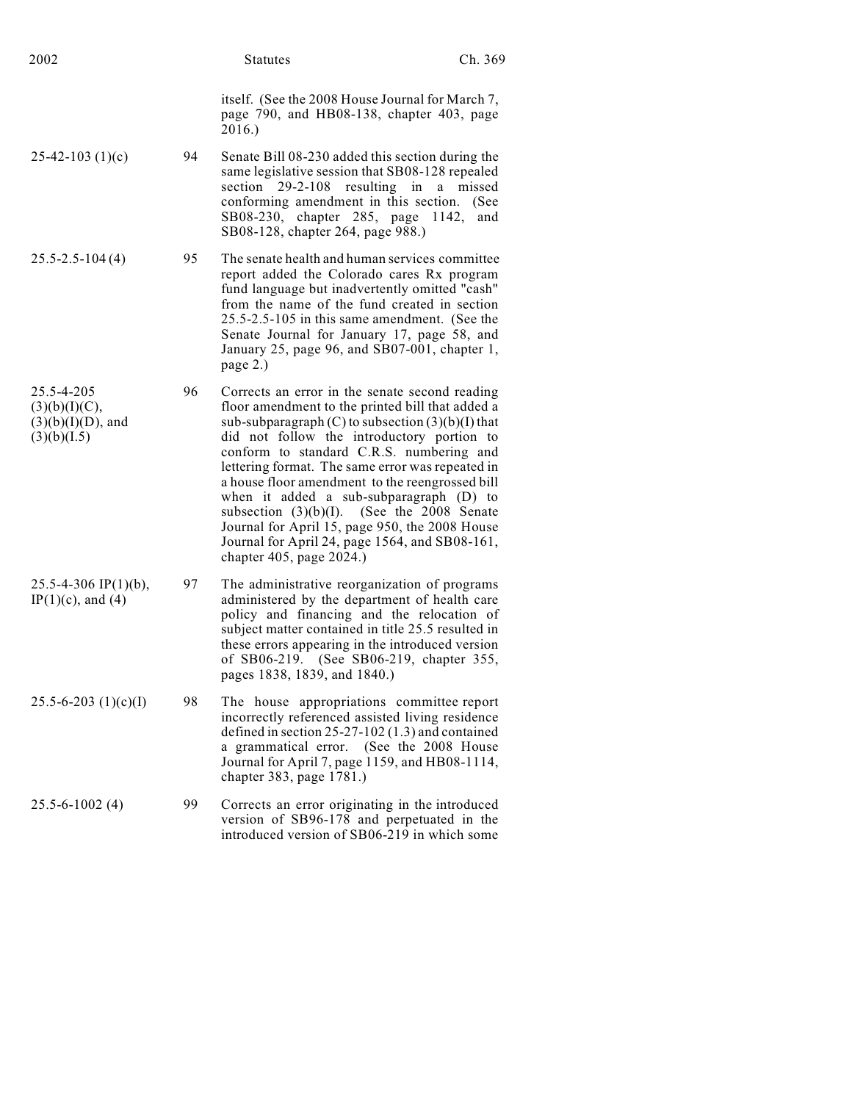| 2002                                                               |    | <b>Statutes</b>                                                                                                                                                                                                                                                                                                                                                                                                                                                                                                                                                                          | Ch. 369               |
|--------------------------------------------------------------------|----|------------------------------------------------------------------------------------------------------------------------------------------------------------------------------------------------------------------------------------------------------------------------------------------------------------------------------------------------------------------------------------------------------------------------------------------------------------------------------------------------------------------------------------------------------------------------------------------|-----------------------|
|                                                                    |    | itself. (See the 2008 House Journal for March 7,<br>page 790, and HB08-138, chapter 403, page<br>2016.)                                                                                                                                                                                                                                                                                                                                                                                                                                                                                  |                       |
| $25-42-103$ (1)(c)                                                 | 94 | Senate Bill 08-230 added this section during the<br>same legislative session that SB08-128 repealed<br>section<br>$29 - 2 - 108$<br>resulting in<br>a<br>conforming amendment in this section.<br>SB08-230, chapter 285, page 1142,<br>SB08-128, chapter 264, page 988.)                                                                                                                                                                                                                                                                                                                 | missed<br>(See<br>and |
| $25.5 - 2.5 - 104(4)$                                              | 95 | The senate health and human services committee<br>report added the Colorado cares Rx program<br>fund language but inadvertently omitted "cash"<br>from the name of the fund created in section<br>$25.5 - 2.5 - 105$ in this same amendment. (See the<br>Senate Journal for January 17, page 58, and<br>January 25, page 96, and SB07-001, chapter 1,<br>page 2.)                                                                                                                                                                                                                        |                       |
| 25.5-4-205<br>(3)(b)(I)(C),<br>$(3)(b)(I)(D)$ , and<br>(3)(b)(I.5) | 96 | Corrects an error in the senate second reading<br>floor amendment to the printed bill that added a<br>sub-subparagraph $(C)$ to subsection $(3)(b)(I)$ that<br>did not follow the introductory portion to<br>conform to standard C.R.S. numbering and<br>lettering format. The same error was repeated in<br>a house floor amendment to the reengrossed bill<br>when it added a sub-subparagraph (D) to<br>subsection $(3)(b)(I)$ . (See the 2008 Senate<br>Journal for April 15, page 950, the 2008 House<br>Journal for April 24, page 1564, and SB08-161,<br>chapter 405, page 2024.) |                       |
| $25.5 - 4 - 306$ IP(1)(b),<br>$IP(1)(c)$ , and (4)                 | 97 | The administrative reorganization of programs<br>administered by the department of health care<br>policy and financing and the relocation of<br>subject matter contained in title 25.5 resulted in<br>these errors appearing in the introduced version<br>of SB06-219. (See SB06-219, chapter 355,<br>pages 1838, 1839, and 1840.)                                                                                                                                                                                                                                                       |                       |
| $25.5 - 6 - 203$ (1)(c)(I)                                         | 98 | The house appropriations committee report<br>incorrectly referenced assisted living residence<br>defined in section $25-27-102(1.3)$ and contained<br>a grammatical error. (See the 2008 House<br>Journal for April 7, page 1159, and HB08-1114,<br>chapter 383, page 1781.)                                                                                                                                                                                                                                                                                                             |                       |
| $25.5 - 6 - 1002(4)$                                               | 99 | Corrects an error originating in the introduced<br>version of SB96-178 and perpetuated in the<br>introduced version of SB06-219 in which some                                                                                                                                                                                                                                                                                                                                                                                                                                            |                       |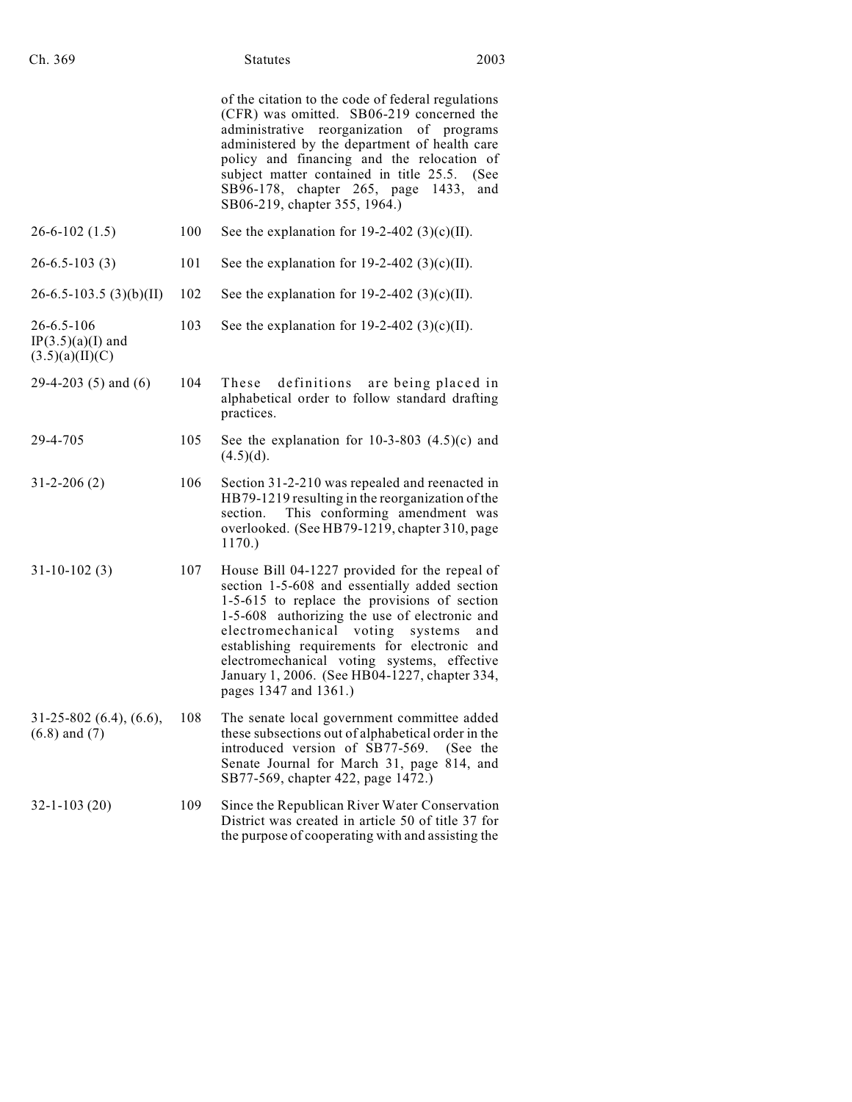|                                                        |     | of the citation to the code of federal regulations<br>(CFR) was omitted. SB06-219 concerned the<br>administrative reorganization of programs<br>administered by the department of health care<br>policy and financing and the relocation of<br>subject matter contained in title 25.5.<br>(See<br>SB96-178, chapter 265, page 1433,<br>and<br>SB06-219, chapter 355, 1964.)                                            |
|--------------------------------------------------------|-----|------------------------------------------------------------------------------------------------------------------------------------------------------------------------------------------------------------------------------------------------------------------------------------------------------------------------------------------------------------------------------------------------------------------------|
| $26 - 6 - 102(1.5)$                                    | 100 | See the explanation for 19-2-402 $(3)(c)(II)$ .                                                                                                                                                                                                                                                                                                                                                                        |
| $26 - 6.5 - 103(3)$                                    | 101 | See the explanation for 19-2-402 $(3)(c)(II)$ .                                                                                                                                                                                                                                                                                                                                                                        |
| $26-6.5-103.5(3)(b)(II)$                               | 102 | See the explanation for 19-2-402 $(3)(c)(II)$ .                                                                                                                                                                                                                                                                                                                                                                        |
| 26-6.5-106<br>IP $(3.5)(a)$ (I) and<br>(3.5)(a)(II)(C) | 103 | See the explanation for 19-2-402 (3)(c)(II).                                                                                                                                                                                                                                                                                                                                                                           |
| $29-4-203(5)$ and $(6)$                                | 104 | definitions are being placed in<br>These<br>alphabetical order to follow standard drafting<br>practices.                                                                                                                                                                                                                                                                                                               |
| 29-4-705                                               | 105 | See the explanation for 10-3-803 $(4.5)(c)$ and<br>$(4.5)(d)$ .                                                                                                                                                                                                                                                                                                                                                        |
| $31 - 2 - 206(2)$                                      | 106 | Section 31-2-210 was repealed and reenacted in<br>HB79-1219 resulting in the reorganization of the<br>This conforming amendment was<br>section.<br>overlooked. (See HB79-1219, chapter 310, page<br>1170.)                                                                                                                                                                                                             |
| $31-10-102(3)$                                         | 107 | House Bill 04-1227 provided for the repeal of<br>section 1-5-608 and essentially added section<br>1-5-615 to replace the provisions of section<br>1-5-608 authorizing the use of electronic and<br>electromechanical voting<br>systems<br>and<br>establishing requirements for electronic and<br>electromechanical voting systems, effective<br>January 1, 2006. (See HB04-1227, chapter 334,<br>pages 1347 and 1361.) |
| $31-25-802(6.4), (6.6),$<br>$(6.8)$ and $(7)$          | 108 | The senate local government committee added<br>these subsections out of alphabetical order in the<br>introduced version of SB77-569.<br>(See the<br>Senate Journal for March 31, page 814, and<br>SB77-569, chapter 422, page 1472.)                                                                                                                                                                                   |
| $32 - 1 - 103(20)$                                     | 109 | Since the Republican River Water Conservation<br>District was created in article 50 of title 37 for<br>the purpose of cooperating with and assisting the                                                                                                                                                                                                                                                               |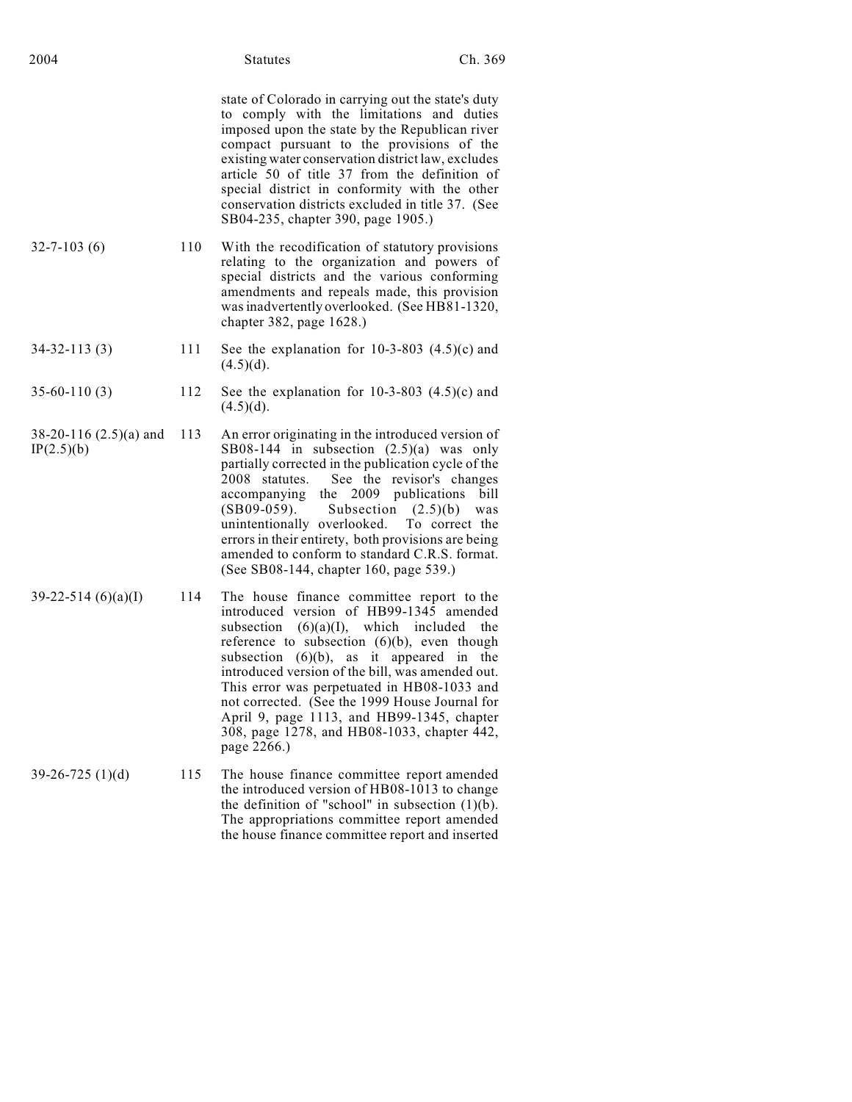state of Colorado in carrying out the state's duty to comply with the limitations and duties imposed upon the state by the Republican river compact pursuant to the provisions of the existing water conservation district law, excludes article 50 of title 37 from the definition of special district in conformity with the other conservation districts excluded in title 37. (See SB04-235, chapter 390, page 1905.)

- 32-7-103 (6) 110 With the recodification of statutory provisions relating to the organization and powers of special districts and the various conforming amendments and repeals made, this provision was inadvertently overlooked. (See HB81-1320, chapter 382, page 1628.)
- 34-32-113 (3) 111 See the explanation for 10-3-803 (4.5)(c) and  $(4.5)(d)$ .
- 35-60-110 (3) 112 See the explanation for 10-3-803 (4.5)(c) and  $(4.5)(d)$ .
- 38-20-116 (2.5)(a) and  $IP(2.5)(b)$ 113 An error originating in the introduced version of SB08-144 in subsection (2.5)(a) was only partially corrected in the publication cycle of the 2008 statutes. See the revisor's changes accompanying the  $2009$  publications bill<br>(SB09-059). Subsection  $(2.5)(b)$  was Subsection  $(2.5)(b)$  was unintentionally overlooked. To correct the errors in their entirety, both provisions are being amended to conform to standard C.R.S. format. (See SB08-144, chapter 160, page 539.)
- $39-22-514(6)(a)(I)$  114 The house finance committee report to the introduced version of HB99-1345 amended subsection  $(6)(a)(I)$ , which included the reference to subsection  $(6)(b)$ , even though subsection (6)(b), as it appeared in the introduced version of the bill, was amended out. This error was perpetuated in HB08-1033 and not corrected. (See the 1999 House Journal for April 9, page 1113, and HB99-1345, chapter 308, page 1278, and HB08-1033, chapter 442, page 2266.)
- 39-26-725 (1)(d) 115 The house finance committee report amended the introduced version of HB08-1013 to change the definition of "school" in subsection (1)(b). The appropriations committee report amended the house finance committee report and inserted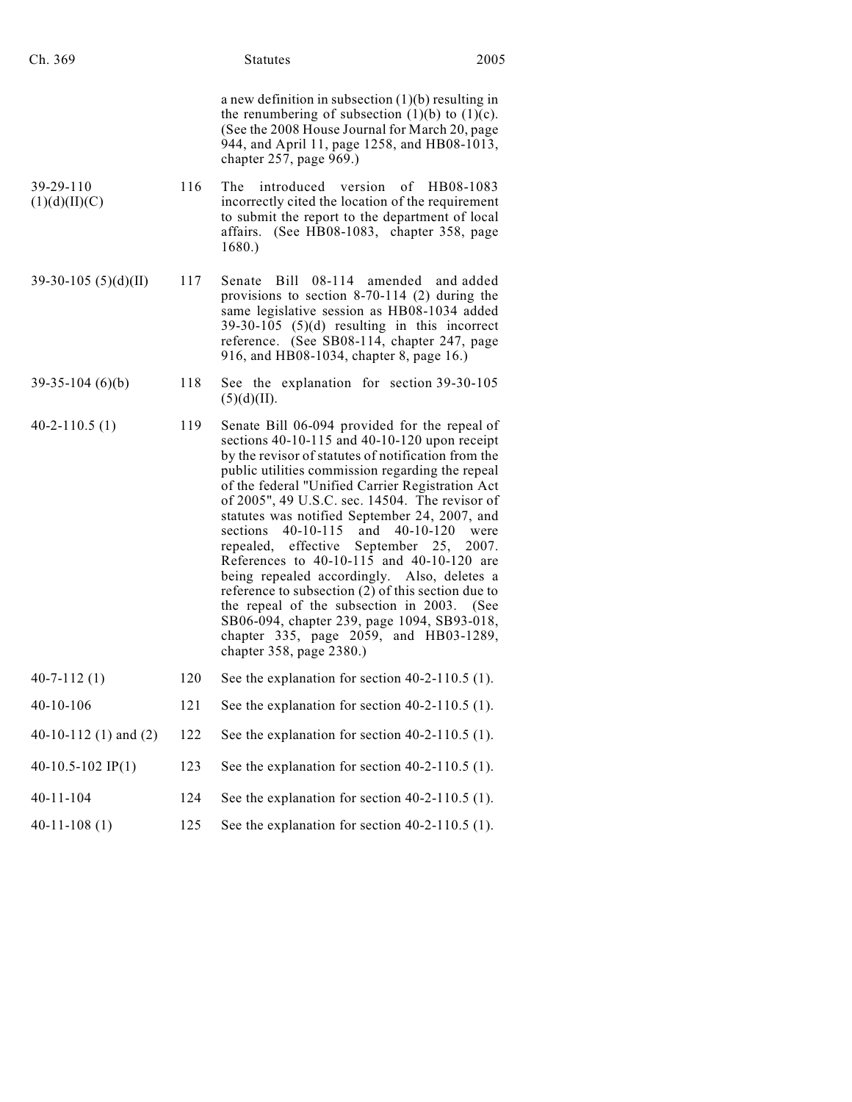| Ch. 369                    |     | <b>Statutes</b>                                                                                                                                                                                                                                                                                                                                                                                                                                                                                                                                                                                                                                                                                                                                                                     | 2005                  |
|----------------------------|-----|-------------------------------------------------------------------------------------------------------------------------------------------------------------------------------------------------------------------------------------------------------------------------------------------------------------------------------------------------------------------------------------------------------------------------------------------------------------------------------------------------------------------------------------------------------------------------------------------------------------------------------------------------------------------------------------------------------------------------------------------------------------------------------------|-----------------------|
|                            |     | a new definition in subsection $(1)(b)$ resulting in<br>the renumbering of subsection $(1)(b)$ to $(1)(c)$ .<br>(See the 2008 House Journal for March 20, page<br>944, and April 11, page 1258, and HB08-1013,<br>chapter 257, page 969.)                                                                                                                                                                                                                                                                                                                                                                                                                                                                                                                                           |                       |
| 39-29-110<br>(1)(d)(II)(C) | 116 | The<br>introduced version<br>of HB08-1083<br>incorrectly cited the location of the requirement<br>to submit the report to the department of local<br>affairs. (See HB08-1083, chapter 358, page<br>1680.                                                                                                                                                                                                                                                                                                                                                                                                                                                                                                                                                                            |                       |
| $39-30-105(5)(d)(II)$      | 117 | Bill<br>08-114<br>amended<br>Senate<br>provisions to section 8-70-114 (2) during the<br>same legislative session as HB08-1034 added<br>$39-30-105$ (5)(d) resulting in this incorrect<br>reference. (See SB08-114, chapter 247, page<br>916, and HB08-1034, chapter 8, page 16.)                                                                                                                                                                                                                                                                                                                                                                                                                                                                                                    | and added             |
| $39-35-104(6)(b)$          | 118 | See the explanation for section 39-30-105<br>(5)(d)(II).                                                                                                                                                                                                                                                                                                                                                                                                                                                                                                                                                                                                                                                                                                                            |                       |
| $40 - 2 - 110.5(1)$        | 119 | Senate Bill 06-094 provided for the repeal of<br>sections $40-10-115$ and $40-10-120$ upon receipt<br>by the revisor of statutes of notification from the<br>public utilities commission regarding the repeal<br>of the federal "Unified Carrier Registration Act<br>of 2005", 49 U.S.C. sec. 14504. The revisor of<br>statutes was notified September 24, 2007, and<br>$40 - 10 - 115$<br>sections<br>and<br>$40-10-120$<br>September 25,<br>repealed, effective<br>References to 40-10-115 and 40-10-120 are<br>being repealed accordingly. Also, deletes a<br>reference to subsection $(2)$ of this section due to<br>the repeal of the subsection in 2003.<br>SB06-094, chapter 239, page 1094, SB93-018,<br>chapter 335, page 2059, and HB03-1289,<br>chapter 358, page 2380.) | were<br>2007.<br>(See |
| $40 - 7 - 112(1)$          | 120 | See the explanation for section 40-2-110.5 (1).                                                                                                                                                                                                                                                                                                                                                                                                                                                                                                                                                                                                                                                                                                                                     |                       |
| 40-10-106                  | 121 | See the explanation for section 40-2-110.5 (1).                                                                                                                                                                                                                                                                                                                                                                                                                                                                                                                                                                                                                                                                                                                                     |                       |
| 40-10-112 $(1)$ and $(2)$  | 122 | See the explanation for section $40-2-110.5$ (1).                                                                                                                                                                                                                                                                                                                                                                                                                                                                                                                                                                                                                                                                                                                                   |                       |
| 40-10.5-102 IP(1)          | 123 | See the explanation for section $40-2-110.5$ (1).                                                                                                                                                                                                                                                                                                                                                                                                                                                                                                                                                                                                                                                                                                                                   |                       |
| $40 - 11 - 104$            | 124 | See the explanation for section $40-2-110.5$ (1).                                                                                                                                                                                                                                                                                                                                                                                                                                                                                                                                                                                                                                                                                                                                   |                       |
| $40-11-108(1)$             | 125 | See the explanation for section $40-2-110.5$ (1).                                                                                                                                                                                                                                                                                                                                                                                                                                                                                                                                                                                                                                                                                                                                   |                       |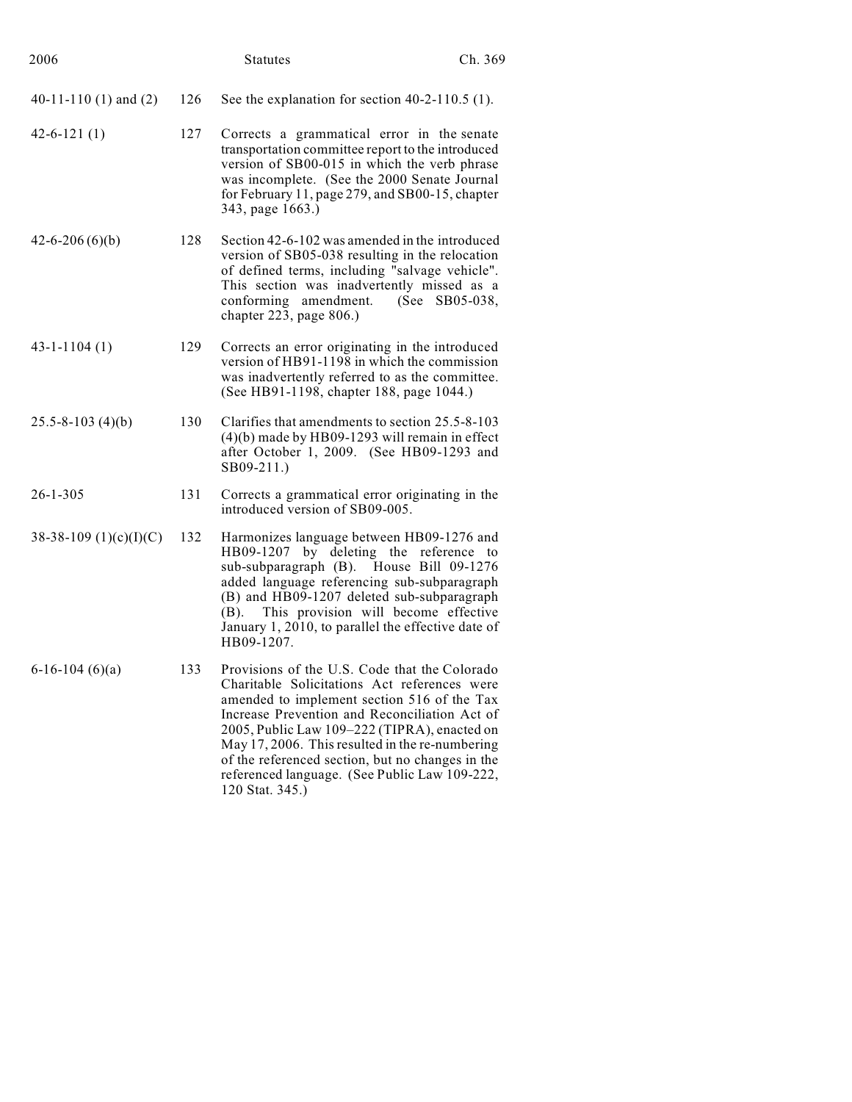| 2006                   |     | <b>Statutes</b>                                                                                                                                                                                                                                                                                                                                                                                                          | Ch. 369 |
|------------------------|-----|--------------------------------------------------------------------------------------------------------------------------------------------------------------------------------------------------------------------------------------------------------------------------------------------------------------------------------------------------------------------------------------------------------------------------|---------|
| 40-11-110 (1) and (2)  | 126 | See the explanation for section $40-2-110.5$ (1).                                                                                                                                                                                                                                                                                                                                                                        |         |
| $42 - 6 - 121(1)$      | 127 | Corrects a grammatical error in the senate<br>transportation committee report to the introduced<br>version of SB00-015 in which the verb phrase<br>was incomplete. (See the 2000 Senate Journal<br>for February 11, page 279, and SB00-15, chapter<br>343, page 1663.)                                                                                                                                                   |         |
| $42 - 6 - 206(6)(b)$   | 128 | Section 42-6-102 was amended in the introduced<br>version of SB05-038 resulting in the relocation<br>of defined terms, including "salvage vehicle".<br>This section was inadvertently missed as a<br>conforming amendment.<br>(See SB05-038,<br>chapter 223, page 806.)                                                                                                                                                  |         |
| $43 - 1 - 1104(1)$     | 129 | Corrects an error originating in the introduced<br>version of HB91-1198 in which the commission<br>was inadvertently referred to as the committee.<br>(See HB91-1198, chapter 188, page 1044.)                                                                                                                                                                                                                           |         |
| $25.5 - 8 - 103(4)(b)$ | 130 | Clarifies that amendments to section 25.5-8-103<br>$(4)(b)$ made by HB09-1293 will remain in effect<br>after October 1, 2009. (See HB09-1293 and<br>SB09-211.)                                                                                                                                                                                                                                                           |         |
| $26 - 1 - 305$         | 131 | Corrects a grammatical error originating in the<br>introduced version of SB09-005.                                                                                                                                                                                                                                                                                                                                       |         |
| 38-38-109 (1)(c)(I)(C) | 132 | Harmonizes language between HB09-1276 and<br>HB09-1207 by deleting the reference to<br>sub-subparagraph (B). House Bill 09-1276<br>added language referencing sub-subparagraph<br>(B) and HB09-1207 deleted sub-subparagraph<br>This provision will become effective<br>(B).<br>January 1, 2010, to parallel the effective date of<br>HB09-1207.                                                                         |         |
| $6-16-104(6)(a)$       | 133 | Provisions of the U.S. Code that the Colorado<br>Charitable Solicitations Act references were<br>amended to implement section 516 of the Tax<br>Increase Prevention and Reconciliation Act of<br>2005, Public Law 109-222 (TIPRA), enacted on<br>May 17, 2006. This resulted in the re-numbering<br>of the referenced section, but no changes in the<br>referenced language. (See Public Law 109-222,<br>120 Stat. 345.) |         |